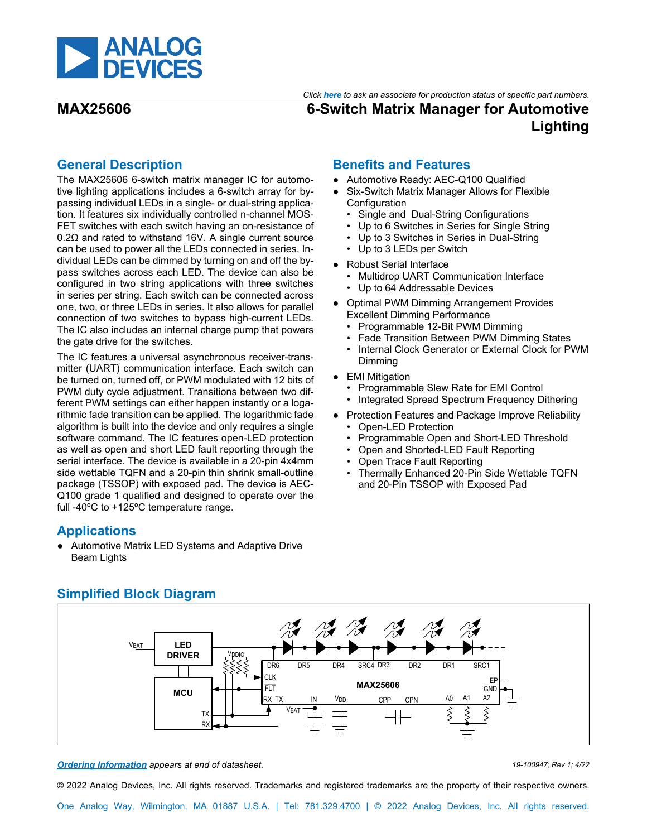

*Click [here](https://www.maximintegrated.com/en/storefront/storefront.html) to ask an associate for production status of specific part numbers.*

# **MAX25606 6-Switch Matrix Manager for Automotive Lighting**

# <span id="page-0-0"></span>**General Description**

The MAX25606 6-switch matrix manager IC for automotive lighting applications includes a 6-switch array for bypassing individual LEDs in a single- or dual-string application. It features six individually controlled n-channel MOS-FET switches with each switch having an on-resistance of 0.2Ω and rated to withstand 16V. A single current source can be used to power all the LEDs connected in series. Individual LEDs can be dimmed by turning on and off the bypass switches across each LED. The device can also be configured in two string applications with three switches in series per string. Each switch can be connected across one, two, or three LEDs in series. It also allows for parallel connection of two switches to bypass high-current LEDs. The IC also includes an internal charge pump that powers the gate drive for the switches.

The IC features a universal asynchronous receiver-transmitter (UART) communication interface. Each switch can be turned on, turned off, or PWM modulated with 12 bits of PWM duty cycle adjustment. Transitions between two different PWM settings can either happen instantly or a logarithmic fade transition can be applied. The logarithmic fade algorithm is built into the device and only requires a single software command. The IC features open-LED protection as well as open and short LED fault reporting through the serial interface. The device is available in a 20-pin 4x4mm side wettable TQFN and a 20-pin thin shrink small-outline package (TSSOP) with exposed pad. The device is AEC-Q100 grade 1 qualified and designed to operate over the full -40ºC to +125ºC temperature range.

# <span id="page-0-1"></span>**Applications**

● Automotive Matrix LED Systems and Adaptive Drive Beam Lights

# **Benefits and Features**

- Automotive Ready: AEC-Q100 Qualified
- Six-Switch Matrix Manager Allows for Flexible Configuration
	- Single and Dual-String Configurations
	- Up to 6 Switches in Series for Single String
	- Up to 3 Switches in Series in Dual-String
	- Up to 3 LEDs per Switch
- Robust Serial Interface
	- Multidrop UART Communication Interface
	- Up to 64 Addressable Devices
- Optimal PWM Dimming Arrangement Provides Excellent Dimming Performance
	- Programmable 12-Bit PWM Dimming
	- Fade Transition Between PWM Dimming States
	- Internal Clock Generator or External Clock for PWM Dimming
- EMI Mitigation
	- Programmable Slew Rate for EMI Control
	- Integrated Spread Spectrum Frequency Dithering
- Protection Features and Package Improve Reliability
	- Open-LED Protection
	- Programmable Open and Short-LED Threshold
	- Open and Shorted-LED Fault Reporting
	- Open Trace Fault Reporting
	- Thermally Enhanced 20-Pin Side Wettable TQFN and 20-Pin TSSOP with Exposed Pad



# <span id="page-0-2"></span>**Simplified Block Diagram**

*[Ordering Information](#page-42-0) appears at end of datasheet. 19-100947; Rev 1; 4/22*

© 2022 Analog Devices, Inc. All rights reserved. Trademarks and registered trademarks are the property of their respective owners.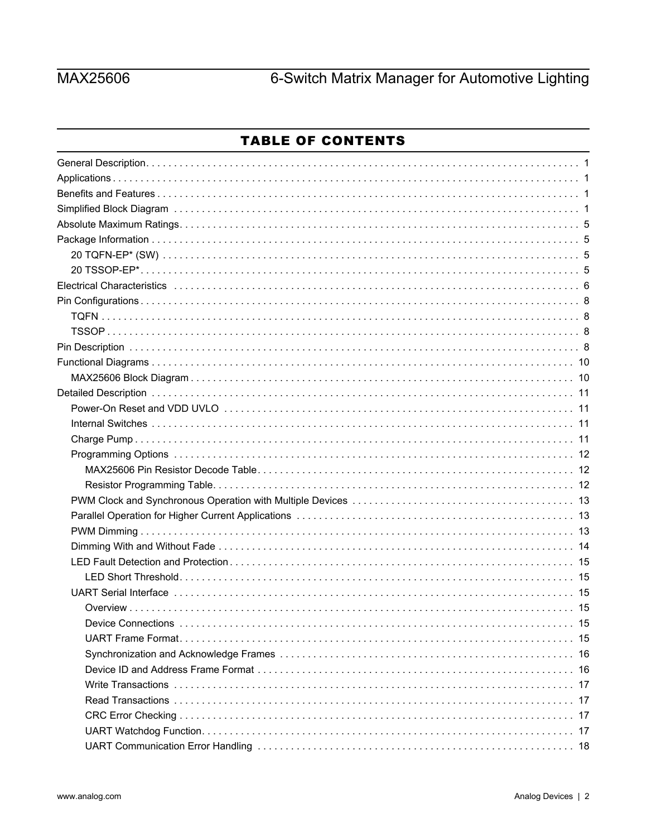# **MAX25606**

# 6-Switch Matrix Manager for Automotive Lighting

# **TABLE OF CONTENTS**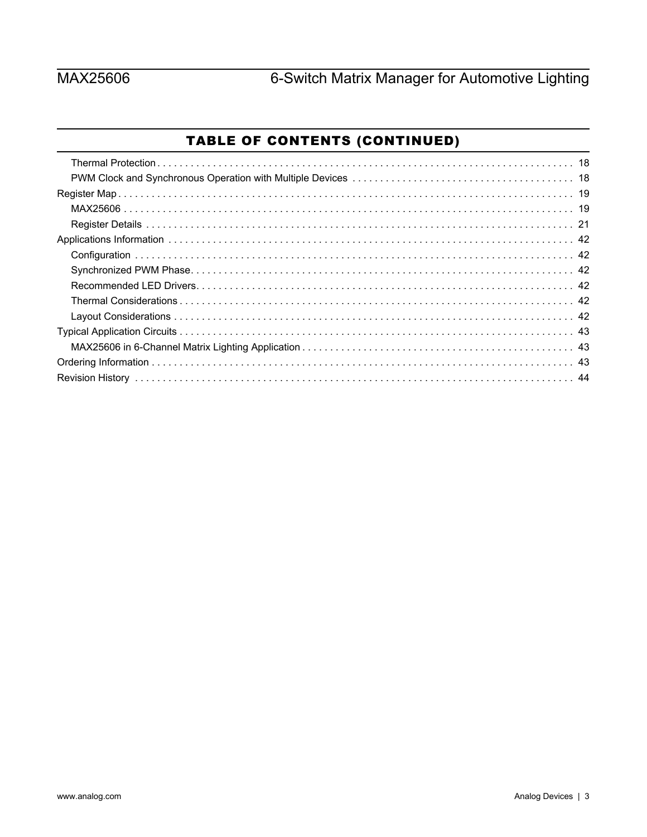# **MAX25606**

# TABLE OF CONTENTS (CONTINUED)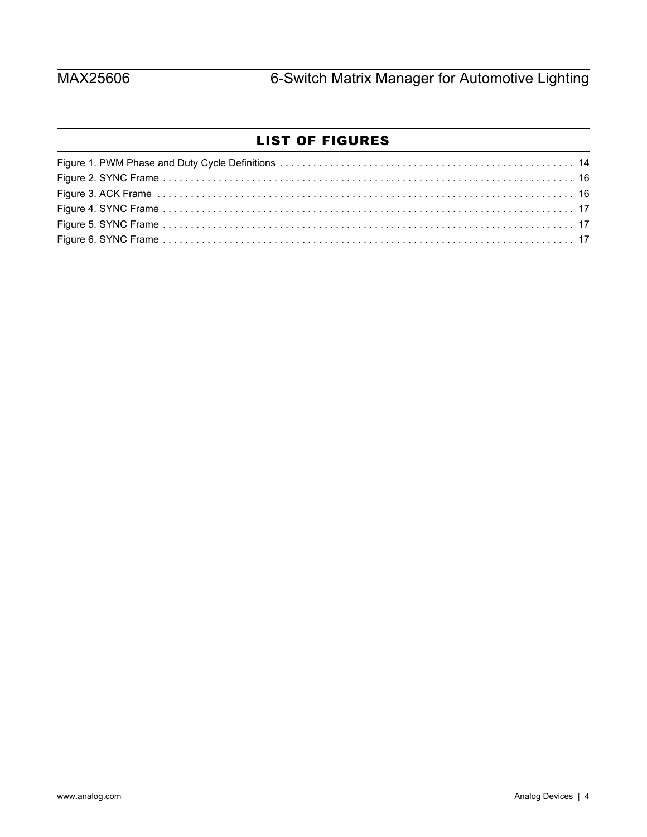# LIST OF FIGURES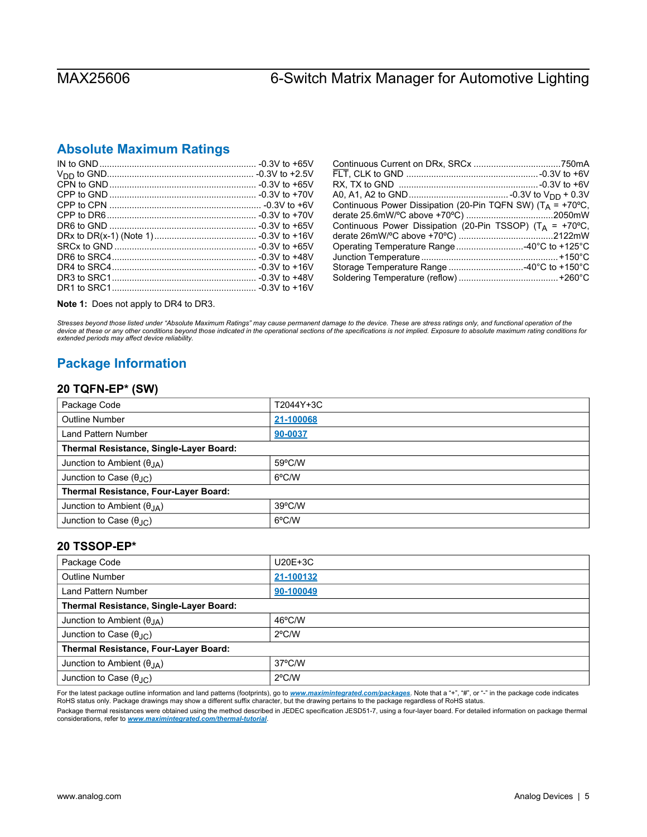# <span id="page-4-0"></span>**Absolute Maximum Ratings**

| Continuous Power Dissipation (20-Pin TQFN SW) ( $T_A$ = +70°C,       |
|----------------------------------------------------------------------|
|                                                                      |
| Continuous Power Dissipation (20-Pin TSSOP) (T <sub>A</sub> = +70°C, |
|                                                                      |
| Operating Temperature Range 40°C to +125°C                           |
|                                                                      |
| Storage Temperature Range 40°C to +150°C                             |
|                                                                      |
|                                                                      |

**Note 1:** Does not apply to DR4 to DR3.

*Stresses beyond those listed under "Absolute Maximum Ratings" may cause permanent damage to the device. These are stress ratings only, and functional operation of the*  device at these or any other conditions beyond those indicated in the operational sections of the specifications is not implied. Exposure to absolute maximum rating conditions for<br>extended periods may affect device reliabi

# <span id="page-4-1"></span>**Package Information**

### <span id="page-4-2"></span>**20 TQFN-EP\* (SW)**

| Package Code                            | T2044Y+3C        |  |  |  |
|-----------------------------------------|------------------|--|--|--|
| <b>Outline Number</b>                   | 21-100068        |  |  |  |
| Land Pattern Number                     | 90-0037          |  |  |  |
| Thermal Resistance, Single-Layer Board: |                  |  |  |  |
| Junction to Ambient $(\theta_{JA})$     | 59°C/W           |  |  |  |
| Junction to Case $(\theta_{\text{JC}})$ | 6°C/W            |  |  |  |
| Thermal Resistance, Four-Layer Board:   |                  |  |  |  |
| Junction to Ambient $(\theta_{JA})$     | $39^{\circ}$ C/W |  |  |  |
| Junction to Case $(\theta_{\text{JC}})$ | 6°C/W            |  |  |  |

### <span id="page-4-3"></span>**20 TSSOP-EP\***

| Package Code                            | $U20E+3C$        |  |  |
|-----------------------------------------|------------------|--|--|
| <b>Outline Number</b>                   | 21-100132        |  |  |
| Land Pattern Number                     | 90-100049        |  |  |
| Thermal Resistance, Single-Layer Board: |                  |  |  |
| Junction to Ambient $(\theta_{JA})$     | 46°C/W           |  |  |
| Junction to Case $(\theta_{\text{JC}})$ | $2^{\circ}$ C/W  |  |  |
| Thermal Resistance, Four-Layer Board:   |                  |  |  |
| Junction to Ambient $(\theta_{JA})$     | $37^{\circ}$ C/W |  |  |
| Junction to Case $(\theta_{\text{AC}})$ | $2^{\circ}$ C/W  |  |  |

For the latest package outline information and land patterns (footprints), go to [www.maximintegrated.com/packages](http://www.maximintegrated.com/packages). Note that a "+", "#", or "-" in the package code indicates<br>RoHS status only. Package drawings may show a di

Package thermal resistances were obtained using the method described in JEDEC specification JESD51-7, using a four-layer board. For detailed information on package thermal considerations, refer to *[www.maximintegrated.com/thermal-tutorial](http://www.maximintegrated.com/thermal-tutorial)*.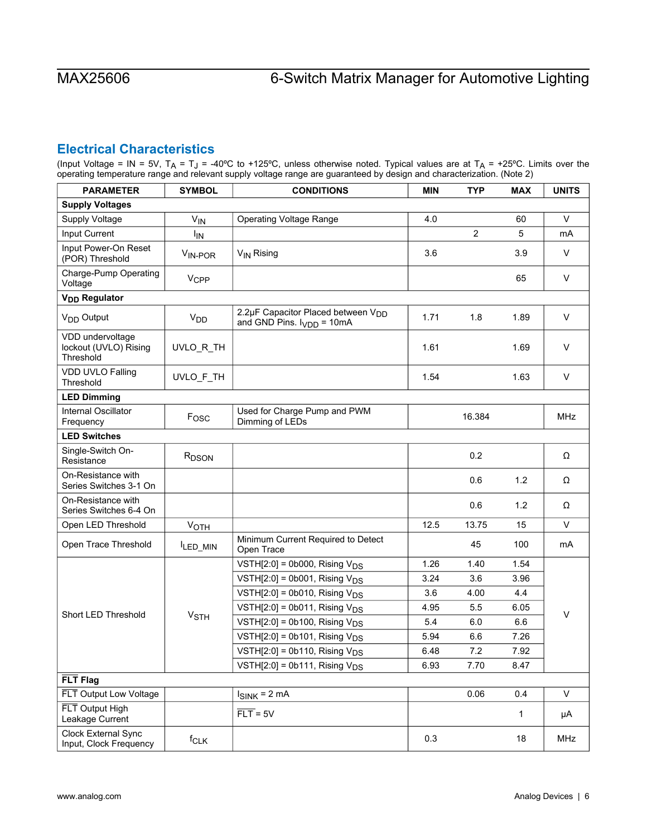# <span id="page-5-0"></span>**Electrical Characteristics**

(Input Voltage = IN = 5V, T<sub>A</sub> = T<sub>J</sub> = -40°C to +125°C, unless otherwise noted. Typical values are at T<sub>A</sub> = +25°C. Limits over the operating temperature range and relevant supply voltage range are guaranteed by design and characterization. (Note 2)

| <b>PARAMETER</b>                                       | <b>SYMBOL</b>          | <b>CONDITIONS</b>                                                                | <b>MIN</b> | <b>TYP</b>     | <b>MAX</b>   | <b>UNITS</b> |
|--------------------------------------------------------|------------------------|----------------------------------------------------------------------------------|------------|----------------|--------------|--------------|
| <b>Supply Voltages</b>                                 |                        |                                                                                  |            |                |              |              |
| Supply Voltage                                         | $V_{IN}$               | <b>Operating Voltage Range</b>                                                   | 4.0        |                | 60           | $\vee$       |
| Input Current                                          | <b>I<sub>IN</sub></b>  |                                                                                  |            | $\overline{c}$ | 5            | mA           |
| Input Power-On Reset<br>(POR) Threshold                | V <sub>IN-POR</sub>    | V <sub>IN</sub> Rising                                                           | 3.6        |                | 3.9          | V            |
| Charge-Pump Operating<br>Voltage                       | <b>V<sub>CPP</sub></b> |                                                                                  |            |                | 65           | $\vee$       |
| V <sub>DD</sub> Regulator                              |                        |                                                                                  |            |                |              |              |
| V <sub>DD</sub> Output                                 | V <sub>DD</sub>        | 2.2µF Capacitor Placed between V <sub>DD</sub><br>and GND Pins. $I_{VDD} = 10mA$ | 1.71       | 1.8            | 1.89         | $\vee$       |
| VDD undervoltage<br>lockout (UVLO) Rising<br>Threshold | UVLO_R_TH              |                                                                                  | 1.61       |                | 1.69         | $\vee$       |
| VDD UVLO Falling<br>Threshold                          | UVLO_F_TH              |                                                                                  | 1.54       |                | 1.63         | $\vee$       |
| <b>LED Dimming</b>                                     |                        |                                                                                  |            |                |              |              |
| Internal Oscillator<br>Frequency                       | Fosc                   | Used for Charge Pump and PWM<br>Dimming of LEDs                                  |            | 16.384         |              | <b>MHz</b>   |
| <b>LED Switches</b>                                    |                        |                                                                                  |            |                |              |              |
| Single-Switch On-<br>Resistance                        | R <sub>DSON</sub>      |                                                                                  |            | 0.2            |              | Ω            |
| On-Resistance with<br>Series Switches 3-1 On           |                        |                                                                                  |            | 0.6            | 1.2          | Ω            |
| On-Resistance with<br>Series Switches 6-4 On           |                        |                                                                                  |            | 0.6            | 1.2          | Ω            |
| Open LED Threshold                                     | VOTH                   |                                                                                  | 12.5       | 13.75          | 15           | $\mathsf{V}$ |
| Open Trace Threshold                                   | ILED_MIN               | Minimum Current Required to Detect<br>Open Trace                                 |            | 45             | 100          | mA           |
|                                                        |                        | VSTH $[2:0]$ = 0b000, Rising $V_{DS}$                                            | 1.26       | 1.40           | 1.54         |              |
|                                                        |                        | VSTH $[2:0]$ = 0b001, Rising $V_{DS}$                                            | 3.24       | 3.6            | 3.96         |              |
|                                                        |                        | VSTH $[2:0]$ = 0b010, Rising $V_{DS}$                                            | 3.6        | 4.00           | 4.4          |              |
| Short LED Threshold                                    | <b>V<sub>STH</sub></b> | VSTH $[2:0]$ = 0b011, Rising $V_{DS}$                                            | 4.95       | 5.5            | 6.05         | $\vee$       |
|                                                        |                        | VSTH $[2:0]$ = 0b100, Rising $V_{DS}$                                            | 5.4        | 6.0            | 6.6          |              |
|                                                        |                        | VSTH $[2:0]$ = 0b101, Rising $V_{DS}$                                            | 5.94       | 6.6            | 7.26         |              |
|                                                        |                        | VSTH[2:0] = 0b110, Rising $V_{DS}$                                               | 6.48       | 7.2            | 7.92         |              |
|                                                        |                        | VSTH[2:0] = 0b111, Rising $V_{DS}$                                               | 6.93       | 7.70           | 8.47         |              |
| FLT Flag                                               |                        |                                                                                  |            |                |              |              |
| FLT Output Low Voltage                                 |                        | $I_{SINK} = 2 mA$                                                                |            | 0.06           | 0.4          | V            |
| FLT Output High<br>Leakage Current                     |                        | $\overline{FLT}$ = 5V                                                            |            |                | $\mathbf{1}$ | μA           |
| Clock External Sync<br>Input, Clock Frequency          | f <sub>CLK</sub>       |                                                                                  | 0.3        |                | 18           | MHz          |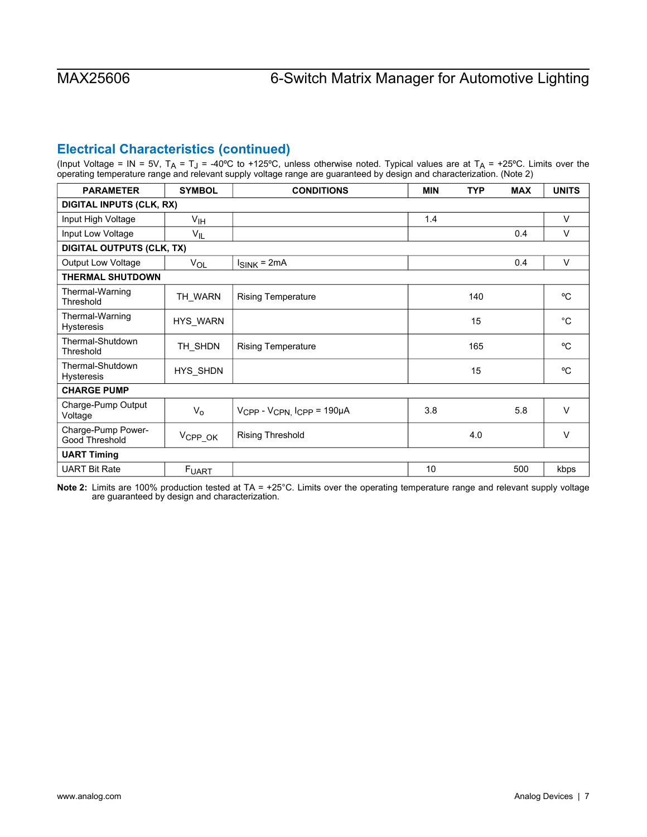# **Electrical Characteristics (continued)**

(Input Voltage = IN = 5V, T<sub>A</sub> = T<sub>J</sub> = -40°C to +125°C, unless otherwise noted. Typical values are at T<sub>A</sub> = +25°C. Limits over the operating temperature range and relevant supply voltage range are guaranteed by design and characterization. (Note 2)

| <b>PARAMETER</b>                      | <b>SYMBOL</b>                   | <b>CONDITIONS</b>                                 | <b>MIN</b> | <b>TYP</b> | <b>MAX</b> | <b>UNITS</b> |  |
|---------------------------------------|---------------------------------|---------------------------------------------------|------------|------------|------------|--------------|--|
|                                       | <b>DIGITAL INPUTS (CLK, RX)</b> |                                                   |            |            |            |              |  |
| Input High Voltage                    | V <sub>IH</sub>                 |                                                   | 1.4        |            |            | $\vee$       |  |
| Input Low Voltage                     | $V_{IL}$                        |                                                   |            |            | 0.4        | $\vee$       |  |
| <b>DIGITAL OUTPUTS (CLK, TX)</b>      |                                 |                                                   |            |            |            |              |  |
| <b>Output Low Voltage</b>             | <b>VOL</b>                      | $I_{SINK} = 2mA$                                  |            |            | 0.4        | $\vee$       |  |
| <b>THERMAL SHUTDOWN</b>               |                                 |                                                   |            |            |            |              |  |
| Thermal-Warning<br>Threshold          | TH WARN                         | <b>Rising Temperature</b>                         |            | 140        |            | °C           |  |
| Thermal-Warning<br><b>Hysteresis</b>  | <b>HYS WARN</b>                 |                                                   |            | 15         |            | $^{\circ}C$  |  |
| Thermal-Shutdown<br>Threshold         | TH SHDN                         | <b>Rising Temperature</b>                         |            | 165        |            | °C           |  |
| Thermal-Shutdown<br><b>Hysteresis</b> | HYS_SHDN                        |                                                   |            | 15         |            | °C           |  |
| <b>CHARGE PUMP</b>                    |                                 |                                                   |            |            |            |              |  |
| Charge-Pump Output<br>Voltage         | $V_{\rm o}$                     | V <sub>CPP</sub> - V <sub>CPN, ICPP</sub> = 190µA | 3.8        |            | 5.8        | $\vee$       |  |
| Charge-Pump Power-<br>Good Threshold  | V <sub>CPP_OK</sub>             | Rising Threshold                                  |            | 4.0        |            | V            |  |
| <b>UART Timing</b>                    |                                 |                                                   |            |            |            |              |  |
| <b>UART Bit Rate</b>                  | <b>FUART</b>                    |                                                   | 10         |            | 500        | kbps         |  |

**Note 2:** Limits are 100% production tested at TA = +25°C. Limits over the operating temperature range and relevant supply voltage are guaranteed by design and characterization.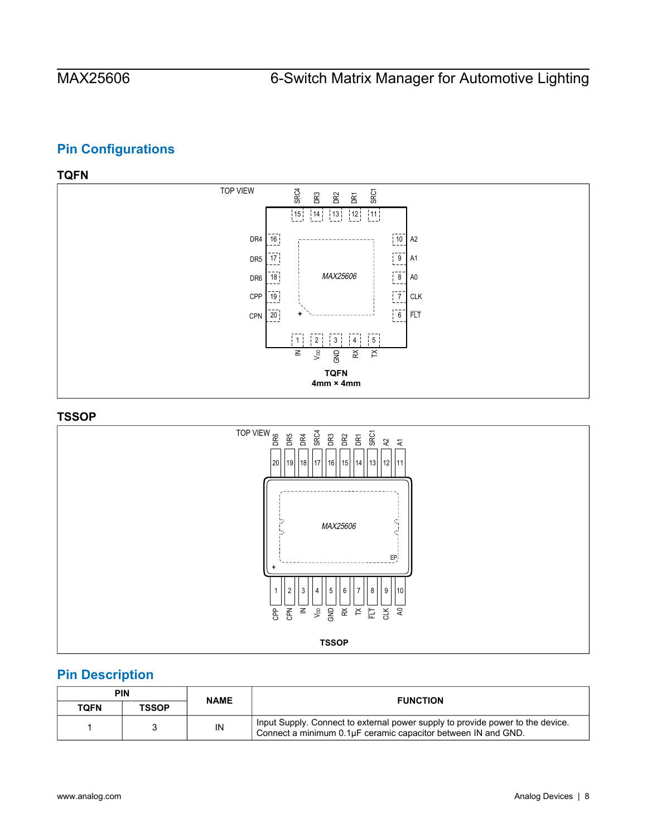# <span id="page-7-0"></span>**Pin Configurations**

# <span id="page-7-1"></span>**TQFN**



### <span id="page-7-2"></span>**TSSOP**



# <span id="page-7-3"></span>**Pin Description**

|      | PIN          |    | <b>NAME</b>                                                                                                                                     |  | <b>FUNCTION</b> |
|------|--------------|----|-------------------------------------------------------------------------------------------------------------------------------------------------|--|-----------------|
| TOFN | <b>TSSOP</b> |    |                                                                                                                                                 |  |                 |
|      |              | IN | Input Supply. Connect to external power supply to provide power to the device.<br>Connect a minimum 0.1µF ceramic capacitor between IN and GND. |  |                 |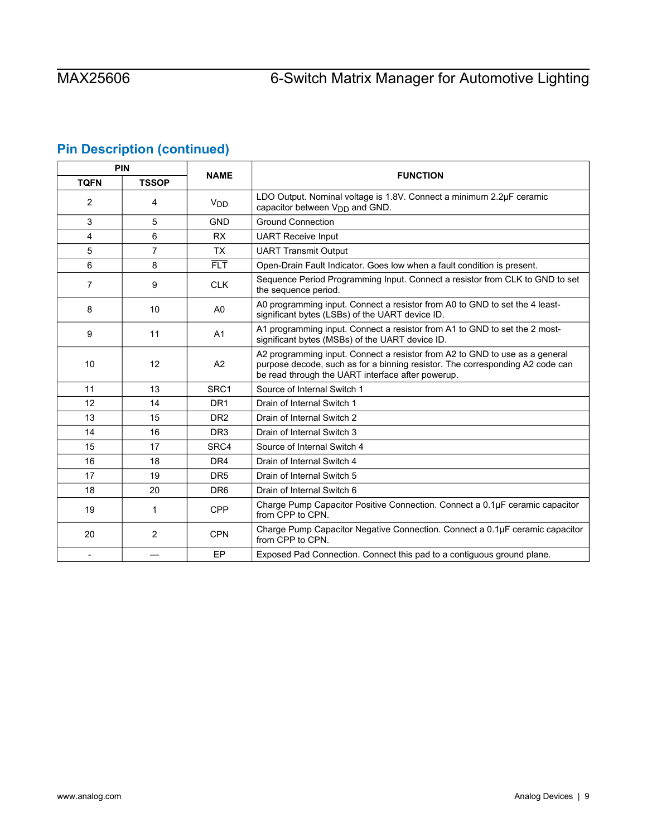# **Pin Description (continued)**

| PIN            |                | <b>NAME</b>      |                                                                                                                                                                                                                   |  |
|----------------|----------------|------------------|-------------------------------------------------------------------------------------------------------------------------------------------------------------------------------------------------------------------|--|
| <b>TQFN</b>    | <b>TSSOP</b>   |                  | <b>FUNCTION</b>                                                                                                                                                                                                   |  |
| 2              | 4              | $V_{DD}$         | LDO Output. Nominal voltage is 1.8V. Connect a minimum 2.2µF ceramic<br>capacitor between V <sub>DD</sub> and GND.                                                                                                |  |
| 3              | 5              | <b>GND</b>       | <b>Ground Connection</b>                                                                                                                                                                                          |  |
| 4              | 6              | <b>RX</b>        | <b>UART Receive Input</b>                                                                                                                                                                                         |  |
| 5              | $\overline{7}$ | <b>TX</b>        | <b>UART Transmit Output</b>                                                                                                                                                                                       |  |
| 6              | 8              | 肛                | Open-Drain Fault Indicator. Goes low when a fault condition is present.                                                                                                                                           |  |
| 7              | 9              | <b>CLK</b>       | Sequence Period Programming Input. Connect a resistor from CLK to GND to set<br>the sequence period.                                                                                                              |  |
| 8              | 10             | A <sub>0</sub>   | A0 programming input. Connect a resistor from A0 to GND to set the 4 least-<br>significant bytes (LSBs) of the UART device ID.                                                                                    |  |
| 9              | 11             | A <sub>1</sub>   | A1 programming input. Connect a resistor from A1 to GND to set the 2 most-<br>significant bytes (MSBs) of the UART device ID.                                                                                     |  |
| 10             | 12             | A2               | A2 programming input. Connect a resistor from A2 to GND to use as a general<br>purpose decode, such as for a binning resistor. The corresponding A2 code can<br>be read through the UART interface after powerup. |  |
| 11             | 13             | SRC <sub>1</sub> | Source of Internal Switch 1                                                                                                                                                                                       |  |
| 12             | 14             | DR <sub>1</sub>  | Drain of Internal Switch 1                                                                                                                                                                                        |  |
| 13             | 15             | DR <sub>2</sub>  | Drain of Internal Switch 2                                                                                                                                                                                        |  |
| 14             | 16             | DR <sub>3</sub>  | Drain of Internal Switch 3                                                                                                                                                                                        |  |
| 15             | 17             | SRC4             | Source of Internal Switch 4                                                                                                                                                                                       |  |
| 16             | 18             | DR4              | Drain of Internal Switch 4                                                                                                                                                                                        |  |
| 17             | 19             | DR <sub>5</sub>  | Drain of Internal Switch 5                                                                                                                                                                                        |  |
| 18             | 20             | DR <sub>6</sub>  | Drain of Internal Switch 6                                                                                                                                                                                        |  |
| 19             | 1              | <b>CPP</b>       | Charge Pump Capacitor Positive Connection. Connect a 0.1µF ceramic capacitor<br>from CPP to CPN.                                                                                                                  |  |
| 20             | 2              | <b>CPN</b>       | Charge Pump Capacitor Negative Connection. Connect a 0.1µF ceramic capacitor<br>from CPP to CPN.                                                                                                                  |  |
| $\blacksquare$ |                | EP               | Exposed Pad Connection. Connect this pad to a contiguous ground plane.                                                                                                                                            |  |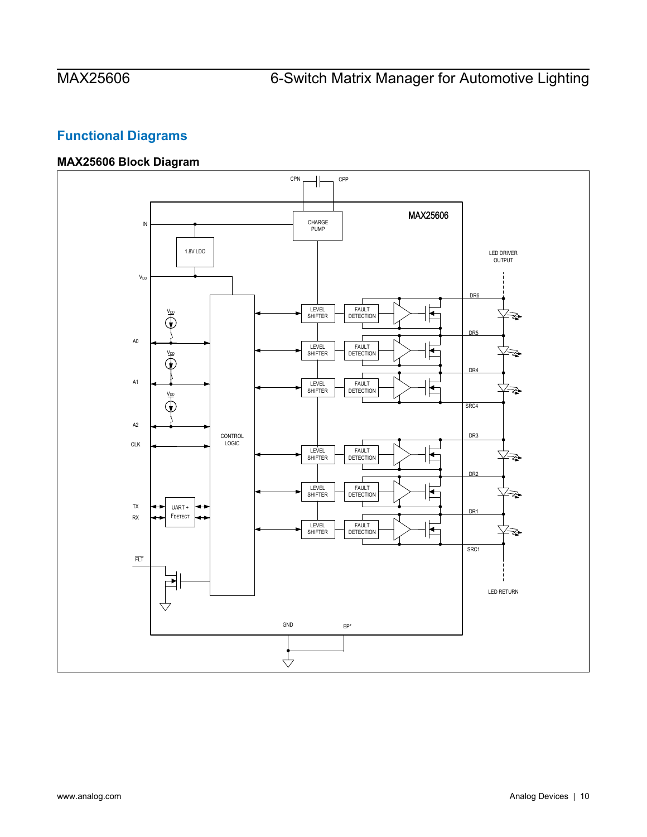# <span id="page-9-0"></span>**Functional Diagrams**

# <span id="page-9-1"></span>**MAX25606 Block Diagram**

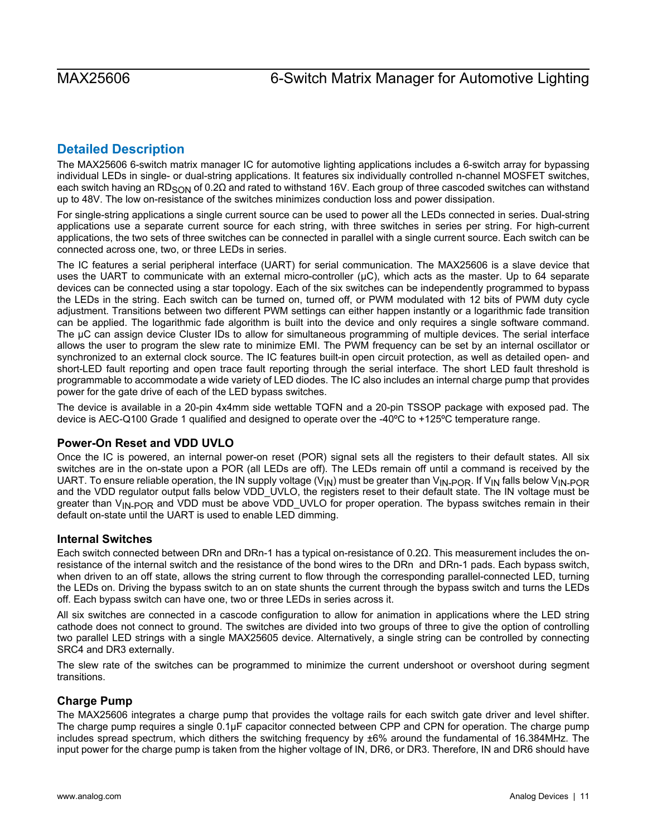# <span id="page-10-0"></span>**Detailed Description**

The MAX25606 6-switch matrix manager IC for automotive lighting applications includes a 6-switch array for bypassing individual LEDs in single- or dual-string applications. It features six individually controlled n-channel MOSFET switches, each switch having an RD<sub>SON</sub> of 0.2Ω and rated to withstand 16V. Each group of three cascoded switches can withstand up to 48V. The low on-resistance of the switches minimizes conduction loss and power dissipation.

For single-string applications a single current source can be used to power all the LEDs connected in series. Dual-string applications use a separate current source for each string, with three switches in series per string. For high-current applications, the two sets of three switches can be connected in parallel with a single current source. Each switch can be connected across one, two, or three LEDs in series.

The IC features a serial peripheral interface (UART) for serial communication. The MAX25606 is a slave device that uses the UART to communicate with an external micro-controller (μC), which acts as the master. Up to 64 separate devices can be connected using a star topology. Each of the six switches can be independently programmed to bypass the LEDs in the string. Each switch can be turned on, turned off, or PWM modulated with 12 bits of PWM duty cycle adjustment. Transitions between two different PWM settings can either happen instantly or a logarithmic fade transition can be applied. The logarithmic fade algorithm is built into the device and only requires a single software command. The μC can assign device Cluster IDs to allow for simultaneous programming of multiple devices. The serial interface allows the user to program the slew rate to minimize EMI. The PWM frequency can be set by an internal oscillator or synchronized to an external clock source. The IC features built-in open circuit protection, as well as detailed open- and short-LED fault reporting and open trace fault reporting through the serial interface. The short LED fault threshold is programmable to accommodate a wide variety of LED diodes. The IC also includes an internal charge pump that provides power for the gate drive of each of the LED bypass switches.

The device is available in a 20-pin 4x4mm side wettable TQFN and a 20-pin TSSOP package with exposed pad. The device is AEC-Q100 Grade 1 qualified and designed to operate over the -40ºC to +125ºC temperature range.

## <span id="page-10-1"></span>**Power-On Reset and VDD UVLO**

Once the IC is powered, an internal power-on reset (POR) signal sets all the registers to their default states. All six switches are in the on-state upon a POR (all LEDs are off). The LEDs remain off until a command is received by the UART. To ensure reliable operation, the IN supply voltage ( $V_{1N}$ ) must be greater than  $V_{1N\text{-POR}}$ . If  $V_{1N}$  falls below  $V_{1N\text{-POR}}$ and the VDD regulator output falls below VDD\_UVLO, the registers reset to their default state. The IN voltage must be greater than V<sub>IN-POR</sub> and VDD must be above VDD UVLO for proper operation. The bypass switches remain in their default on-state until the UART is used to enable LED dimming.

## <span id="page-10-2"></span>**Internal Switches**

Each switch connected between DRn and DRn-1 has a typical on-resistance of 0.2Ω. This measurement includes the onresistance of the internal switch and the resistance of the bond wires to the DRn and DRn-1 pads. Each bypass switch, when driven to an off state, allows the string current to flow through the corresponding parallel-connected LED, turning the LEDs on. Driving the bypass switch to an on state shunts the current through the bypass switch and turns the LEDs off. Each bypass switch can have one, two or three LEDs in series across it.

All six switches are connected in a cascode configuration to allow for animation in applications where the LED string cathode does not connect to ground. The switches are divided into two groups of three to give the option of controlling two parallel LED strings with a single MAX25605 device. Alternatively, a single string can be controlled by connecting SRC4 and DR3 externally.

The slew rate of the switches can be programmed to minimize the current undershoot or overshoot during segment transitions.

## <span id="page-10-3"></span>**Charge Pump**

The MAX25606 integrates a charge pump that provides the voltage rails for each switch gate driver and level shifter. The charge pump requires a single 0.1µF capacitor connected between CPP and CPN for operation. The charge pump includes spread spectrum, which dithers the switching frequency by ±6% around the fundamental of 16.384MHz. The input power for the charge pump is taken from the higher voltage of IN, DR6, or DR3. Therefore, IN and DR6 should have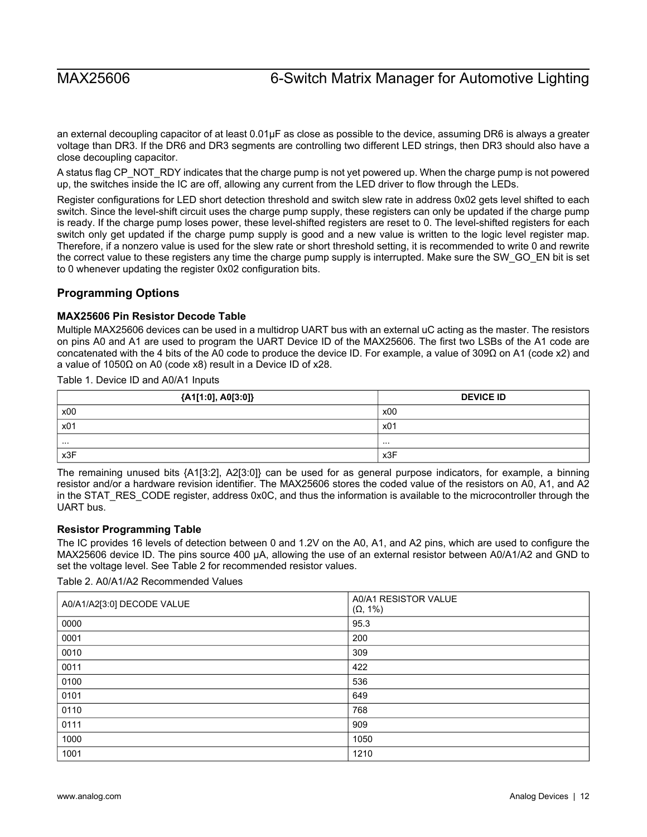an external decoupling capacitor of at least 0.01µF as close as possible to the device, assuming DR6 is always a greater voltage than DR3. If the DR6 and DR3 segments are controlling two different LED strings, then DR3 should also have a close decoupling capacitor.

A status flag CP\_NOT\_RDY indicates that the charge pump is not yet powered up. When the charge pump is not powered up, the switches inside the IC are off, allowing any current from the LED driver to flow through the LEDs.

Register configurations for LED short detection threshold and switch slew rate in address 0x02 gets level shifted to each switch. Since the level-shift circuit uses the charge pump supply, these registers can only be updated if the charge pump is ready. If the charge pump loses power, these level-shifted registers are reset to 0. The level-shifted registers for each switch only get updated if the charge pump supply is good and a new value is written to the logic level register map. Therefore, if a nonzero value is used for the slew rate or short threshold setting, it is recommended to write 0 and rewrite the correct value to these registers any time the charge pump supply is interrupted. Make sure the SW\_GO\_EN bit is set to 0 whenever updating the register 0x02 configuration bits.

## <span id="page-11-0"></span>**Programming Options**

### <span id="page-11-1"></span>**MAX25606 Pin Resistor Decode Table**

Multiple MAX25606 devices can be used in a multidrop UART bus with an external uC acting as the master. The resistors on pins A0 and A1 are used to program the UART Device ID of the MAX25606. The first two LSBs of the A1 code are concatenated with the 4 bits of the A0 code to produce the device ID. For example, a value of 309Ω on A1 (code x2) and a value of 1050Ω on A0 (code x8) result in a Device ID of x28.

Table 1. Device ID and A0/A1 Inputs

| {A1[1:0], A0[3:0]} | <b>DEVICE ID</b> |
|--------------------|------------------|
| x00                | x00              |
| x01                | x01              |
| .                  | .                |
| x3F                | x3F              |

The remaining unused bits {A1[3:2], A2[3:0]} can be used for as general purpose indicators, for example, a binning resistor and/or a hardware revision identifier. The MAX25606 stores the coded value of the resistors on A0, A1, and A2 in the STAT\_RES\_CODE register, address 0x0C, and thus the information is available to the microcontroller through the UART bus.

### <span id="page-11-2"></span>**Resistor Programming Table**

The IC provides 16 levels of detection between 0 and 1.2V on the A0, A1, and A2 pins, which are used to configure the MAX25606 device ID. The pins source 400 μA, allowing the use of an external resistor between A0/A1/A2 and GND to set the voltage level. See Table 2 for recommended resistor values.

Table 2. A0/A1/A2 Recommended Values

| A0/A1/A2[3:0] DECODE VALUE | A0/A1 RESISTOR VALUE<br>$(\Omega, 1\%)$ |
|----------------------------|-----------------------------------------|
| 0000                       | 95.3                                    |
| 0001                       | 200                                     |
| 0010                       | 309                                     |
| 0011                       | 422                                     |
| 0100                       | 536                                     |
| 0101                       | 649                                     |
| 0110                       | 768                                     |
| 0111                       | 909                                     |
| 1000                       | 1050                                    |
| 1001                       | 1210                                    |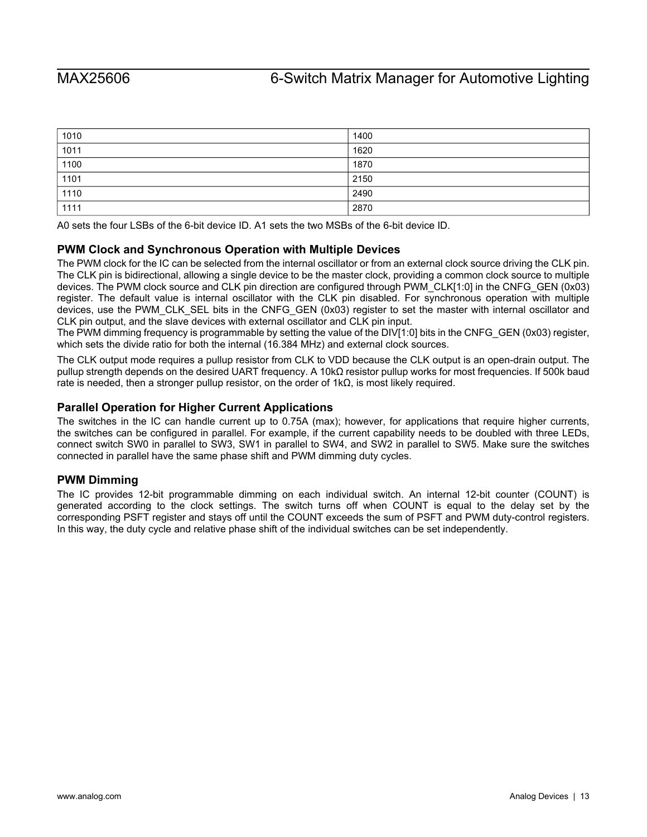| 1010 | 1400 |
|------|------|
| 1011 | 1620 |
| 1100 | 1870 |
| 1101 | 2150 |
| 1110 | 2490 |
| 1111 | 2870 |

A0 sets the four LSBs of the 6-bit device ID. A1 sets the two MSBs of the 6-bit device ID.

## <span id="page-12-0"></span>**PWM Clock and Synchronous Operation with Multiple Devices**

The PWM clock for the IC can be selected from the internal oscillator or from an external clock source driving the CLK pin. The CLK pin is bidirectional, allowing a single device to be the master clock, providing a common clock source to multiple devices. The PWM clock source and CLK pin direction are configured through PWM\_CLK[1:0] in the CNFG\_GEN (0x03) register. The default value is internal oscillator with the CLK pin disabled. For synchronous operation with multiple devices, use the PWM\_CLK\_SEL bits in the CNFG\_GEN (0x03) register to set the master with internal oscillator and CLK pin output, and the slave devices with external oscillator and CLK pin input.

The PWM dimming frequency is programmable by setting the value of the DIV[1:0] bits in the CNFG\_GEN (0x03) register, which sets the divide ratio for both the internal (16.384 MHz) and external clock sources.

The CLK output mode requires a pullup resistor from CLK to VDD because the CLK output is an open-drain output. The pullup strength depends on the desired UART frequency. A 10kΩ resistor pullup works for most frequencies. If 500k baud rate is needed, then a stronger pullup resistor, on the order of  $1k\Omega$ , is most likely required.

# <span id="page-12-1"></span>**Parallel Operation for Higher Current Applications**

The switches in the IC can handle current up to 0.75A (max); however, for applications that require higher currents, the switches can be configured in parallel. For example, if the current capability needs to be doubled with three LEDs, connect switch SW0 in parallel to SW3, SW1 in parallel to SW4, and SW2 in parallel to SW5. Make sure the switches connected in parallel have the same phase shift and PWM dimming duty cycles.

## <span id="page-12-2"></span>**PWM Dimming**

The IC provides 12-bit programmable dimming on each individual switch. An internal 12-bit counter (COUNT) is generated according to the clock settings. The switch turns off when COUNT is equal to the delay set by the corresponding PSFT register and stays off until the COUNT exceeds the sum of PSFT and PWM duty-control registers. In this way, the duty cycle and relative phase shift of the individual switches can be set independently.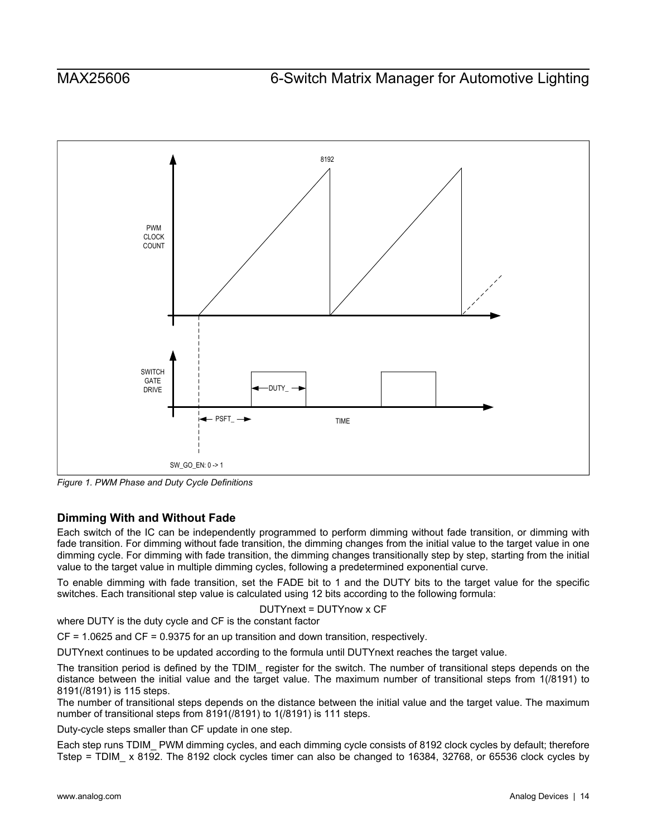<span id="page-13-1"></span>

*Figure 1. PWM Phase and Duty Cycle Definitions* 

# <span id="page-13-0"></span>**Dimming With and Without Fade**

Each switch of the IC can be independently programmed to perform dimming without fade transition, or dimming with fade transition. For dimming without fade transition, the dimming changes from the initial value to the target value in one dimming cycle. For dimming with fade transition, the dimming changes transitionally step by step, starting from the initial value to the target value in multiple dimming cycles, following a predetermined exponential curve.

To enable dimming with fade transition, set the FADE bit to 1 and the DUTY bits to the target value for the specific switches. Each transitional step value is calculated using 12 bits according to the following formula:

DUTYnext = DUTYnow x CF

where DUTY is the duty cycle and CF is the constant factor

CF = 1.0625 and CF = 0.9375 for an up transition and down transition, respectively.

DUTYnext continues to be updated according to the formula until DUTYnext reaches the target value.

The transition period is defined by the TDIM\_ register for the switch. The number of transitional steps depends on the distance between the initial value and the target value. The maximum number of transitional steps from 1(/8191) to 8191(/8191) is 115 steps.

The number of transitional steps depends on the distance between the initial value and the target value. The maximum number of transitional steps from 8191(/8191) to 1(/8191) is 111 steps.

Duty-cycle steps smaller than CF update in one step.

Each step runs TDIM\_ PWM dimming cycles, and each dimming cycle consists of 8192 clock cycles by default; therefore Tstep = TDIM\_ x 8192. The 8192 clock cycles timer can also be changed to 16384, 32768, or 65536 clock cycles by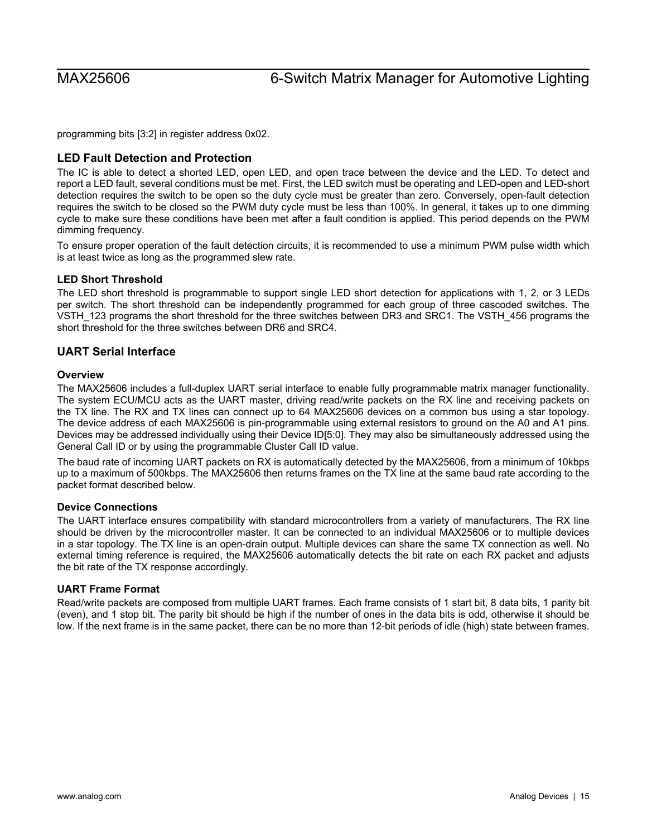programming bits [3:2] in register address 0x02.

### <span id="page-14-0"></span>**LED Fault Detection and Protection**

The IC is able to detect a shorted LED, open LED, and open trace between the device and the LED. To detect and report a LED fault, several conditions must be met. First, the LED switch must be operating and LED-open and LED-short detection requires the switch to be open so the duty cycle must be greater than zero. Conversely, open-fault detection requires the switch to be closed so the PWM duty cycle must be less than 100%. In general, it takes up to one dimming cycle to make sure these conditions have been met after a fault condition is applied. This period depends on the PWM dimming frequency.

To ensure proper operation of the fault detection circuits, it is recommended to use a minimum PWM pulse width which is at least twice as long as the programmed slew rate.

### <span id="page-14-1"></span>**LED Short Threshold**

The LED short threshold is programmable to support single LED short detection for applications with 1, 2, or 3 LEDs per switch. The short threshold can be independently programmed for each group of three cascoded switches. The VSTH\_123 programs the short threshold for the three switches between DR3 and SRC1. The VSTH\_456 programs the short threshold for the three switches between DR6 and SRC4.

### <span id="page-14-2"></span>**UART Serial Interface**

### <span id="page-14-3"></span>**Overview**

The MAX25606 includes a full-duplex UART serial interface to enable fully programmable matrix manager functionality. The system ECU/MCU acts as the UART master, driving read/write packets on the RX line and receiving packets on the TX line. The RX and TX lines can connect up to 64 MAX25606 devices on a common bus using a star topology. The device address of each MAX25606 is pin-programmable using external resistors to ground on the A0 and A1 pins. Devices may be addressed individually using their Device ID[5:0]. They may also be simultaneously addressed using the General Call ID or by using the programmable Cluster Call ID value.

The baud rate of incoming UART packets on RX is automatically detected by the MAX25606, from a minimum of 10kbps up to a maximum of 500kbps. The MAX25606 then returns frames on the TX line at the same baud rate according to the packet format described below.

### <span id="page-14-4"></span>**Device Connections**

The UART interface ensures compatibility with standard microcontrollers from a variety of manufacturers. The RX line should be driven by the microcontroller master. It can be connected to an individual MAX25606 or to multiple devices in a star topology. The TX line is an open-drain output. Multiple devices can share the same TX connection as well. No external timing reference is required, the MAX25606 automatically detects the bit rate on each RX packet and adjusts the bit rate of the TX response accordingly.

### <span id="page-14-5"></span>**UART Frame Format**

Read/write packets are composed from multiple UART frames. Each frame consists of 1 start bit, 8 data bits, 1 parity bit (even), and 1 stop bit. The parity bit should be high if the number of ones in the data bits is odd, otherwise it should be low. If the next frame is in the same packet, there can be no more than 12-bit periods of idle (high) state between frames.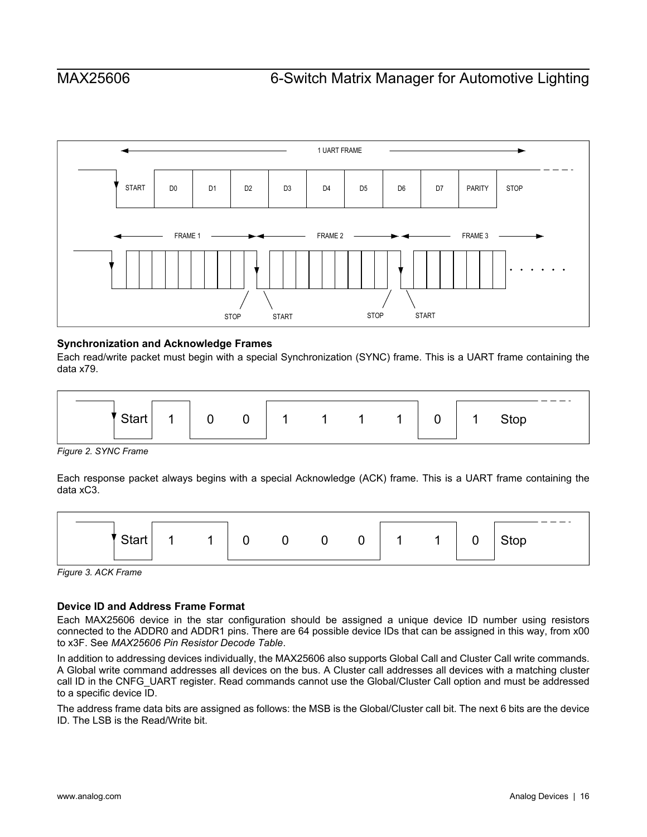

### <span id="page-15-0"></span>**Synchronization and Acknowledge Frames**

Each read/write packet must begin with a special Synchronization (SYNC) frame. This is a UART frame containing the data x79.

<span id="page-15-2"></span>

*Figure 2. SYNC Frame* 

Each response packet always begins with a special Acknowledge (ACK) frame. This is a UART frame containing the data xC3.

<span id="page-15-3"></span>

*Figure 3. ACK Frame* 

## <span id="page-15-1"></span>**Device ID and Address Frame Format**

Each MAX25606 device in the star configuration should be assigned a unique device ID number using resistors connected to the ADDR0 and ADDR1 pins. There are 64 possible device IDs that can be assigned in this way, from x00 to x3F. See *MAX25606 Pin Resistor Decode Table*.

In addition to addressing devices individually, the MAX25606 also supports Global Call and Cluster Call write commands. A Global write command addresses all devices on the bus. A Cluster call addresses all devices with a matching cluster call ID in the CNFG\_UART register. Read commands cannot use the Global/Cluster Call option and must be addressed to a specific device ID.

The address frame data bits are assigned as follows: the MSB is the Global/Cluster call bit. The next 6 bits are the device ID. The LSB is the Read/Write bit.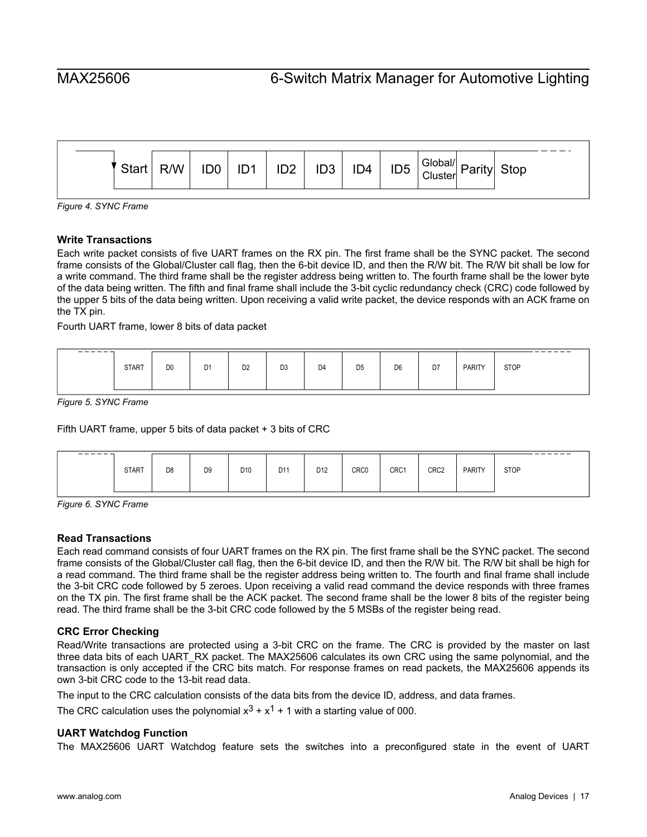<span id="page-16-4"></span>

*Figure 4. SYNC Frame* 

### <span id="page-16-0"></span>**Write Transactions**

Each write packet consists of five UART frames on the RX pin. The first frame shall be the SYNC packet. The second frame consists of the Global/Cluster call flag, then the 6-bit device ID, and then the R/W bit. The R/W bit shall be low for a write command. The third frame shall be the register address being written to. The fourth frame shall be the lower byte of the data being written. The fifth and final frame shall include the 3-bit cyclic redundancy check (CRC) code followed by the upper 5 bits of the data being written. Upon receiving a valid write packet, the device responds with an ACK frame on the TX pin.

Fourth UART frame, lower 8 bits of data packet

<span id="page-16-5"></span>

| ______ |              |                |                |                |                |                |                |                |    |               | ___<br>---  |
|--------|--------------|----------------|----------------|----------------|----------------|----------------|----------------|----------------|----|---------------|-------------|
|        | <b>START</b> | D <sub>0</sub> | D <sub>1</sub> | D <sub>2</sub> | D <sub>3</sub> | D <sub>4</sub> | D <sub>5</sub> | D <sub>6</sub> | D7 | <b>PARITY</b> | <b>STOP</b> |
|        |              |                |                |                |                |                |                |                |    |               |             |
|        |              |                |                |                |                |                |                |                |    |               |             |

*Figure 5. SYNC Frame* 

Fifth UART frame, upper 5 bits of data packet + 3 bits of CRC

<span id="page-16-6"></span>

| ------- |              |                |                |                 |                 |                 |      |      |                  |               | ------      |
|---------|--------------|----------------|----------------|-----------------|-----------------|-----------------|------|------|------------------|---------------|-------------|
|         | <b>START</b> | D <sub>8</sub> | D <sub>9</sub> | D <sub>10</sub> | D <sub>11</sub> | D <sub>12</sub> | CRC0 | CRC1 | CRC <sub>2</sub> | <b>PARITY</b> | <b>STOP</b> |
|         |              |                |                |                 |                 |                 |      |      |                  |               |             |

*Figure 6. SYNC Frame* 

### <span id="page-16-1"></span>**Read Transactions**

Each read command consists of four UART frames on the RX pin. The first frame shall be the SYNC packet. The second frame consists of the Global/Cluster call flag, then the 6-bit device ID, and then the R/W bit. The R/W bit shall be high for a read command. The third frame shall be the register address being written to. The fourth and final frame shall include the 3-bit CRC code followed by 5 zeroes. Upon receiving a valid read command the device responds with three frames on the TX pin. The first frame shall be the ACK packet. The second frame shall be the lower 8 bits of the register being read. The third frame shall be the 3-bit CRC code followed by the 5 MSBs of the register being read.

### <span id="page-16-2"></span>**CRC Error Checking**

Read/Write transactions are protected using a 3-bit CRC on the frame. The CRC is provided by the master on last three data bits of each UART\_RX packet. The MAX25606 calculates its own CRC using the same polynomial, and the transaction is only accepted if the CRC bits match. For response frames on read packets, the MAX25606 appends its own 3-bit CRC code to the 13-bit read data.

The input to the CRC calculation consists of the data bits from the device ID, address, and data frames.

The CRC calculation uses the polynomial  $x^3 + x^1 + 1$  with a starting value of 000.

### <span id="page-16-3"></span>**UART Watchdog Function**

The MAX25606 UART Watchdog feature sets the switches into a preconfigured state in the event of UART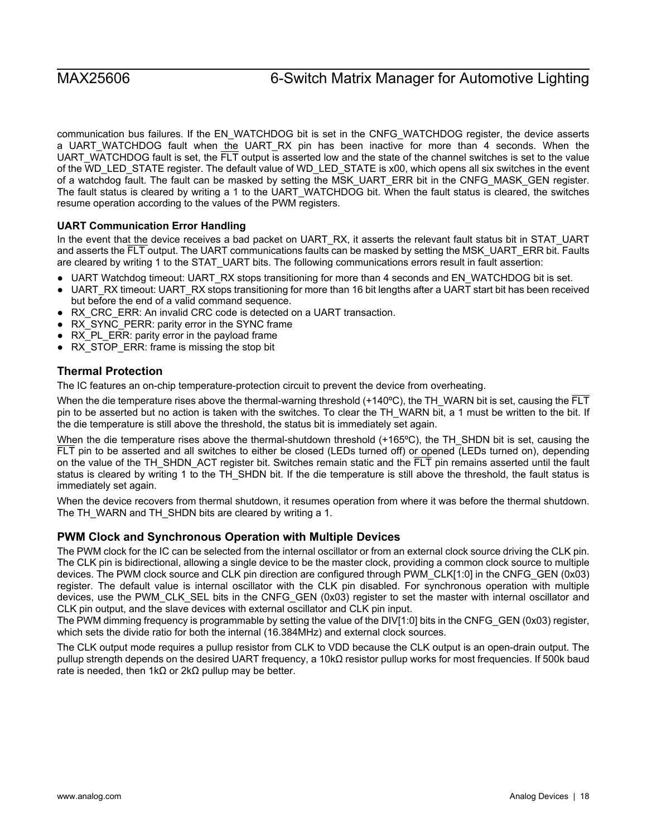communication bus failures. If the EN\_WATCHDOG bit is set in the CNFG\_WATCHDOG register, the device asserts a UART\_WATCHDOG fault when the UART\_RX pin has been inactive for more than 4 seconds. When the UART\_WATCHDOG fault is set, the FLT output is asserted low and the state of the channel switches is set to the value of the WD\_LED\_STATE register. The default value of WD\_LED\_STATE is x00, which opens all six switches in the event of a watchdog fault. The fault can be masked by setting the MSK\_UART\_ERR bit in the CNFG\_MASK\_GEN register. The fault status is cleared by writing a 1 to the UART\_WATCHDOG bit. When the fault status is cleared, the switches resume operation according to the values of the PWM registers.

### <span id="page-17-0"></span>**UART Communication Error Handling**

In the event that the device receives a bad packet on UART\_RX, it asserts the relevant fault status bit in STAT\_UART and asserts the FLT output. The UART communications faults can be masked by setting the MSK\_UART\_ERR bit. Faults are cleared by writing 1 to the STAT\_UART bits. The following communications errors result in fault assertion:

- UART Watchdog timeout: UART\_RX stops transitioning for more than 4 seconds and EN\_WATCHDOG bit is set.
- UART\_RX timeout: UART\_RX stops transitioning for more than 16 bit lengths after a UART start bit has been received but before the end of a valid command sequence.
- RX\_CRC\_ERR: An invalid CRC code is detected on a UART transaction.
- RX\_SYNC\_PERR: parity error in the SYNC frame
- RX PL ERR: parity error in the payload frame
- RX\_STOP\_ERR: frame is missing the stop bit

## <span id="page-17-1"></span>**Thermal Protection**

The IC features an on-chip temperature-protection circuit to prevent the device from overheating.

When the die temperature rises above the thermal-warning threshold (+140 $^{\circ}$ C), the TH\_WARN bit is set, causing the  $\overline{FLT}$ pin to be asserted but no action is taken with the switches. To clear the TH\_WARN bit, a 1 must be written to the bit. If the die temperature is still above the threshold, the status bit is immediately set again.

When the die temperature rises above the thermal-shutdown threshold (+165°C), the TH\_SHDN bit is set, causing the FLT pin to be asserted and all switches to either be closed (LEDs turned off) or opened (LEDs turned on), depending on the value of the TH\_SHDN\_ACT register bit. Switches remain static and the  $\overline{\text{FLT}}$  pin remains asserted until the fault status is cleared by writing 1 to the TH\_SHDN bit. If the die temperature is still above the threshold, the fault status is immediately set again.

When the device recovers from thermal shutdown, it resumes operation from where it was before the thermal shutdown. The TH\_WARN and TH\_SHDN bits are cleared by writing a 1.

### <span id="page-17-2"></span>**PWM Clock and Synchronous Operation with Multiple Devices**

The PWM clock for the IC can be selected from the internal oscillator or from an external clock source driving the CLK pin. The CLK pin is bidirectional, allowing a single device to be the master clock, providing a common clock source to multiple devices. The PWM clock source and CLK pin direction are configured through PWM\_CLK[1:0] in the CNFG\_GEN (0x03) register. The default value is internal oscillator with the CLK pin disabled. For synchronous operation with multiple devices, use the PWM\_CLK\_SEL bits in the CNFG\_GEN (0x03) register to set the master with internal oscillator and CLK pin output, and the slave devices with external oscillator and CLK pin input.

The PWM dimming frequency is programmable by setting the value of the DIV[1:0] bits in the CNFG\_GEN (0x03) register, which sets the divide ratio for both the internal (16.384MHz) and external clock sources.

The CLK output mode requires a pullup resistor from CLK to VDD because the CLK output is an open-drain output. The pullup strength depends on the desired UART frequency, a 10kΩ resistor pullup works for most frequencies. If 500k baud rate is needed, then 1kΩ or 2kΩ pullup may be better.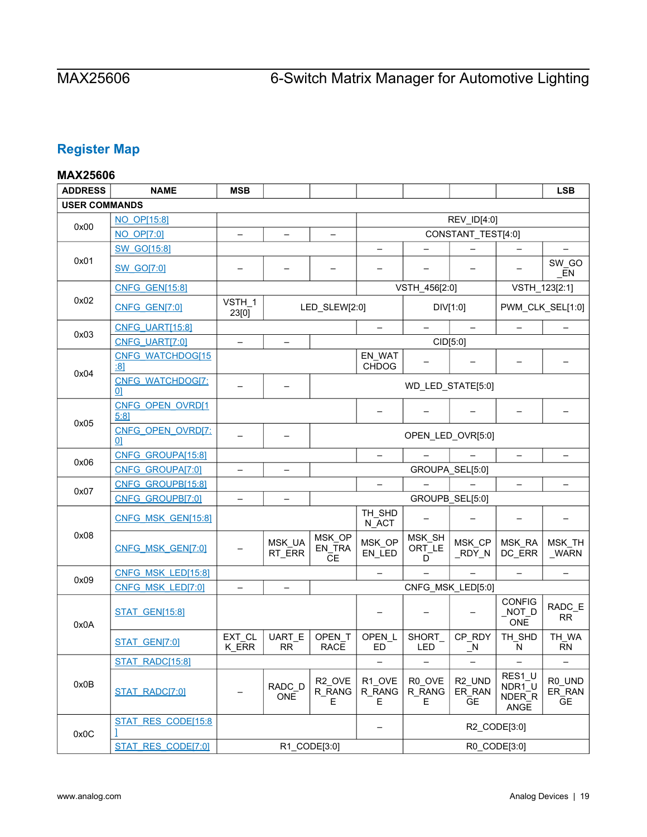# <span id="page-18-0"></span>**Register Map**

# <span id="page-18-1"></span>**MAX25606**

| <b>ADDRESS</b>       | <b>NAME</b>                    | <b>MSB</b>               |                          |                                   |                          |                       |                                           |                                    | <b>LSB</b>                    |
|----------------------|--------------------------------|--------------------------|--------------------------|-----------------------------------|--------------------------|-----------------------|-------------------------------------------|------------------------------------|-------------------------------|
| <b>USER COMMANDS</b> |                                |                          |                          |                                   |                          |                       |                                           |                                    |                               |
|                      | NO OP[15:8]                    |                          |                          |                                   |                          |                       | REV_ID[4:0]                               |                                    |                               |
| 0x00                 | <b>NO OP[7:0]</b>              | -                        | $\overline{\phantom{m}}$ | $\qquad \qquad -$                 |                          |                       | CONSTANT_TEST[4:0]                        |                                    |                               |
|                      | <b>SW GO[15:8]</b>             |                          |                          |                                   |                          |                       |                                           |                                    |                               |
| 0x01                 | <b>SW_GO[7:0]</b>              |                          |                          |                                   | $\overline{\phantom{0}}$ |                       |                                           |                                    | SW_GO<br>EN                   |
|                      | <b>CNFG GEN[15:8]</b>          |                          |                          |                                   |                          | VSTH_456[2:0]         |                                           | VSTH_123[2:1]                      |                               |
| 0x02                 | CNFG GEN[7:0]                  | VSTH_1<br>23[0]          |                          | LED_SLEW[2:0]                     |                          |                       | DIV[1:0]                                  |                                    | PWM_CLK_SEL[1:0]              |
| 0x03                 | <b>CNFG_UART[15:8]</b>         |                          |                          |                                   |                          |                       |                                           |                                    |                               |
|                      | CNFG UART[7:0]                 | -                        | -                        |                                   |                          | CID[5:0]              |                                           |                                    |                               |
| 0x04                 | <b>CNFG WATCHDOG[15</b><br>:81 |                          |                          |                                   | EN_WAT<br><b>CHDOG</b>   |                       |                                           |                                    |                               |
|                      | <b>CNFG WATCHDOG[7:</b><br>01  |                          |                          |                                   |                          |                       | WD_LED_STATE[5:0]                         |                                    |                               |
| 0x05                 | CNFG OPEN OVRD[1<br>5:81       |                          |                          |                                   |                          |                       |                                           |                                    |                               |
|                      | CNFG OPEN OVRD[7:<br>01        |                          |                          |                                   |                          |                       | OPEN_LED_OVR[5:0]                         |                                    |                               |
| 0x06                 | CNFG GROUPA[15:8]              |                          |                          |                                   | $\qquad \qquad -$        |                       |                                           | $\overline{\phantom{0}}$           |                               |
|                      | CNFG GROUPA[7:0]               | $\overline{\phantom{0}}$ | $\overline{\phantom{0}}$ |                                   |                          |                       | GROUPA SEL[5:0]                           |                                    |                               |
| 0x07                 | CNFG_GROUPB[15:8]              |                          |                          |                                   | $\overline{\phantom{0}}$ |                       |                                           |                                    |                               |
|                      | CNFG GROUPB[7:0]               |                          |                          |                                   |                          |                       | GROUPB_SEL[5:0]                           |                                    |                               |
|                      | CNFG MSK GEN[15:8]             |                          |                          |                                   | TH_SHD<br>N_ACT          |                       |                                           |                                    |                               |
| 0x08                 | CNFG MSK GEN[7:0]              |                          | MSK_UA<br>RT_ERR         | MSK_OP<br>EN_TRA<br><b>CE</b>     | MSK_OP<br>EN_LED         | MSK_SH<br>ORT_LE<br>D | MSK_CP<br>_RDY_N                          | MSK RA<br>DC_ERR                   | MSK_TH<br><b>WARN</b>         |
| 0x09                 | CNFG_MSK_LED[15:8]             |                          |                          |                                   | $\overline{\phantom{0}}$ |                       |                                           |                                    | $\overline{\phantom{0}}$      |
|                      | CNFG MSK LED[7:0]              |                          |                          |                                   |                          |                       | CNFG MSK LED[5:0]                         |                                    |                               |
| 0x0A                 | <b>STAT_GEN[15:8]</b>          |                          |                          |                                   |                          |                       |                                           | <b>CONFIG</b><br>NOT<br><b>ONE</b> | RADC_E<br>RR.                 |
|                      | STAT GEN[7:0]                  | EXT_CL<br>K ERR          | UART_E<br><b>RR</b>      | OPEN_T<br><b>RACE</b>             | OPEN_L<br>ED             | SHORT_<br><b>LED</b>  | CP_RDY<br>$\mathsf{N}$                    | TH_SHD<br>N                        | TH_WA<br><b>RN</b>            |
|                      | STAT RADC[15:8]                |                          |                          |                                   | $\qquad \qquad -$        |                       | $\overline{\phantom{0}}$                  | $\qquad \qquad -$                  | $\overline{\phantom{0}}$      |
| 0x0B                 | STAT RADC[7:0]                 |                          | RADC_D<br><b>ONE</b>     | R <sub>2</sub> OVE<br>R_RANG<br>E | R1_OVE<br>R_RANG<br>Е    | R0 OVE<br>R_RANG<br>E | R <sub>2_UND</sub><br>ER_RAN<br><b>GE</b> | RES1_U<br>NDR1_U<br>NDER_R<br>ANGE | R0_UND<br>ER_RAN<br><b>GE</b> |
| 0x0C                 | STAT RES CODE[15:8             |                          |                          |                                   | —                        |                       |                                           | R2_CODE[3:0]                       |                               |
|                      | STAT RES CODE[7:0]             |                          |                          | R1_CODE[3:0]                      |                          |                       |                                           | R0_CODE[3:0]                       |                               |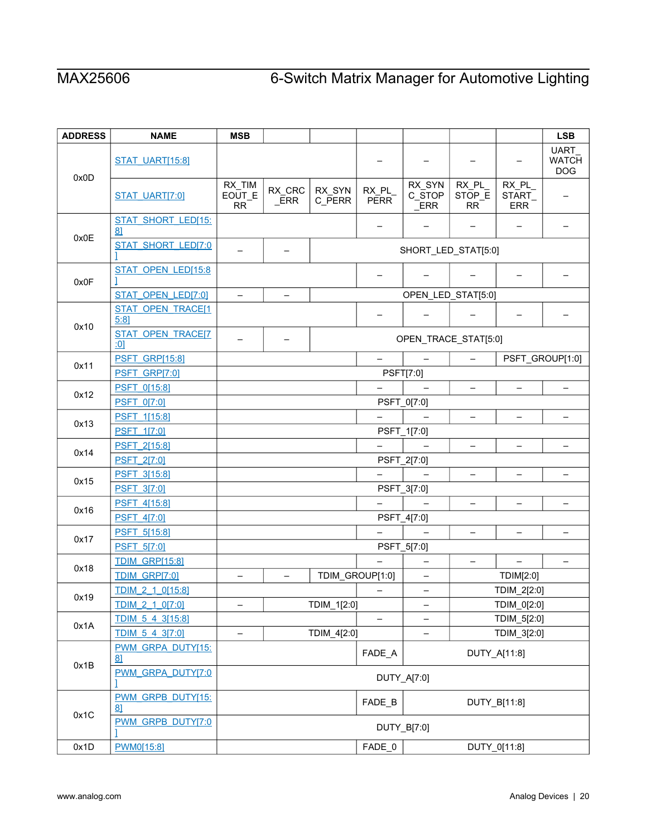| <b>ADDRESS</b> | <b>NAME</b>                         | <b>MSB</b>                    |                          |                  |                          |                                |                              |                               | <b>LSB</b>                                |
|----------------|-------------------------------------|-------------------------------|--------------------------|------------------|--------------------------|--------------------------------|------------------------------|-------------------------------|-------------------------------------------|
| 0x0D           | <b>STAT_UART[15:8]</b>              |                               |                          |                  |                          |                                |                              |                               | <b>UART</b><br><b>WATCH</b><br><b>DOG</b> |
|                | <b>STAT_UART[7:0]</b>               | RX_TIM<br>EOUT_E<br><b>RR</b> | RX_CRC<br><b>ERR</b>     | RX_SYN<br>C_PERR | RX PL<br><b>PERR</b>     | RX_SYN<br>C_STOP<br><b>ERR</b> | RX_PL<br>STOP_E<br><b>RR</b> | RX_PL<br>START_<br><b>ERR</b> |                                           |
|                | STAT SHORT LED[15:<br>81            |                               |                          |                  | $\qquad \qquad$          |                                | -                            | $\overline{\phantom{0}}$      |                                           |
| 0x0E           | <b>STAT SHORT LED[7:0</b>           |                               |                          |                  | SHORT_LED_STAT[5:0]      |                                |                              |                               |                                           |
| 0x0F           | STAT OPEN LED[15:8                  |                               |                          |                  |                          |                                |                              |                               |                                           |
|                | STAT OPEN LED[7:0]                  | $\qquad \qquad -$             | $\qquad \qquad -$        |                  |                          | OPEN_LED_STAT[5:0]             |                              |                               |                                           |
| 0x10           | STAT OPEN TRACE[1<br>5:81           |                               |                          |                  |                          |                                |                              |                               |                                           |
|                | <b>STAT OPEN TRACE[7</b><br>:01     |                               |                          |                  |                          | OPEN_TRACE_STAT[5:0]           |                              |                               |                                           |
| 0x11           | <b>PSFT_GRP[15:8]</b>               |                               |                          |                  | $\equiv$                 | $\overline{\phantom{m}}$       | $\overline{\phantom{m}}$     |                               | PSFT_GROUP[1:0]                           |
|                | PSFT GRP[7:0]                       |                               |                          |                  |                          | PSFT[7:0]                      |                              |                               |                                           |
| 0x12           | <b>PSFT 0[15:8]</b>                 |                               |                          |                  |                          |                                |                              |                               | -                                         |
|                | <b>PSFT 0[7:0]</b>                  |                               |                          |                  |                          | PSFT_0[7:0]                    |                              |                               |                                           |
| 0x13           | PSFT 1[15:8]                        |                               |                          |                  |                          |                                | $\overline{\phantom{0}}$     |                               | $\qquad \qquad -$                         |
|                | <b>PSFT 1[7:0]</b>                  |                               |                          |                  | PSFT_1[7:0]              |                                |                              |                               |                                           |
| 0x14           | PSFT 2[15:8]                        |                               |                          |                  | $\overline{\phantom{0}}$ | $\qquad \qquad -$              | $\overline{\phantom{m}}$     | $\overline{\phantom{m}}$      | $\overline{\phantom{m}}$                  |
|                | PSFT 2[7:0]                         |                               |                          |                  |                          | PSFT_2[7:0]                    |                              |                               |                                           |
| 0x15           | PSFT 3[15:8]                        |                               |                          |                  |                          |                                | $\overline{\phantom{0}}$     |                               | $\overline{\phantom{0}}$                  |
|                | PSFT 3[7:0]                         |                               |                          |                  |                          | PSFT_3[7:0]                    |                              |                               |                                           |
| 0x16           | PSFT 4[15:8]                        |                               |                          |                  |                          |                                | -                            |                               | -                                         |
|                | PSFT_4[7:0]                         |                               |                          |                  |                          | PSFT_4[7:0]                    |                              |                               |                                           |
| 0x17           | PSFT_5[15:8]                        |                               |                          |                  |                          |                                |                              |                               |                                           |
|                | PSFT_5[7:0]                         |                               |                          |                  |                          | PSFT_5[7:0]                    |                              |                               |                                           |
| 0x18           | <b>TDIM GRP[15:8]</b>               |                               |                          |                  |                          | $\overline{\phantom{0}}$       | $\overline{\phantom{m}}$     | $\qquad \qquad -$             | $\qquad \qquad -$                         |
|                | TDIM GRP[7:0]                       |                               | $\overline{\phantom{0}}$ |                  | TDIM_GROUP[1:0]          | $\qquad \qquad$                |                              | TDIM[2:0]                     |                                           |
| 0x19           | TDIM 2 1 0[15:8]                    |                               |                          |                  |                          | $\overline{\phantom{0}}$       |                              | TDIM_2[2:0]                   |                                           |
|                | TDIM 2 1 0[7:0]                     | $\qquad \qquad -$             |                          | TDIM_1[2:0]      |                          | $\overline{\phantom{a}}$       |                              | TDIM_0[2:0]                   |                                           |
| 0x1A           | TDIM 5 4 3[15:8]<br>TDIM 5 4 3[7:0] |                               |                          |                  | -                        |                                |                              | TDIM_5[2:0]                   |                                           |
|                | PWM GRPA DUTY[15:                   |                               |                          | TDIM_4[2:0]      |                          |                                |                              | TDIM_3[2:0]                   |                                           |
| 0x1B           | 81                                  | FADE_A<br>DUTY_A[11:8]        |                          |                  |                          |                                |                              |                               |                                           |
|                | PWM GRPA DUTY[7:0                   | DUTY_A[7:0]                   |                          |                  |                          |                                |                              |                               |                                           |
| 0x1C           | PWM_GRPB_DUTY[15:<br>81             | FADE_B<br>DUTY_B[11:8]        |                          |                  |                          |                                |                              |                               |                                           |
|                | PWM GRPB DUTY[7:0                   | DUTY_B[7:0]                   |                          |                  |                          |                                |                              |                               |                                           |
| 0x1D           | PWM0[15:8]                          |                               |                          |                  | FADE_0                   |                                |                              | DUTY_0[11:8]                  |                                           |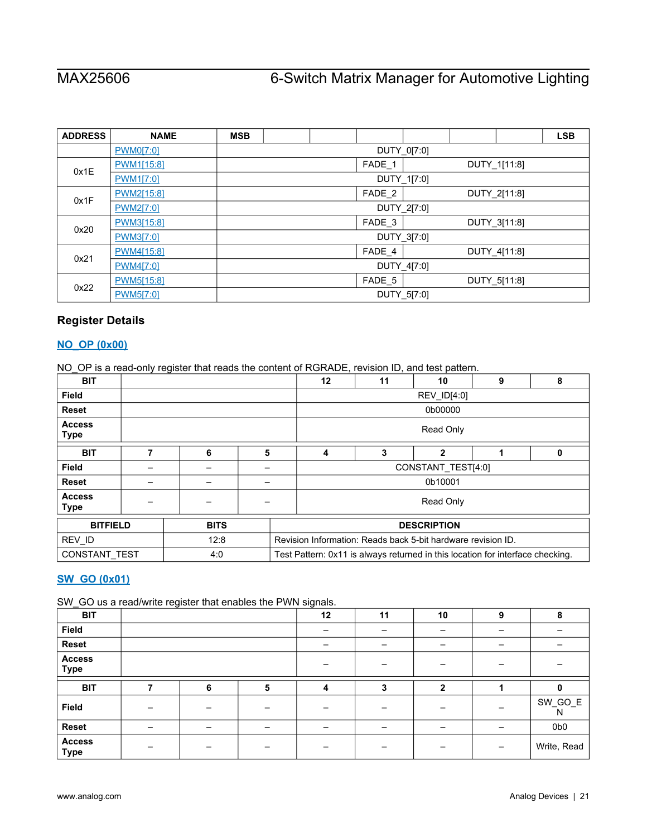| <b>ADDRESS</b> | <b>NAME</b> | <b>MSB</b>             |                        |  |                   |             |  |              | <b>LSB</b> |
|----------------|-------------|------------------------|------------------------|--|-------------------|-------------|--|--------------|------------|
|                | PWM0[7:0]   |                        |                        |  |                   | DUTY_0[7:0] |  |              |            |
| 0x1E           | PWM1[15:8]  |                        |                        |  | FADE 1            |             |  | DUTY_1[11:8] |            |
|                | PWM1[7:0]   |                        |                        |  | DUTY_1[7:0]       |             |  |              |            |
| 0x1F           | PWM2[15:8]  |                        | FADE_2<br>DUTY_2[11:8] |  |                   |             |  |              |            |
|                | PWM2[7:0]   |                        | DUTY_2[7:0]            |  |                   |             |  |              |            |
| 0x20           | PWM3[15:8]  |                        |                        |  | FADE <sub>3</sub> |             |  | DUTY_3[11:8] |            |
|                | PWM3[7:0]   |                        |                        |  |                   | DUTY_3[7:0] |  |              |            |
| 0x21           | PWM4[15:8]  |                        |                        |  | FADE_4            |             |  | DUTY 4[11:8] |            |
|                | PWM4[7:0]   |                        | DUTY_4[7:0]            |  |                   |             |  |              |            |
| 0x22           | PWM5[15:8]  | FADE 5<br>DUTY 5[11:8] |                        |  |                   |             |  |              |            |
|                | PWM5[7:0]   |                        |                        |  |                   | DUTY_5[7:0] |  |              |            |

# <span id="page-20-0"></span>**Register Details**

### <span id="page-20-1"></span>**[NO\\_OP \(0x00\)](#page-18-1)**

NO\_OP is a read-only register that reads the content of RGRADE, revision ID, and test pattern.

| <b>BIT</b>                   |             |   |                                                              | 12          | 11 | 10                                                                             | 9 | 8 |
|------------------------------|-------------|---|--------------------------------------------------------------|-------------|----|--------------------------------------------------------------------------------|---|---|
| <b>Field</b>                 |             |   |                                                              | REV_ID[4:0] |    |                                                                                |   |   |
| <b>Reset</b>                 |             |   |                                                              |             |    | 0b00000                                                                        |   |   |
| <b>Access</b><br><b>Type</b> |             |   |                                                              |             |    | Read Only                                                                      |   |   |
| <b>BIT</b>                   | 6           | 5 |                                                              | 4           | 3  | $\mathbf{2}$                                                                   |   | 0 |
| <b>Field</b>                 |             |   |                                                              |             |    | CONSTANT TEST[4:0]                                                             |   |   |
| <b>Reset</b>                 |             |   |                                                              |             |    | 0b10001                                                                        |   |   |
| <b>Access</b><br>Type        |             |   |                                                              |             |    | Read Only                                                                      |   |   |
| <b>BITFIELD</b>              | <b>BITS</b> |   | <b>DESCRIPTION</b>                                           |             |    |                                                                                |   |   |
| REV_ID                       | 12:8        |   | Revision Information: Reads back 5-bit hardware revision ID. |             |    |                                                                                |   |   |
| <b>CONSTANT TEST</b>         | 4:0         |   |                                                              |             |    | Test Pattern: 0x11 is always returned in this location for interface checking. |   |   |

# <span id="page-20-2"></span>**[SW\\_GO \(0x01\)](#page-18-1)**

SW GO us a read/write register that enables the PWN signals.

| <b>BIT</b>                   | <u>ັ</u> |   |   | ັ<br>12 | 11 | 10           | 9                        | 8               |
|------------------------------|----------|---|---|---------|----|--------------|--------------------------|-----------------|
| Field                        |          |   |   |         |    | -            | $\overline{\phantom{0}}$ |                 |
| Reset                        |          |   |   |         |    |              | -                        |                 |
| <b>Access</b><br><b>Type</b> |          |   |   |         |    |              |                          |                 |
| <b>BIT</b>                   | ⇁        | 6 | 5 | 4       | 3  | $\mathbf{2}$ |                          |                 |
| Field                        |          |   |   |         |    |              | -                        | SW_GO_E<br>N    |
| <b>Reset</b>                 |          |   |   |         |    |              |                          | 0b <sub>0</sub> |
| <b>Access</b><br><b>Type</b> |          |   |   |         |    |              | -                        | Write, Read     |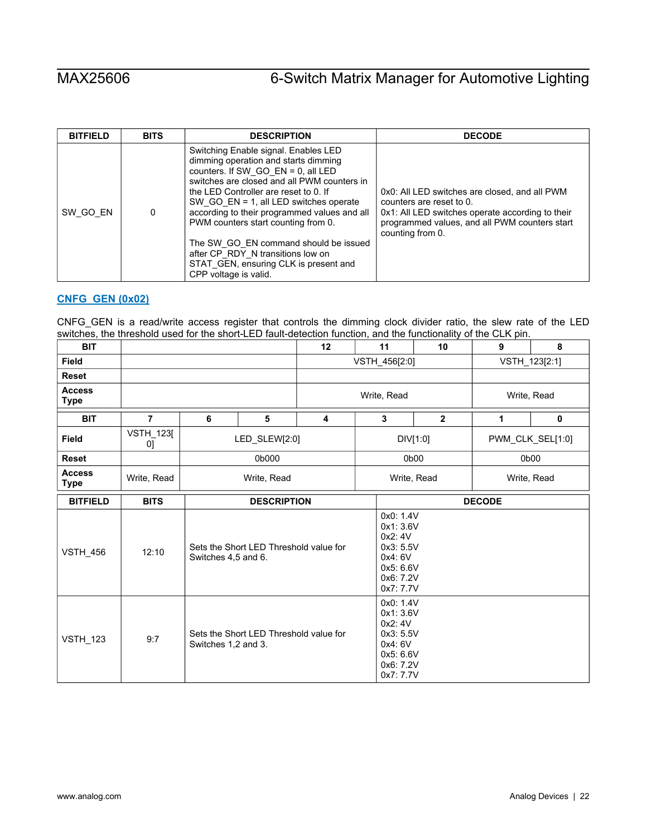| <b>BITFIELD</b> | <b>BITS</b> | <b>DESCRIPTION</b>                                                                                                                                                                                                                                                                                                                                                                                                                                                                                | <b>DECODE</b>                                                                                                                                                                                      |
|-----------------|-------------|---------------------------------------------------------------------------------------------------------------------------------------------------------------------------------------------------------------------------------------------------------------------------------------------------------------------------------------------------------------------------------------------------------------------------------------------------------------------------------------------------|----------------------------------------------------------------------------------------------------------------------------------------------------------------------------------------------------|
| SW GO EN        | 0           | Switching Enable signal. Enables LED<br>dimming operation and starts dimming<br>counters. If SW_GO_EN = $0$ , all LED<br>switches are closed and all PWM counters in<br>the LED Controller are reset to 0. If<br>SW GO $EN = 1$ , all LED switches operate<br>according to their programmed values and all<br>PWM counters start counting from 0.<br>The SW_GO_EN command should be issued<br>after CP_RDY_N transitions low on<br>STAT GEN, ensuring CLK is present and<br>CPP voltage is valid. | 0x0: All LED switches are closed, and all PWM<br>counters are reset to 0.<br>0x1: All LED switches operate according to their<br>programmed values, and all PWM counters start<br>counting from 0. |

## <span id="page-21-0"></span>**[CNFG\\_GEN \(0x02\)](#page-18-1)**

CNFG\_GEN is a read/write access register that controls the dimming clock divider ratio, the slew rate of the LED switches, the threshold used for the short-LED fault-detection function, and the functionality of the CLK pin.

| <b>BIT</b>                   |                        |                     | 12                                                            |  |             | 11                                                                                              | 10                                                                         | 9             | 8                |  |
|------------------------------|------------------------|---------------------|---------------------------------------------------------------|--|-------------|-------------------------------------------------------------------------------------------------|----------------------------------------------------------------------------|---------------|------------------|--|
| <b>Field</b>                 |                        |                     |                                                               |  |             | VSTH_456[2:0]                                                                                   |                                                                            | VSTH_123[2:1] |                  |  |
| <b>Reset</b>                 |                        |                     |                                                               |  |             |                                                                                                 |                                                                            |               |                  |  |
| <b>Access</b><br><b>Type</b> |                        |                     |                                                               |  | Write, Read |                                                                                                 |                                                                            |               | Write, Read      |  |
| <b>BIT</b>                   | $\overline{7}$         | 6                   | 5<br>$\overline{\mathbf{4}}$                                  |  |             | 3                                                                                               | $\overline{2}$                                                             | 1             | $\mathbf 0$      |  |
| <b>Field</b>                 | <b>VSTH_123[</b><br>0] |                     | LED_SLEW[2:0]                                                 |  |             |                                                                                                 | DIV[1:0]                                                                   |               | PWM_CLK_SEL[1:0] |  |
| <b>Reset</b>                 |                        |                     | 0b000                                                         |  |             |                                                                                                 | 0b00                                                                       |               | 0b00             |  |
| <b>Access</b><br><b>Type</b> | Write, Read            | Write, Read         |                                                               |  |             | Write, Read<br>Write, Read                                                                      |                                                                            |               |                  |  |
| <b>BITFIELD</b>              | <b>BITS</b>            |                     | <b>DESCRIPTION</b>                                            |  |             |                                                                                                 |                                                                            | <b>DECODE</b> |                  |  |
| <b>VSTH_456</b>              | 12:10                  |                     | Sets the Short LED Threshold value for<br>Switches 4,5 and 6. |  |             |                                                                                                 | 0x0: 1.4V<br>0x1: 3.6V<br>0x3: 5.5V<br>0x5: 6.6V<br>0x6: 7.2V<br>0x7: 7.7V |               |                  |  |
| <b>VSTH_123</b>              | 9:7                    | Switches 1,2 and 3. | Sets the Short LED Threshold value for                        |  |             | 0x0: 1.4V<br>0x1: 3.6V<br>0x2:4V<br>0x3: 5.5V<br>0x4: 6V<br>0x5: 6.6V<br>0x6: 7.2V<br>0x7: 7.7V |                                                                            |               |                  |  |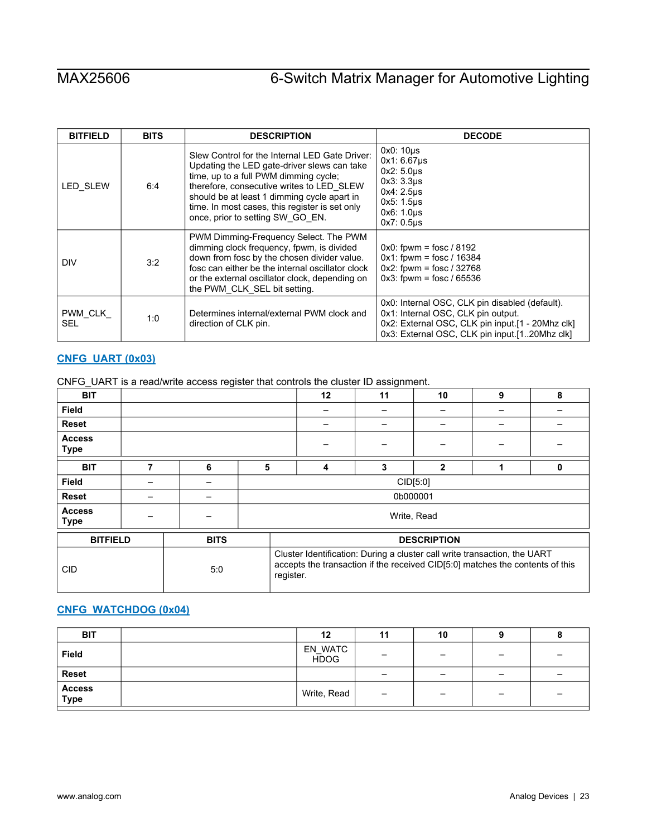| <b>BITFIELD</b>       | <b>BITS</b> | <b>DESCRIPTION</b>                                                                                                                                                                                                                                                                                                       | <b>DECODE</b>                                                                                                                                                                             |
|-----------------------|-------------|--------------------------------------------------------------------------------------------------------------------------------------------------------------------------------------------------------------------------------------------------------------------------------------------------------------------------|-------------------------------------------------------------------------------------------------------------------------------------------------------------------------------------------|
| <b>LED SLEW</b>       | 6:4         | Slew Control for the Internal LED Gate Driver:<br>Updating the LED gate-driver slews can take<br>time, up to a full PWM dimming cycle;<br>therefore, consecutive writes to LED SLEW<br>should be at least 1 dimming cycle apart in<br>time. In most cases, this register is set only<br>once, prior to setting SW_GO_EN. | 0x0: 10us<br>$0x1:6.67\mu s$<br>$0x2:5.0\mu s$<br>$0x3:3.3\mu s$<br>0x4: 2.5us<br>$0x5:1.5\mu s$<br>0x6: 1.0us<br>$0x7:0.5\mu s$                                                          |
| DIV                   | 3:2         | PWM Dimming-Frequency Select. The PWM<br>dimming clock frequency, fpwm, is divided<br>down from fosc by the chosen divider value.<br>fosc can either be the internal oscillator clock<br>or the external oscillator clock, depending on<br>the PWM CLK SEL bit setting.                                                  | $0x0$ : fpwm = fosc / 8192<br>$0x1$ : fpwm = fosc / 16384<br>$0x2$ : fpwm = fosc / 32768<br>$0x3$ : fpwm = fosc / 65536                                                                   |
| PWM CLK<br><b>SEL</b> | 1:0         | Determines internal/external PWM clock and<br>direction of CLK pin.                                                                                                                                                                                                                                                      | 0x0: Internal OSC, CLK pin disabled (default).<br>0x1: Internal OSC, CLK pin output.<br>0x2: External OSC, CLK pin input.[1 - 20Mhz clk]<br>0x3: External OSC, CLK pin input.[120Mhz clk] |

# <span id="page-22-0"></span>**[CNFG\\_UART \(0x03\)](#page-18-1)**

|  |  |  | CNFG_UART is a read/write access register that controls the cluster ID assignment. |
|--|--|--|------------------------------------------------------------------------------------|
|  |  |  |                                                                                    |

| <b>BIT</b>                   |   |             |   |                                                                                                                                                                         | 12 | 11       | 10                 | 9 | 8 |
|------------------------------|---|-------------|---|-------------------------------------------------------------------------------------------------------------------------------------------------------------------------|----|----------|--------------------|---|---|
| <b>Field</b>                 |   |             |   |                                                                                                                                                                         |    |          |                    |   |   |
| <b>Reset</b>                 |   |             |   |                                                                                                                                                                         |    |          |                    |   |   |
| <b>Access</b><br><b>Type</b> |   |             |   |                                                                                                                                                                         |    |          |                    |   |   |
| <b>BIT</b>                   | 7 | 6           | 5 |                                                                                                                                                                         | 4  | 3        | $\overline{2}$     |   | 0 |
| <b>Field</b>                 |   |             |   |                                                                                                                                                                         |    |          | CID[5:0]           |   |   |
| <b>Reset</b>                 |   |             |   |                                                                                                                                                                         |    | 0b000001 |                    |   |   |
| <b>Access</b><br><b>Type</b> |   |             |   |                                                                                                                                                                         |    |          | Write, Read        |   |   |
| <b>BITFIELD</b>              |   | <b>BITS</b> |   |                                                                                                                                                                         |    |          | <b>DESCRIPTION</b> |   |   |
| <b>CID</b>                   |   | 5:0         |   | Cluster Identification: During a cluster call write transaction, the UART<br>accepts the transaction if the received CID[5:0] matches the contents of this<br>register. |    |          |                    |   |   |

## <span id="page-22-1"></span>**[CNFG\\_WATCHDOG \(0x04\)](#page-18-1)**

| <b>BIT</b>     | 12                     | 11              | 10 |                          |  |
|----------------|------------------------|-----------------|----|--------------------------|--|
| <b>Field</b>   | EN_WATC<br><b>HDOG</b> | -               |    | $\overline{\phantom{m}}$ |  |
| <b>Reset</b>   |                        | -               | -  | $\overline{\phantom{m}}$ |  |
| Access<br>Type | Write, Read            | $\qquad \qquad$ |    | $\overline{\phantom{0}}$ |  |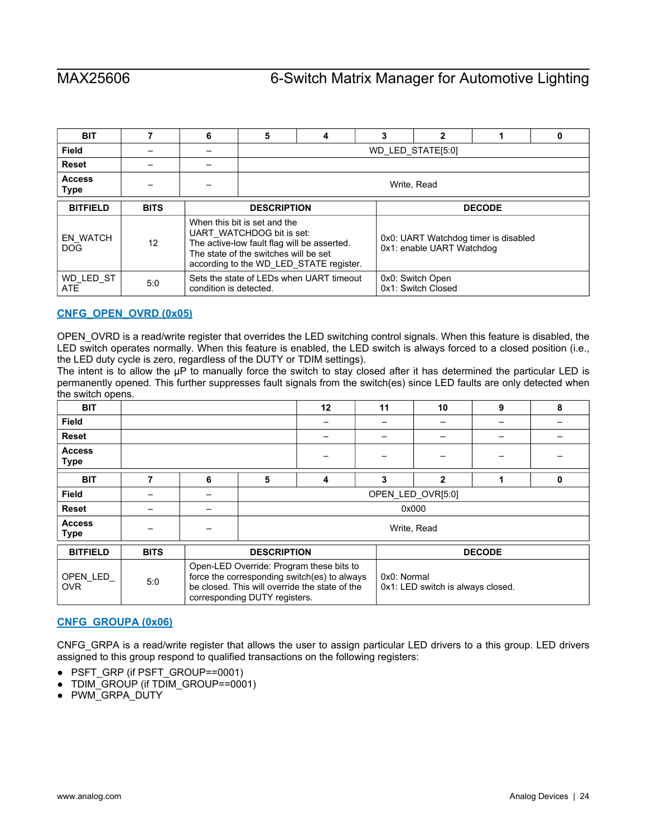| <b>BIT</b>                    |             | ĥ                      | $\mathbf{2}$<br>5<br>3<br>4<br>0                                                                                                                  |                                         |  |                                                                   |               |  |  |  |
|-------------------------------|-------------|------------------------|---------------------------------------------------------------------------------------------------------------------------------------------------|-----------------------------------------|--|-------------------------------------------------------------------|---------------|--|--|--|
| Field                         |             |                        | WD LED STATE[5:0]                                                                                                                                 |                                         |  |                                                                   |               |  |  |  |
| <b>Reset</b>                  |             |                        |                                                                                                                                                   |                                         |  |                                                                   |               |  |  |  |
| <b>Access</b><br>Type         |             |                        |                                                                                                                                                   | Write, Read                             |  |                                                                   |               |  |  |  |
| <b>BITFIELD</b>               | <b>BITS</b> |                        | <b>DESCRIPTION</b>                                                                                                                                |                                         |  |                                                                   | <b>DECODE</b> |  |  |  |
| <b>EN WATCH</b><br><b>DOG</b> | 12          |                        | When this bit is set and the<br>UART WATCHDOG bit is set:<br>The active-low fault flag will be asserted.<br>The state of the switches will be set | according to the WD LED STATE register. |  | 0x0: UART Watchdog timer is disabled<br>0x1: enable UART Watchdog |               |  |  |  |
| WD LED ST<br><b>ATE</b>       | 5:0         | condition is detected. | Sets the state of LEDs when UART timeout                                                                                                          |                                         |  |                                                                   |               |  |  |  |

## <span id="page-23-0"></span>**[CNFG\\_OPEN\\_OVRD \(0x05\)](#page-18-1)**

OPEN\_OVRD is a read/write register that overrides the LED switching control signals. When this feature is disabled, the LED switch operates normally. When this feature is enabled, the LED switch is always forced to a closed position (i.e., the LED duty cycle is zero, regardless of the DUTY or TDIM settings).

The intent is to allow the μP to manually force the switch to stay closed after it has determined the particular LED is permanently opened. This further suppresses fault signals from the switch(es) since LED faults are only detected when the switch opens.

| <b>BIT</b>                   |             |   |                               | 12                                                                                                                                         | 11          | 10                                | 9             | 8 |
|------------------------------|-------------|---|-------------------------------|--------------------------------------------------------------------------------------------------------------------------------------------|-------------|-----------------------------------|---------------|---|
| <b>Field</b>                 |             |   |                               |                                                                                                                                            |             |                                   |               |   |
| <b>Reset</b>                 |             |   |                               |                                                                                                                                            |             |                                   |               |   |
| <b>Access</b><br><b>Type</b> |             |   |                               |                                                                                                                                            |             |                                   |               |   |
| <b>BIT</b>                   | 7           | 6 | 5                             | 4                                                                                                                                          | 3           | 2                                 |               | 0 |
| Field                        |             |   |                               |                                                                                                                                            |             | OPEN LED OVR[5:0]                 |               |   |
| <b>Reset</b>                 |             |   |                               |                                                                                                                                            |             | 0x000                             |               |   |
| <b>Access</b><br><b>Type</b> |             |   |                               |                                                                                                                                            |             | Write, Read                       |               |   |
| <b>BITFIELD</b>              | <b>BITS</b> |   | <b>DESCRIPTION</b>            |                                                                                                                                            |             |                                   | <b>DECODE</b> |   |
| OPEN LED<br><b>OVR</b>       | 5:0         |   | corresponding DUTY registers. | Open-LED Override: Program these bits to<br>force the corresponding switch(es) to always<br>be closed. This will override the state of the | 0x0: Normal | 0x1: LED switch is always closed. |               |   |

### <span id="page-23-1"></span>**[CNFG\\_GROUPA \(0x06\)](#page-18-1)**

CNFG\_GRPA is a read/write register that allows the user to assign particular LED drivers to a this group. LED drivers assigned to this group respond to qualified transactions on the following registers:

- PSFT\_GRP (if PSFT\_GROUP==0001)
- TDIM\_GROUP (if TDIM\_GROUP==0001)
- PWM\_GRPA\_DUTY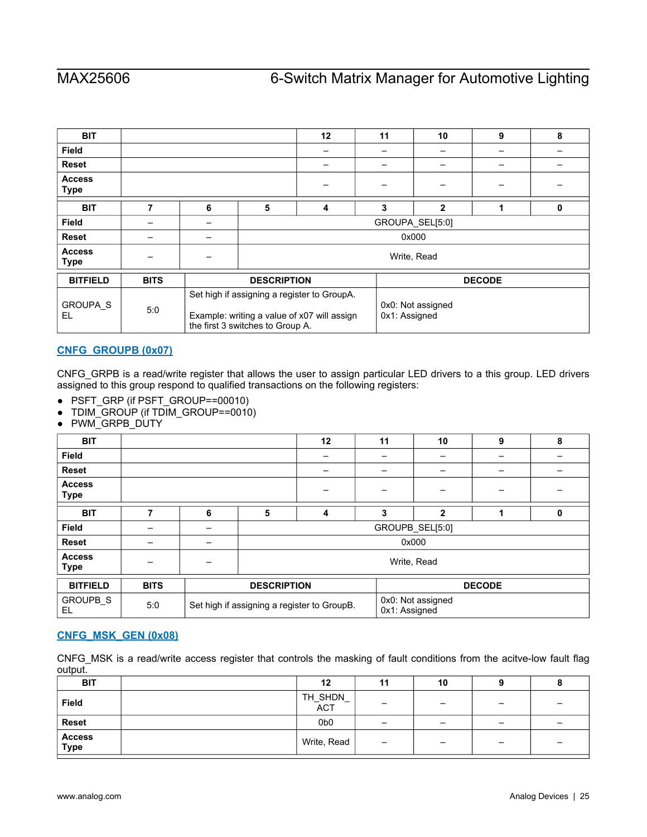| <b>BIT</b>                   |             |   |                                  | 12                                                                                                                               | 11 | 10              | 9             | 8 |  |  |
|------------------------------|-------------|---|----------------------------------|----------------------------------------------------------------------------------------------------------------------------------|----|-----------------|---------------|---|--|--|
| <b>Field</b>                 |             |   |                                  |                                                                                                                                  |    |                 |               |   |  |  |
| <b>Reset</b>                 |             |   |                                  |                                                                                                                                  |    |                 |               |   |  |  |
| <b>Access</b><br>Type        |             |   |                                  |                                                                                                                                  |    |                 |               |   |  |  |
| <b>BIT</b>                   | 7           | 6 | 5                                | 4                                                                                                                                | 3  | $\overline{2}$  | 4             | 0 |  |  |
| <b>Field</b>                 |             |   |                                  |                                                                                                                                  |    | GROUPA_SEL[5:0] |               |   |  |  |
| <b>Reset</b>                 |             |   |                                  |                                                                                                                                  |    | 0x000           |               |   |  |  |
| <b>Access</b><br><b>Type</b> |             |   |                                  |                                                                                                                                  |    | Write, Read     |               |   |  |  |
| <b>BITFIELD</b>              | <b>BITS</b> |   | <b>DESCRIPTION</b>               |                                                                                                                                  |    |                 | <b>DECODE</b> |   |  |  |
| <b>GROUPA S</b><br>EL        | 5:0         |   | the first 3 switches to Group A. | Set high if assigning a register to GroupA.<br>0x0: Not assigned<br>0x1: Assigned<br>Example: writing a value of x07 will assign |    |                 |               |   |  |  |

# <span id="page-24-0"></span>**[CNFG\\_GROUPB \(0x07\)](#page-18-1)**

CNFG\_GRPB is a read/write register that allows the user to assign particular LED drivers to a this group. LED drivers assigned to this group respond to qualified transactions on the following registers:

- PSFT\_GRP (if PSFT\_GROUP==00010)
- TDIM\_GROUP (if TDIM\_GROUP==0010)
- PWM\_GRPB\_DUTY

| <b>BIT</b>                   |             |   |                    | 12                                          | 11 | 10                                 | 9             | 8 |
|------------------------------|-------------|---|--------------------|---------------------------------------------|----|------------------------------------|---------------|---|
| <b>Field</b>                 |             |   |                    |                                             |    |                                    |               |   |
| <b>Reset</b>                 |             |   |                    |                                             |    |                                    |               |   |
| <b>Access</b><br><b>Type</b> |             |   |                    |                                             |    |                                    |               |   |
| <b>BIT</b>                   |             | 6 | 5                  | 4                                           | 3  | $\overline{2}$                     |               | 0 |
| <b>Field</b>                 |             |   |                    |                                             |    | GROUPB_SEL[5:0]                    |               |   |
| <b>Reset</b>                 |             |   |                    |                                             |    | 0x000                              |               |   |
| <b>Access</b><br><b>Type</b> |             |   |                    |                                             |    | Write, Read                        |               |   |
| <b>BITFIELD</b>              | <b>BITS</b> |   | <b>DESCRIPTION</b> |                                             |    |                                    | <b>DECODE</b> |   |
| GROUPB_S<br>EL               | 5:0         |   |                    | Set high if assigning a register to GroupB. |    | 0x0: Not assigned<br>0x1: Assigned |               |   |

# <span id="page-24-1"></span>**[CNFG\\_MSK\\_GEN \(0x08\)](#page-18-1)**

CNFG\_MSK is a read/write access register that controls the masking of fault conditions from the acitve-low fault flag output.

| <b>BIT</b>                   | 12              | 11                       | 10 |                 |   |
|------------------------------|-----------------|--------------------------|----|-----------------|---|
| <b>Field</b>                 | TH_SHDN_<br>ACT | -                        | -  | -               |   |
| <b>Reset</b>                 | 0b <sub>0</sub> | $\overline{\phantom{0}}$ | -  | $\qquad \qquad$ | - |
| <b>Access</b><br><b>Type</b> | Write, Read     | $\qquad \qquad -$        | -  | $\qquad \qquad$ |   |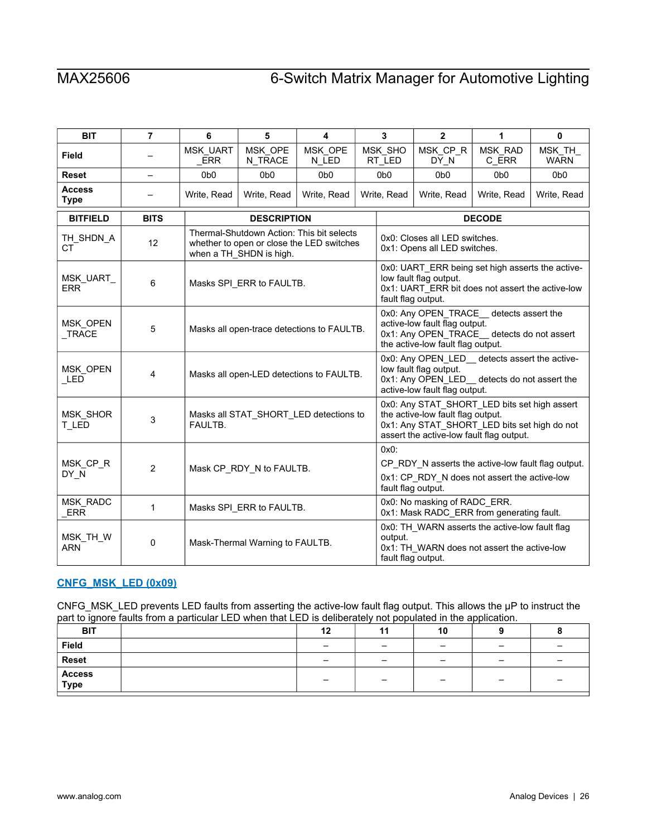| <b>BIT</b>                   | $\overline{7}$ | 6                      | 5                                                                                                                                                                                  | 4                                          |                                                                                                                                                                               | $\mathbf{2}$<br>3<br>1<br>0                                                                                                                                  |                                                                                                    |                  |                       |  |
|------------------------------|----------------|------------------------|------------------------------------------------------------------------------------------------------------------------------------------------------------------------------------|--------------------------------------------|-------------------------------------------------------------------------------------------------------------------------------------------------------------------------------|--------------------------------------------------------------------------------------------------------------------------------------------------------------|----------------------------------------------------------------------------------------------------|------------------|-----------------------|--|
| <b>Field</b>                 |                | MSK_UART<br><b>ERR</b> | MSK OPE<br>N_TRACE                                                                                                                                                                 | MSK_OPE<br>N_LED                           |                                                                                                                                                                               | MSK_SHO<br>RT_LED                                                                                                                                            | MSK_CP_R<br>DY N                                                                                   | MSK_RAD<br>C_ERR | MSK_TH<br><b>WARN</b> |  |
| <b>Reset</b>                 |                | 0 <sub>b</sub> o       | 0 <sub>b</sub> 0                                                                                                                                                                   | 0b <sub>0</sub>                            |                                                                                                                                                                               | 0b <sub>0</sub>                                                                                                                                              | 0 <sub>b</sub> o                                                                                   | 0b <sub>0</sub>  | 0 <sub>b</sub> 0      |  |
| <b>Access</b><br><b>Type</b> |                | Write, Read            | Write, Read                                                                                                                                                                        | Write, Read                                |                                                                                                                                                                               | Write, Read                                                                                                                                                  | Write, Read                                                                                        | Write, Read      | Write, Read           |  |
| <b>BITFIELD</b>              | <b>BITS</b>    |                        | <b>DESCRIPTION</b>                                                                                                                                                                 |                                            | <b>DECODE</b>                                                                                                                                                                 |                                                                                                                                                              |                                                                                                    |                  |                       |  |
| TH_SHDN_A<br><b>CT</b>       | 12             |                        | Thermal-Shutdown Action: This bit selects<br>0x0: Closes all LED switches.<br>whether to open or close the LED switches<br>0x1: Opens all LED switches.<br>when a TH_SHDN is high. |                                            |                                                                                                                                                                               |                                                                                                                                                              |                                                                                                    |                  |                       |  |
| MSK_UART_<br><b>ERR</b>      | 6              |                        | Masks SPI_ERR to FAULTB.                                                                                                                                                           |                                            |                                                                                                                                                                               | 0x0: UART_ERR being set high asserts the active-<br>low fault flag output.<br>0x1: UART ERR bit does not assert the active-low<br>fault flag output.         |                                                                                                    |                  |                       |  |
| MSK_OPEN<br>$_T$ RACE        | 5              |                        |                                                                                                                                                                                    | Masks all open-trace detections to FAULTB. |                                                                                                                                                                               | 0x0: Any OPEN_TRACE __ detects assert the<br>active-low fault flag output.<br>0x1: Any OPEN_TRACE_detects do not assert<br>the active-low fault flag output. |                                                                                                    |                  |                       |  |
| MSK_OPEN<br>LED              | 4              |                        |                                                                                                                                                                                    | Masks all open-LED detections to FAULTB.   |                                                                                                                                                                               | 0x0: Any OPEN_LED_ detects assert the active-<br>low fault flag output.<br>0x1: Any OPEN_LED_ detects do not assert the<br>active-low fault flag output.     |                                                                                                    |                  |                       |  |
| MSK_SHOR<br>T_LED            | 3              | FAULTB.                |                                                                                                                                                                                    | Masks all STAT_SHORT_LED detections to     | 0x0: Any STAT_SHORT_LED bits set high assert<br>the active-low fault flag output.<br>0x1: Any STAT_SHORT_LED bits set high do not<br>assert the active-low fault flag output. |                                                                                                                                                              |                                                                                                    |                  |                       |  |
| MSK CP R<br>DY N             | $\overline{2}$ |                        | Mask CP_RDY_N to FAULTB.                                                                                                                                                           |                                            |                                                                                                                                                                               | $0x0$ :<br>fault flag output.                                                                                                                                | CP RDY N asserts the active-low fault flag output.<br>0x1: CP_RDY_N does not assert the active-low |                  |                       |  |
| MSK_RADC<br>ERR              | 1              |                        | Masks SPI ERR to FAULTB.                                                                                                                                                           |                                            |                                                                                                                                                                               |                                                                                                                                                              | 0x0: No masking of RADC_ERR.<br>0x1: Mask RADC_ERR from generating fault.                          |                  |                       |  |
| MSK_TH_W<br><b>ARN</b>       | 0              |                        | Mask-Thermal Warning to FAULTB.                                                                                                                                                    |                                            |                                                                                                                                                                               | output.<br>fault flag output.                                                                                                                                | 0x0: TH_WARN asserts the active-low fault flag<br>0x1: TH_WARN does not assert the active-low      |                  |                       |  |

# <span id="page-25-0"></span>**[CNFG\\_MSK\\_LED \(0x09\)](#page-18-1)**

CNFG\_MSK\_LED prevents LED faults from asserting the active-low fault flag output. This allows the μP to instruct the part to ignore faults from a particular LED when that LED is deliberately not populated in the application.

| .              |    |     |                          |                          |  |
|----------------|----|-----|--------------------------|--------------------------|--|
| <b>BIT</b>     | 12 | . . | 10                       |                          |  |
| Field          |    | -   | $\overline{\phantom{0}}$ | $\overline{\phantom{a}}$ |  |
| <b>Reset</b>   |    | -   | $\overline{\phantom{0}}$ | -                        |  |
| Access<br>Type |    | -   | -                        | $\overline{\phantom{0}}$ |  |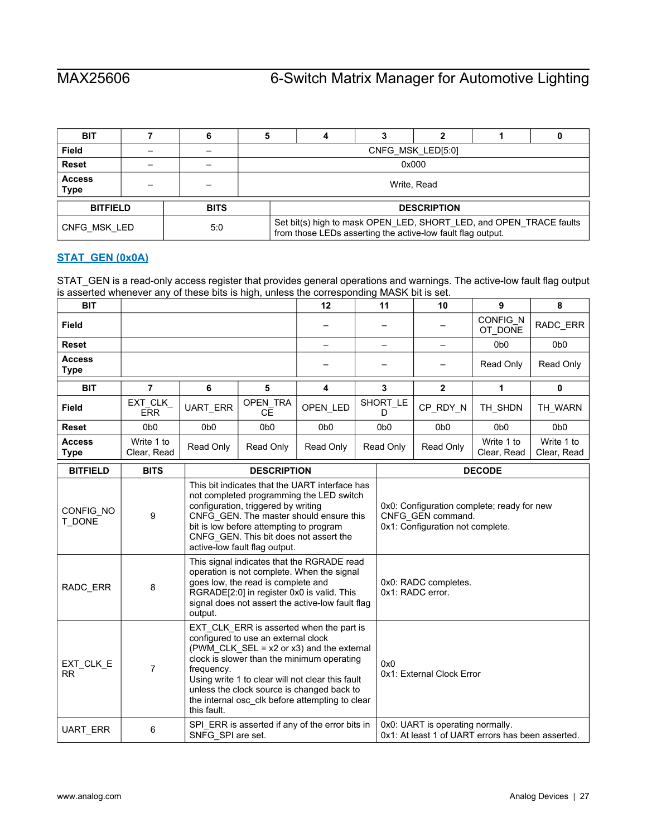| <b>BIT</b>                   |                                |       |  |                                                                                                                                   |  |                    |  |  |
|------------------------------|--------------------------------|-------|--|-----------------------------------------------------------------------------------------------------------------------------------|--|--------------------|--|--|
| Field                        |                                |       |  |                                                                                                                                   |  | CNFG MSK LED[5:0]  |  |  |
| <b>Reset</b>                 |                                | 0x000 |  |                                                                                                                                   |  |                    |  |  |
| <b>Access</b><br><b>Type</b> |                                |       |  |                                                                                                                                   |  | Write, Read        |  |  |
|                              | <b>BITFIELD</b><br><b>BITS</b> |       |  |                                                                                                                                   |  | <b>DESCRIPTION</b> |  |  |
| CNFG MSK LED                 |                                | 5.0   |  | Set bit(s) high to mask OPEN_LED, SHORT_LED, and OPEN_TRACE faults<br>from those LEDs asserting the active-low fault flag output. |  |                    |  |  |

# <span id="page-26-0"></span>**[STAT\\_GEN \(0x0A\)](#page-18-1)**

STAT\_GEN is a read-only access register that provides general operations and warnings. The active-low fault flag output is asserted whenever any of these bits is high, unless the corresponding MASK bit is set.

| <b>BIT</b>                   |                       |                  |                  | 12               | 11               | 10               | 9                   | 8                |
|------------------------------|-----------------------|------------------|------------------|------------------|------------------|------------------|---------------------|------------------|
| <b>Field</b>                 |                       |                  |                  |                  |                  |                  | CONFIG_N<br>OT DONE | RADC_ERR         |
| <b>Reset</b>                 |                       |                  |                  |                  |                  |                  | 0 <sub>b</sub> 0    | 0 <sub>b</sub> 0 |
| <b>Access</b><br><b>Type</b> |                       |                  |                  |                  |                  |                  | Read Only           | Read Only        |
| <b>BIT</b>                   |                       | 6                | 5                | 4                | 3                | $\mathbf{2}$     |                     | 0                |
|                              |                       |                  |                  |                  |                  |                  |                     |                  |
| <b>Field</b>                 | EXT_CLK<br><b>ERR</b> | <b>UART ERR</b>  | OPEN TRA         | OPEN LED         | SHORT LE         | CP_RDY_N         | TH SHDN             | TH_WARN          |
|                              |                       |                  | CE.              |                  |                  |                  |                     |                  |
| <b>Reset</b>                 | 0 <sub>b</sub> 0      | 0 <sub>b</sub> 0 | 0 <sub>b</sub> 0 | 0 <sub>b</sub> 0 | 0 <sub>b</sub> 0 | 0 <sub>b</sub> 0 | 0 <sub>b</sub> 0    | 0 <sub>b</sub> 0 |

| <b>BITFIELD</b>        | <b>BITS</b> | <b>DESCRIPTION</b>                                                                                                                                                                                                                                                                                                                                                | <b>DECODE</b>                                                                                       |
|------------------------|-------------|-------------------------------------------------------------------------------------------------------------------------------------------------------------------------------------------------------------------------------------------------------------------------------------------------------------------------------------------------------------------|-----------------------------------------------------------------------------------------------------|
| CONFIG NO<br>T DONE    | 9           | This bit indicates that the UART interface has<br>not completed programming the LED switch<br>configuration, triggered by writing<br>CNFG_GEN. The master should ensure this<br>bit is low before attempting to program<br>CNFG GEN. This bit does not assert the<br>active-low fault flag output.                                                                | 0x0: Configuration complete; ready for new<br>CNFG GEN command.<br>0x1: Configuration not complete. |
| RADC_ERR               | 8           | This signal indicates that the RGRADE read<br>operation is not complete. When the signal<br>goes low, the read is complete and<br>RGRADE[2:0] in register 0x0 is valid. This<br>signal does not assert the active-low fault flag<br>output.                                                                                                                       | 0x0: RADC completes.<br>0x1: RADC error.                                                            |
| EXT_CLK_E<br><b>RR</b> | 7           | EXT CLK ERR is asserted when the part is<br>configured to use an external clock<br>(PWM_CLK_SEL = $x2$ or $x3$ ) and the external<br>clock is slower than the minimum operating<br>frequency.<br>Using write 1 to clear will not clear this fault<br>unless the clock source is changed back to<br>the internal osc clk before attempting to clear<br>this fault. | 0x0<br>0x1: External Clock Error                                                                    |
| UART_ERR               | 6           | SPI ERR is asserted if any of the error bits in<br>SNFG SPI are set.                                                                                                                                                                                                                                                                                              | 0x0: UART is operating normally.<br>0x1: At least 1 of UART errors has been asserted.               |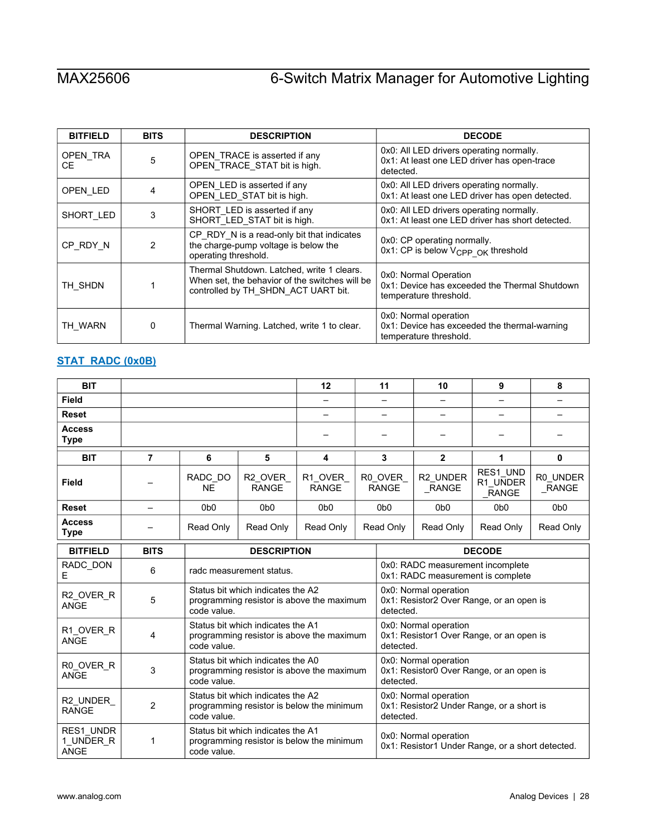| <b>BITFIELD</b> | <b>BITS</b> | <b>DESCRIPTION</b>                                                                                                                  | <b>DECODE</b>                                                                                        |
|-----------------|-------------|-------------------------------------------------------------------------------------------------------------------------------------|------------------------------------------------------------------------------------------------------|
| OPEN TRA<br>CE. | 5           | OPEN_TRACE is asserted if any<br>OPEN_TRACE_STAT bit is high.                                                                       | 0x0: All LED drivers operating normally.<br>0x1: At least one LED driver has open-trace<br>detected. |
| OPEN_LED        | 4           | OPEN_LED is asserted if any<br>OPEN_LED_STAT bit is high.                                                                           | 0x0: All LED drivers operating normally.<br>0x1: At least one LED driver has open detected.          |
| SHORT_LED       | 3           | SHORT LED is asserted if any<br>SHORT_LED_STAT bit is high.                                                                         | 0x0: All LED drivers operating normally.<br>0x1: At least one LED driver has short detected.         |
| CP RDY N        | 2           | CP_RDY_N is a read-only bit that indicates<br>the charge-pump voltage is below the<br>operating threshold.                          | 0x0: CP operating normally.<br>0x1: CP is below V <sub>CPP OK</sub> threshold                        |
| TH SHDN         |             | Thermal Shutdown. Latched, write 1 clears.<br>When set, the behavior of the switches will be<br>controlled by TH_SHDN_ACT UART bit. | 0x0: Normal Operation<br>0x1: Device has exceeded the Thermal Shutdown<br>temperature threshold.     |
| TH WARN         | 0           | Thermal Warning. Latched, write 1 to clear.                                                                                         | 0x0: Normal operation<br>0x1: Device has exceeded the thermal-warning<br>temperature threshold.      |

# <span id="page-27-0"></span>**[STAT\\_RADC \(0x0B\)](#page-18-1)**

| <b>BIT</b>                            |                          |                      |                                                                                | 12                                        |  | 11                                                                             | 10                                                                              | 9                             | 8                  |  |
|---------------------------------------|--------------------------|----------------------|--------------------------------------------------------------------------------|-------------------------------------------|--|--------------------------------------------------------------------------------|---------------------------------------------------------------------------------|-------------------------------|--------------------|--|
| <b>Field</b>                          |                          |                      |                                                                                |                                           |  |                                                                                |                                                                                 |                               |                    |  |
| <b>Reset</b>                          |                          |                      |                                                                                |                                           |  |                                                                                |                                                                                 |                               |                    |  |
| <b>Access</b><br><b>Type</b>          |                          |                      |                                                                                |                                           |  |                                                                                |                                                                                 |                               |                    |  |
| <b>BIT</b>                            | 7<br>6<br>5              |                      |                                                                                | 4                                         |  | 3                                                                              | $\mathbf{2}$                                                                    | 1                             | $\mathbf{0}$       |  |
| Field                                 |                          | RADC DO<br><b>NE</b> | R2_OVER<br><b>RANGE</b>                                                        | R1 OVER<br><b>RANGE</b>                   |  | R0 OVER<br><b>RANGE</b>                                                        | R2_UNDER<br>_RANGE                                                              | RES1 UND<br>R1 UNDER<br>RANGE | R0 UNDER<br>_RANGE |  |
| <b>Reset</b>                          | $\overline{\phantom{0}}$ | 0 <sub>b</sub>       | 0 <sub>b0</sub>                                                                | 0 <sub>b</sub> 0                          |  | 0 <sub>b</sub> 0                                                               | 0b <sub>0</sub>                                                                 | 0 <sub>b</sub> 0              | 0 <sub>b</sub> 0   |  |
| <b>Access</b><br><b>Type</b>          |                          | Read Only            | Read Only<br>Read Only<br>Read Only                                            |                                           |  |                                                                                | Read Only                                                                       | Read Only                     | Read Only          |  |
| <b>BITFIELD</b>                       | <b>BITS</b>              |                      | <b>DESCRIPTION</b>                                                             |                                           |  |                                                                                |                                                                                 | <b>DECODE</b>                 |                    |  |
| RADC_DON<br>Е                         | 6                        |                      | radc measurement status.                                                       |                                           |  |                                                                                | 0x0: RADC measurement incomplete<br>0x1: RADC measurement is complete           |                               |                    |  |
| R2_OVER_R<br><b>ANGE</b>              | 5                        | code value.          | Status bit which indicates the A2                                              | programming resistor is above the maximum |  | 0x0: Normal operation<br>0x1: Resistor2 Over Range, or an open is<br>detected. |                                                                                 |                               |                    |  |
| R1_OVER_R<br>ANGE                     | 4                        | code value.          | Status bit which indicates the A1                                              | programming resistor is above the maximum |  | 0x0: Normal operation<br>0x1: Resistor1 Over Range, or an open is<br>detected. |                                                                                 |                               |                    |  |
| RO OVER R<br><b>ANGE</b>              | 3                        | code value.          | Status bit which indicates the A0<br>programming resistor is above the maximum |                                           |  |                                                                                | 0x0: Normal operation<br>0x1: Resistor0 Over Range, or an open is<br>detected.  |                               |                    |  |
| R2_UNDER<br><b>RANGE</b>              | $\overline{2}$           | code value.          | Status bit which indicates the A2<br>programming resistor is below the minimum |                                           |  |                                                                                | 0x0: Normal operation<br>0x1: Resistor2 Under Range, or a short is<br>detected. |                               |                    |  |
| RES1_UNDR<br>1_UNDER_R<br><b>ANGE</b> | 1                        | code value.          | Status bit which indicates the A1                                              | programming resistor is below the minimum |  | 0x0: Normal operation<br>0x1: Resistor1 Under Range, or a short detected.      |                                                                                 |                               |                    |  |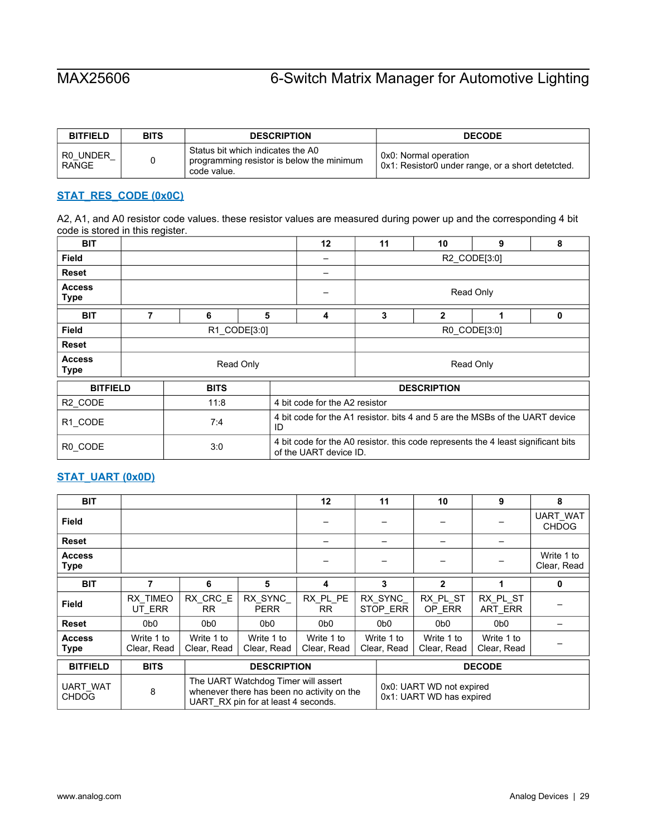| <b>BITFIELD</b>          | <b>BITS</b> | <b>DESCRIPTION</b>                                                                            | <b>DECODE</b>                                                              |
|--------------------------|-------------|-----------------------------------------------------------------------------------------------|----------------------------------------------------------------------------|
| R0 UNDER<br><b>RANGE</b> |             | Status bit which indicates the A0<br>programming resistor is below the minimum<br>code value. | 0x0: Normal operation<br>0x1: Resistor0 under range, or a short detetcted. |

### <span id="page-28-0"></span>**[STAT\\_RES\\_CODE \(0x0C\)](#page-18-1)**

A2, A1, and A0 resistor code values. these resistor values are measured during power up and the corresponding 4 bit code is stored in this register.

| <b>BIT</b>                   |   |              |           | $12 \,$                        | 10<br>11<br>9<br>8                                                                |                    |   |   |  |  |  |
|------------------------------|---|--------------|-----------|--------------------------------|-----------------------------------------------------------------------------------|--------------------|---|---|--|--|--|
| Field                        |   |              |           |                                | R2 CODE[3:0]                                                                      |                    |   |   |  |  |  |
| <b>Reset</b>                 |   |              |           |                                |                                                                                   |                    |   |   |  |  |  |
| <b>Access</b><br><b>Type</b> |   | Read Only    |           |                                |                                                                                   |                    |   |   |  |  |  |
| <b>BIT</b>                   | 7 | 6            | 5         | 4                              | 3                                                                                 | $\mathbf{2}$       | 1 | 0 |  |  |  |
| <b>Field</b>                 |   | R1 CODE[3:0] |           |                                | R0 CODE[3:0]                                                                      |                    |   |   |  |  |  |
| Reset                        |   |              |           |                                |                                                                                   |                    |   |   |  |  |  |
| <b>Access</b><br><b>Type</b> |   |              | Read Only |                                | Read Only                                                                         |                    |   |   |  |  |  |
| <b>BITFIELD</b>              |   | <b>BITS</b>  |           |                                |                                                                                   | <b>DESCRIPTION</b> |   |   |  |  |  |
| R2_CODE                      |   | 11:8         |           | 4 bit code for the A2 resistor |                                                                                   |                    |   |   |  |  |  |
| R1_CODE                      |   | 7:4          |           | ID                             | 4 bit code for the A1 resistor, bits 4 and 5 are the MSBs of the UART device      |                    |   |   |  |  |  |
| R0_CODE                      |   | 3:0          |           | of the UART device ID.         | 4 bit code for the A0 resistor, this code represents the 4 least significant bits |                    |   |   |  |  |  |

## <span id="page-28-1"></span>**[STAT\\_UART \(0x0D\)](#page-18-1)**

| <b>BIT</b>                   |                           |                           |                                     | 12 <sup>2</sup>           |  | 11                        | 10                        | 9                         | 8                         |
|------------------------------|---------------------------|---------------------------|-------------------------------------|---------------------------|--|---------------------------|---------------------------|---------------------------|---------------------------|
| <b>Field</b>                 |                           |                           |                                     |                           |  |                           |                           |                           | UART WAT<br><b>CHDOG</b>  |
| <b>Reset</b>                 |                           |                           |                                     |                           |  |                           |                           |                           |                           |
| <b>Access</b><br><b>Type</b> |                           |                           |                                     |                           |  |                           |                           |                           | Write 1 to<br>Clear, Read |
| <b>BIT</b>                   |                           | 6                         | 5                                   | 4                         |  | 3                         | $\mathbf{2}$              |                           | 0                         |
| Field                        | RX TIMEO<br>UT ERR        | RX CRC E<br>RR.           | RX SYNC<br><b>PERR</b>              | RX PL PE<br><b>RR</b>     |  | RX SYNC<br>STOP_ERR       | RX PL ST<br>OP_ERR        | RX PL ST<br>ART_ERR       |                           |
| <b>Reset</b>                 | 0 <sub>b0</sub>           | 0 <sub>b</sub>            | 0 <sub>b</sub> 0                    | 0 <sub>b</sub> 0          |  | 0 <sub>b</sub> 0          | 0 <sub>b</sub>            | 0 <sub>b</sub> 0          |                           |
| <b>Access</b><br><b>Type</b> | Write 1 to<br>Clear, Read | Write 1 to<br>Clear, Read | Write 1 to<br>Clear, Read           | Write 1 to<br>Clear, Read |  | Write 1 to<br>Clear, Read | Write 1 to<br>Clear, Read | Write 1 to<br>Clear, Read |                           |
| <b>BITFIELD</b>              | <b>BITS</b>               |                           | <b>DESCRIPTION</b>                  |                           |  | <b>DECODE</b>             |                           |                           |                           |
| 1110T111T                    |                           |                           | The UART Watchdog Timer will assert |                           |  | 0.0.111177110             |                           |                           |                           |

| UART WAT<br><b>CHDOG</b> | The UART Watchdog Timer will assert<br>whenever there has been no activity on the<br>UART RX pin for at least 4 seconds. | 0x0: UART WD not expired<br>0x1: UART WD has expired |
|--------------------------|--------------------------------------------------------------------------------------------------------------------------|------------------------------------------------------|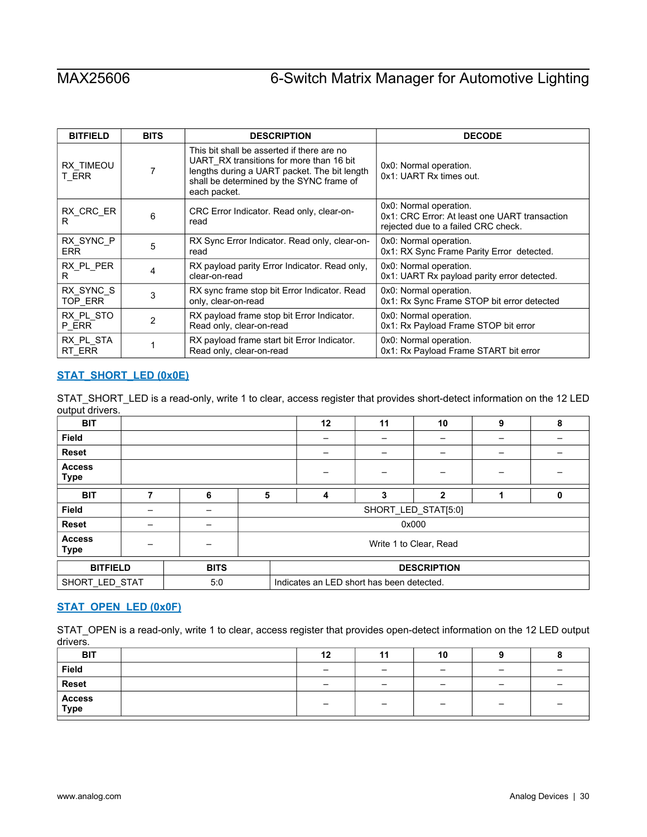| <b>BITFIELD</b>    | <b>BITS</b> | <b>DESCRIPTION</b>                                                                                                                                                                                 | <b>DECODE</b>                                                                                                  |
|--------------------|-------------|----------------------------------------------------------------------------------------------------------------------------------------------------------------------------------------------------|----------------------------------------------------------------------------------------------------------------|
| RX TIMEOU<br>T_ERR | 7           | This bit shall be asserted if there are no<br>UART RX transitions for more than 16 bit<br>lengths during a UART packet. The bit length<br>shall be determined by the SYNC frame of<br>each packet. | 0x0: Normal operation.<br>0x1: UART Rx times out.                                                              |
| RX_CRC_ER<br>R     | 6           | CRC Error Indicator. Read only, clear-on-<br>read                                                                                                                                                  | 0x0: Normal operation.<br>0x1: CRC Error: At least one UART transaction<br>rejected due to a failed CRC check. |
| RX SYNC P          | 5           | RX Sync Error Indicator. Read only, clear-on-                                                                                                                                                      | 0x0: Normal operation.                                                                                         |
| ERR.               |             | read                                                                                                                                                                                               | 0x1: RX Sync Frame Parity Error detected.                                                                      |
| RX PL PER          | 4           | RX payload parity Error Indicator. Read only,                                                                                                                                                      | 0x0: Normal operation.                                                                                         |
| R                  |             | clear-on-read                                                                                                                                                                                      | 0x1: UART Rx payload parity error detected.                                                                    |
| RX SYNC S          | 3           | RX sync frame stop bit Error Indicator. Read                                                                                                                                                       | 0x0: Normal operation.                                                                                         |
| TOP_ERR            |             | only, clear-on-read                                                                                                                                                                                | 0x1: Rx Sync Frame STOP bit error detected                                                                     |
| RX PL STO          | 2           | RX payload frame stop bit Error Indicator.                                                                                                                                                         | 0x0: Normal operation.                                                                                         |
| P_ERR              |             | Read only, clear-on-read                                                                                                                                                                           | 0x1: Rx Payload Frame STOP bit error                                                                           |
| RX PL STA          |             | RX payload frame start bit Error Indicator.                                                                                                                                                        | 0x0: Normal operation.                                                                                         |
| RT ERR             |             | Read only, clear-on-read                                                                                                                                                                           | 0x1: Rx Payload Frame START bit error                                                                          |

### <span id="page-29-0"></span>**[STAT\\_SHORT\\_LED \(0x0E\)](#page-18-1)**

STAT\_SHORT\_LED is a read-only, write 1 to clear, access register that provides short-detect information on the 12 LED output drivers.

| <b>BIT</b>                   |   |             |                        | 12                                        | 11 | 10           | 9 | 8 |
|------------------------------|---|-------------|------------------------|-------------------------------------------|----|--------------|---|---|
| <b>Field</b>                 |   |             |                        |                                           |    |              |   |   |
| <b>Reset</b>                 |   |             |                        |                                           |    |              |   |   |
| <b>Access</b><br><b>Type</b> |   |             |                        |                                           |    |              |   |   |
| <b>BIT</b>                   | 7 | 6           | 5                      | 4                                         | 3  | $\mathbf{2}$ |   | 0 |
| <b>Field</b>                 |   |             | SHORT_LED_STAT[5:0]    |                                           |    |              |   |   |
| Reset                        |   |             |                        |                                           |    | 0x000        |   |   |
| <b>Access</b><br><b>Type</b> |   |             | Write 1 to Clear, Read |                                           |    |              |   |   |
| <b>BITFIELD</b>              |   | <b>BITS</b> |                        | <b>DESCRIPTION</b>                        |    |              |   |   |
| SHORT_LED_STAT               |   | 5:0         |                        | Indicates an LED short has been detected. |    |              |   |   |

# <span id="page-29-1"></span>**[STAT\\_OPEN\\_LED \(0x0F\)](#page-18-1)**

STAT\_OPEN is a read-only, write 1 to clear, access register that provides open-detect information on the 12 LED output drivers.

| <b>BIT</b>     | 12                       | 11                       | 10 |                          |        |
|----------------|--------------------------|--------------------------|----|--------------------------|--------|
| Field          | $\overline{\phantom{0}}$ | -                        | -  | $\overline{\phantom{0}}$ |        |
| <b>Reset</b>   | $\overline{\phantom{0}}$ | $\overline{\phantom{0}}$ | -  | -                        | $\sim$ |
| Access<br>Type |                          |                          | -  | $\overline{\phantom{0}}$ |        |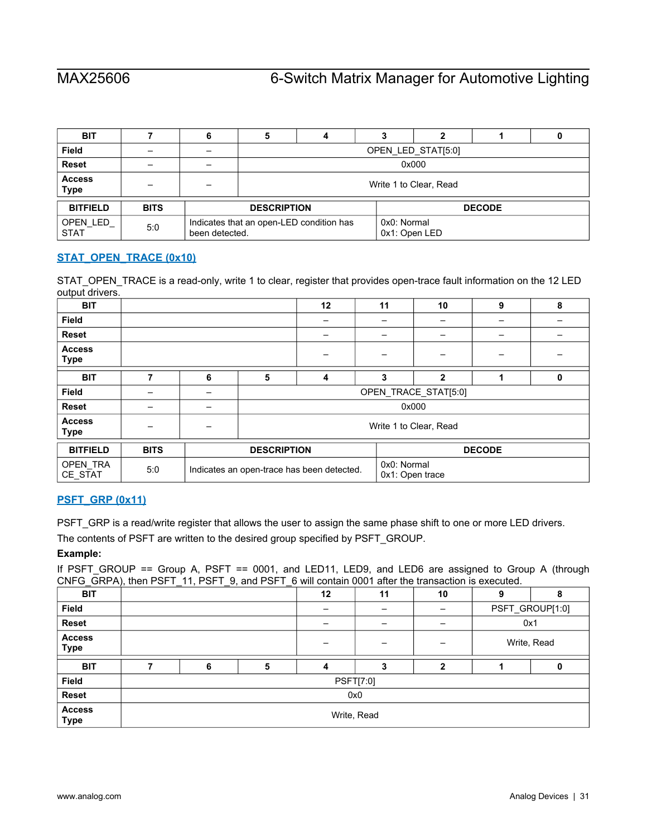| <b>BIT</b>                   |             |                |                                                                          |                        |  | っ             |  |  |  |  |
|------------------------------|-------------|----------------|--------------------------------------------------------------------------|------------------------|--|---------------|--|--|--|--|
| <b>Field</b>                 |             |                | OPEN LED STAT[5:0]                                                       |                        |  |               |  |  |  |  |
| <b>Reset</b>                 |             |                |                                                                          | 0x000                  |  |               |  |  |  |  |
| <b>Access</b><br><b>Type</b> |             |                |                                                                          | Write 1 to Clear, Read |  |               |  |  |  |  |
| <b>BITFIELD</b>              | <b>BITS</b> |                | <b>DESCRIPTION</b>                                                       |                        |  | <b>DECODE</b> |  |  |  |  |
| OPEN_LED<br><b>STAT</b>      | 5:0         | been detected. | 0x0: Normal<br>Indicates that an open-LED condition has<br>0x1: Open LED |                        |  |               |  |  |  |  |

# <span id="page-30-0"></span>**STAT\_OPEN\_TRACE (0x10)**

STAT\_OPEN\_TRACE is a read-only, write 1 to clear, register that provides open-trace fault information on the 12 LED output drivers.

| <b>BIT</b>                   |             |   |                                            | 12                     | 11 | 10                             | 9 | 8 |  |
|------------------------------|-------------|---|--------------------------------------------|------------------------|----|--------------------------------|---|---|--|
| Field                        |             |   |                                            |                        |    |                                |   |   |  |
| <b>Reset</b>                 |             |   |                                            |                        |    |                                | - |   |  |
| <b>Access</b><br><b>Type</b> |             |   |                                            |                        |    |                                |   |   |  |
| <b>BIT</b>                   | 7           | 6 | 5                                          | 4                      | 3  | $\mathbf{2}$                   |   | 0 |  |
| <b>Field</b>                 |             |   | OPEN TRACE STAT[5:0]                       |                        |    |                                |   |   |  |
| <b>Reset</b>                 |             |   |                                            |                        |    | 0x000                          |   |   |  |
| <b>Access</b><br>Type        |             |   |                                            | Write 1 to Clear, Read |    |                                |   |   |  |
| <b>BITFIELD</b>              | <b>BITS</b> |   | <b>DESCRIPTION</b>                         |                        |    | <b>DECODE</b>                  |   |   |  |
| OPEN_TRA<br>CE_STAT          | 5:0         |   | Indicates an open-trace has been detected. |                        |    | 0x0: Normal<br>0x1: Open trace |   |   |  |

## <span id="page-30-1"></span>**[PSFT\\_GRP \(0x11\)](#page-18-1)**

PSFT\_GRP is a read/write register that allows the user to assign the same phase shift to one or more LED drivers.

The contents of PSFT are written to the desired group specified by PSFT\_GROUP.

### **Example:**

If PSFT\_GROUP == Group A, PSFT == 0001, and LED11, LED9, and LED6 are assigned to Group A (through CNFG\_GRPA), then PSFT\_11, PSFT\_9, and PSFT\_6 will contain 0001 after the transaction is executed.

| <b>BIT</b>                   | $\cdot$ | ____ |   | 12 | 11               | 10 | 9           | 8               |
|------------------------------|---------|------|---|----|------------------|----|-------------|-----------------|
| Field                        |         |      |   |    |                  |    |             | PSFT_GROUP[1:0] |
| Reset                        |         |      |   |    |                  |    | 0x1         |                 |
| <b>Access</b><br><b>Type</b> |         |      |   |    | -                | -  | Write, Read |                 |
| <b>BIT</b>                   |         | 6    | 5 |    | 3                | 2  |             |                 |
| Field                        |         |      |   |    | <b>PSFT[7:0]</b> |    |             |                 |
| Reset                        |         |      |   |    | 0x0              |    |             |                 |
| <b>Access</b><br><b>Type</b> |         |      |   |    | Write, Read      |    |             |                 |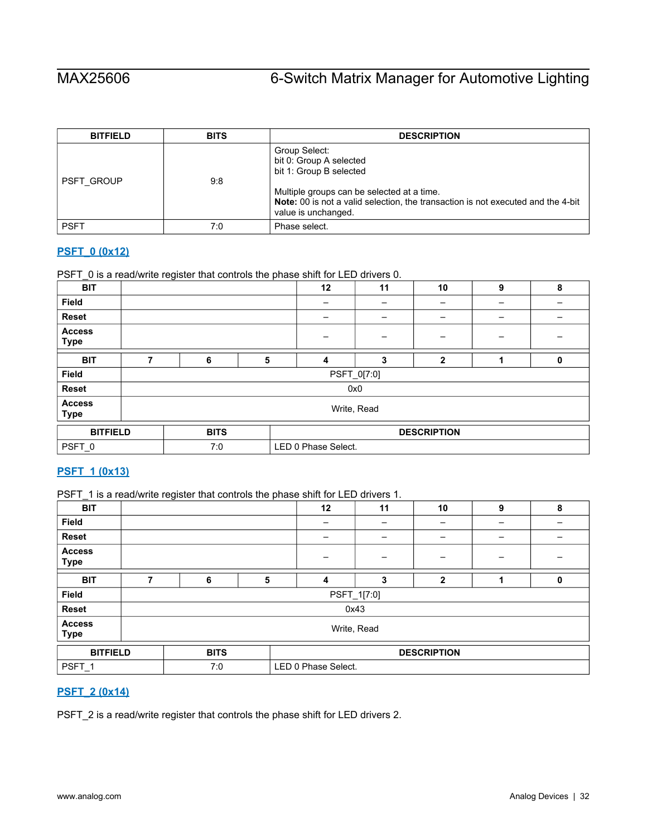| <b>BITFIELD</b>   | <b>BITS</b> | <b>DESCRIPTION</b>                                                                                                                                                                                                           |
|-------------------|-------------|------------------------------------------------------------------------------------------------------------------------------------------------------------------------------------------------------------------------------|
| <b>PSFT GROUP</b> | 9.8         | Group Select:<br>bit 0: Group A selected<br>bit 1: Group B selected<br>Multiple groups can be selected at a time.<br>Note: 00 is not a valid selection, the transaction is not executed and the 4-bit<br>value is unchanged. |
| <b>PSFT</b>       | 7:0         | Phase select.                                                                                                                                                                                                                |

# <span id="page-31-0"></span>**[PSFT\\_0 \(0x12\)](#page-18-1)**

PSFT\_0 is a read/write register that controls the phase shift for LED drivers 0.

| <b>BIT</b>                   |   |                            |   | 12 | 11  | 10                 | 9 | 8 |  |
|------------------------------|---|----------------------------|---|----|-----|--------------------|---|---|--|
| <b>Field</b>                 |   |                            |   |    |     |                    |   |   |  |
| Reset                        |   |                            |   |    |     |                    |   |   |  |
| <b>Access</b><br><b>Type</b> |   |                            |   |    |     | -                  | - |   |  |
| <b>BIT</b>                   | ⇁ | 6                          | 5 | 4  | 3   | $\mathbf{2}$       |   | 0 |  |
| Field                        |   | PSFT_0[7:0]                |   |    |     |                    |   |   |  |
| <b>Reset</b>                 |   |                            |   |    | 0x0 |                    |   |   |  |
| <b>Access</b><br><b>Type</b> |   | Write, Read                |   |    |     |                    |   |   |  |
| <b>BITFIELD</b>              |   | <b>BITS</b>                |   |    |     | <b>DESCRIPTION</b> |   |   |  |
| PSFT_0                       |   | LED 0 Phase Select.<br>7:0 |   |    |     |                    |   |   |  |

# <span id="page-31-1"></span>**[PSFT\\_1 \(0x13\)](#page-18-1)**

PSFT\_1 is a read/write register that controls the phase shift for LED drivers 1.

| <b>BIT</b>                   |                                   |   |   | 12 | 11          | 10           | 9 | 8 |  |
|------------------------------|-----------------------------------|---|---|----|-------------|--------------|---|---|--|
| <b>Field</b>                 |                                   |   |   | -  |             |              |   | - |  |
| Reset                        |                                   |   |   |    |             |              |   |   |  |
| <b>Access</b><br><b>Type</b> |                                   |   |   |    |             |              |   |   |  |
| <b>BIT</b>                   | 7                                 | 6 | 5 | 4  | 3           | $\mathbf{2}$ |   | 0 |  |
| <b>Field</b>                 |                                   |   |   |    | PSFT_1[7.0] |              |   |   |  |
| Reset                        |                                   |   |   |    | 0x43        |              |   |   |  |
| <b>Access</b><br><b>Type</b> | Write, Read                       |   |   |    |             |              |   |   |  |
| <b>BITFIELD</b>              | <b>BITS</b><br><b>DESCRIPTION</b> |   |   |    |             |              |   |   |  |
| PSFT <sub>1</sub>            | LED 0 Phase Select.<br>7:0        |   |   |    |             |              |   |   |  |

# <span id="page-31-2"></span>**[PSFT\\_2 \(0x14\)](#page-18-1)**

PSFT\_2 is a read/write register that controls the phase shift for LED drivers 2.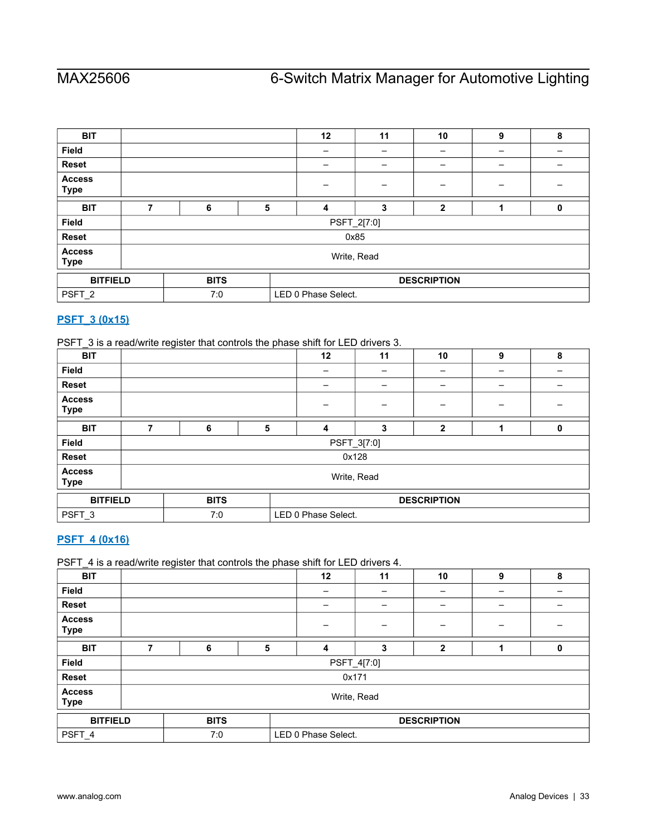| <b>BIT</b>                   |             |             |                     | 12                       | 11   | 10                 | 9 | 8 |  |  |
|------------------------------|-------------|-------------|---------------------|--------------------------|------|--------------------|---|---|--|--|
| Field                        |             |             |                     | $\overline{\phantom{0}}$ |      | -                  |   | - |  |  |
| Reset                        |             |             |                     |                          |      |                    |   |   |  |  |
| <b>Access</b><br><b>Type</b> |             |             |                     |                          |      |                    |   |   |  |  |
| <b>BIT</b>                   | 7           | 6           | 5                   | 4                        | 3    | $\mathbf{2}$       |   | 0 |  |  |
| <b>Field</b>                 |             | PSFT_2[7:0] |                     |                          |      |                    |   |   |  |  |
| <b>Reset</b>                 |             |             |                     |                          | 0x85 |                    |   |   |  |  |
| <b>Access</b><br><b>Type</b> | Write, Read |             |                     |                          |      |                    |   |   |  |  |
| <b>BITFIELD</b>              |             | <b>BITS</b> |                     |                          |      | <b>DESCRIPTION</b> |   |   |  |  |
| PSFT_2                       |             | 7:0         | LED 0 Phase Select. |                          |      |                    |   |   |  |  |

# <span id="page-32-0"></span>**[PSFT\\_3 \(0x15\)](#page-18-1)**

PSFT\_3 is a read/write register that controls the phase shift for LED drivers 3.

| <b>BIT</b>                   |   |             |   | 12                  | 11    | 10                 | 9 | 8 |  |  |
|------------------------------|---|-------------|---|---------------------|-------|--------------------|---|---|--|--|
| <b>Field</b>                 |   |             |   |                     |       | -                  | - | - |  |  |
| <b>Reset</b>                 |   |             |   |                     |       | -                  | - | - |  |  |
| <b>Access</b><br><b>Type</b> |   |             |   |                     |       |                    |   |   |  |  |
| <b>BIT</b>                   | 7 | 6           | 5 | 4                   | 3     | 2                  |   | 0 |  |  |
| <b>Field</b>                 |   | PSFT_3[7:0] |   |                     |       |                    |   |   |  |  |
| <b>Reset</b>                 |   |             |   |                     | 0x128 |                    |   |   |  |  |
| <b>Access</b><br><b>Type</b> |   | Write, Read |   |                     |       |                    |   |   |  |  |
| <b>BITFIELD</b>              |   | <b>BITS</b> |   |                     |       | <b>DESCRIPTION</b> |   |   |  |  |
| PSFT_3                       |   | 7:0         |   | LED 0 Phase Select. |       |                    |   |   |  |  |

# <span id="page-32-1"></span>**[PSFT\\_4 \(0x16\)](#page-18-1)**

PSFT\_4 is a read/write register that controls the phase shift for LED drivers 4.

| <b>BIT</b>                   |             |             |   | 12                  | 11    | 10                 | 9 | 8 |  |  |
|------------------------------|-------------|-------------|---|---------------------|-------|--------------------|---|---|--|--|
| Field                        |             |             |   |                     |       | -                  |   |   |  |  |
| <b>Reset</b>                 |             |             |   |                     |       |                    |   |   |  |  |
| <b>Access</b><br><b>Type</b> |             |             |   |                     |       |                    |   |   |  |  |
| <b>BIT</b>                   | 7           | 6           | 5 | 4                   | 3     | $\mathbf{2}$       |   | 0 |  |  |
| <b>Field</b>                 |             | PSFT_4[7:0] |   |                     |       |                    |   |   |  |  |
| <b>Reset</b>                 |             |             |   |                     | 0x171 |                    |   |   |  |  |
| <b>Access</b><br><b>Type</b> | Write, Read |             |   |                     |       |                    |   |   |  |  |
| <b>BITFIELD</b>              |             | <b>BITS</b> |   |                     |       | <b>DESCRIPTION</b> |   |   |  |  |
| PSFT_4                       |             | 7:0         |   | LED 0 Phase Select. |       |                    |   |   |  |  |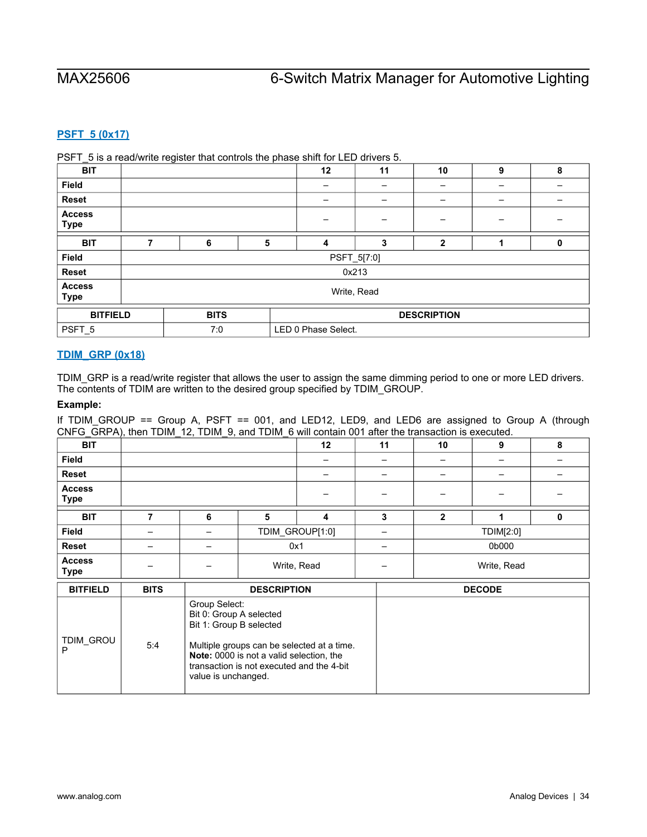# <span id="page-33-0"></span>**[PSFT\\_5 \(0x17\)](#page-18-1)**

PSFT\_5 is a read/write register that controls the phase shift for LED drivers 5.

| _<br><b>BIT</b>              |   |             |   | 12                  | 11    | 10                 | 9 | 8 |  |  |
|------------------------------|---|-------------|---|---------------------|-------|--------------------|---|---|--|--|
| Field                        |   |             |   |                     |       |                    |   |   |  |  |
| <b>Reset</b>                 |   |             |   |                     |       |                    |   |   |  |  |
| <b>Access</b><br><b>Type</b> |   |             |   |                     |       | -                  | - |   |  |  |
| <b>BIT</b>                   | 7 | 6           | 5 | 4                   | 3     | $\mathbf{2}$       |   | 0 |  |  |
| Field                        |   | PSFT_5[7:0] |   |                     |       |                    |   |   |  |  |
| Reset                        |   |             |   |                     | 0x213 |                    |   |   |  |  |
| <b>Access</b><br><b>Type</b> |   | Write, Read |   |                     |       |                    |   |   |  |  |
| <b>BITFIELD</b>              |   | <b>BITS</b> |   |                     |       | <b>DESCRIPTION</b> |   |   |  |  |
| PSFT_5                       |   | 7:0         |   | LED 0 Phase Select. |       |                    |   |   |  |  |

### <span id="page-33-1"></span>**[TDIM\\_GRP \(0x18\)](#page-18-1)**

TDIM\_GRP is a read/write register that allows the user to assign the same dimming period to one or more LED drivers. The contents of TDIM are written to the desired group specified by TDIM\_GROUP.

### **Example:**

If TDIM\_GROUP == Group A, PSFT == 001, and LED12, LED9, and LED6 are assigned to Group A (through CNFG\_GRPA), then TDIM\_12, TDIM\_9, and TDIM\_6 will contain 001 after the transaction is executed.

|                              | $\cdots$    | $\overline{\phantom{a}}$    |                    |             |    |              |               |   |  |
|------------------------------|-------------|-----------------------------|--------------------|-------------|----|--------------|---------------|---|--|
| <b>BIT</b>                   |             |                             |                    | 12          | 11 | 10           | 9             | 8 |  |
| <b>Field</b>                 |             |                             |                    |             |    |              |               |   |  |
| <b>Reset</b>                 |             |                             |                    |             |    |              | -             |   |  |
| <b>Access</b><br><b>Type</b> |             |                             |                    |             |    |              |               |   |  |
| <b>BIT</b>                   |             | 6                           | 5                  | 4           | 3  | $\mathbf{2}$ |               | 0 |  |
| <b>Field</b>                 |             | -                           | TDIM_GROUP[1:0]    |             | -  |              | TDIM[2:0]     |   |  |
| Reset                        |             |                             |                    | 0x1         |    |              | 0b000         |   |  |
| <b>Access</b><br><b>Type</b> |             |                             |                    | Write, Read |    | Write, Read  |               |   |  |
| <b>BITFIELD</b>              | <b>BITS</b> |                             | <b>DESCRIPTION</b> |             |    |              | <b>DECODE</b> |   |  |
|                              |             | $\sim$ $\sim$ $\sim$ $\sim$ |                    |             |    |              |               |   |  |

| <b>BUFIELD</b> | ыз  | <b>DESURIPTIUN</b>                                                                                                                                                                                                                       | DEGODE |
|----------------|-----|------------------------------------------------------------------------------------------------------------------------------------------------------------------------------------------------------------------------------------------|--------|
| TDIM GROU<br>D | 5:4 | Group Select:<br>Bit 0: Group A selected<br>Bit 1: Group B selected<br>Multiple groups can be selected at a time.<br><b>Note:</b> 0000 is not a valid selection, the<br>transaction is not executed and the 4-bit<br>value is unchanged. |        |
|                |     |                                                                                                                                                                                                                                          |        |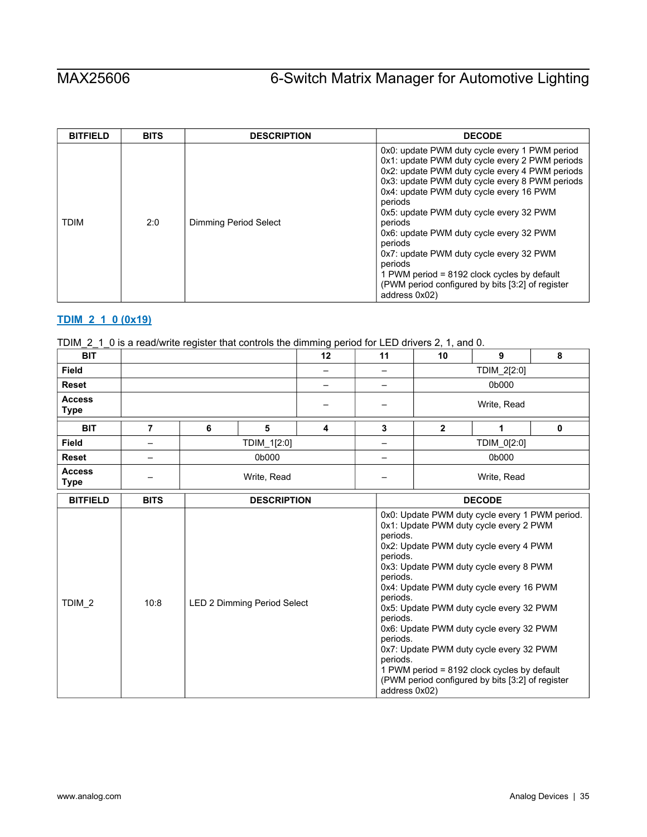| <b>BITFIELD</b> | <b>BITS</b> | <b>DESCRIPTION</b>    | <b>DECODE</b>                                                                                                                                                                                                                                                                                                                                                                                                                                                                                                                                     |
|-----------------|-------------|-----------------------|---------------------------------------------------------------------------------------------------------------------------------------------------------------------------------------------------------------------------------------------------------------------------------------------------------------------------------------------------------------------------------------------------------------------------------------------------------------------------------------------------------------------------------------------------|
| <b>TDIM</b>     | 2:0         | Dimming Period Select | 0x0: update PWM duty cycle every 1 PWM period<br>0x1: update PWM duty cycle every 2 PWM periods<br>0x2: update PWM duty cycle every 4 PWM periods<br>0x3: update PWM duty cycle every 8 PWM periods<br>0x4: update PWM duty cycle every 16 PWM<br>periods<br>0x5: update PWM duty cycle every 32 PWM<br>periods<br>0x6: update PWM duty cycle every 32 PWM<br>periods<br>0x7: update PWM duty cycle every 32 PWM<br>periods<br>1 PWM period = $8192$ clock cycles by default<br>(PWM period configured by bits [3:2] of register<br>address 0x02) |

# <span id="page-34-0"></span>**[TDIM\\_2\\_1\\_0 \(0x19\)](#page-18-1)**

|  |  |  |  |  |  |  | TDIM_2_1_0 is a read/write register that controls the dimming period for LED drivers 2, 1, and 0. |  |
|--|--|--|--|--|--|--|---------------------------------------------------------------------------------------------------|--|
|--|--|--|--|--|--|--|---------------------------------------------------------------------------------------------------|--|

| <b>BIT</b>                   |             |                                                                                                                                                                                                                                                                                                                                                                                                                                                                                                                                                                                                      |             | 12 | 11 | 10            | 9           | 8        |  |  |
|------------------------------|-------------|------------------------------------------------------------------------------------------------------------------------------------------------------------------------------------------------------------------------------------------------------------------------------------------------------------------------------------------------------------------------------------------------------------------------------------------------------------------------------------------------------------------------------------------------------------------------------------------------------|-------------|----|----|---------------|-------------|----------|--|--|
| <b>Field</b>                 |             |                                                                                                                                                                                                                                                                                                                                                                                                                                                                                                                                                                                                      |             |    |    |               | TDIM_2[2:0] |          |  |  |
| <b>Reset</b>                 |             |                                                                                                                                                                                                                                                                                                                                                                                                                                                                                                                                                                                                      |             |    | -  |               | 0b000       |          |  |  |
| <b>Access</b><br><b>Type</b> |             |                                                                                                                                                                                                                                                                                                                                                                                                                                                                                                                                                                                                      |             |    |    |               | Write, Read |          |  |  |
| <b>BIT</b>                   | 7           | 6                                                                                                                                                                                                                                                                                                                                                                                                                                                                                                                                                                                                    | 5           | 4  | 3  | $\mathbf{2}$  | 1           | $\bf{0}$ |  |  |
| <b>Field</b>                 | —           |                                                                                                                                                                                                                                                                                                                                                                                                                                                                                                                                                                                                      | TDIM_1[2:0] |    |    |               | TDIM_0[2:0] |          |  |  |
| <b>Reset</b>                 | —           |                                                                                                                                                                                                                                                                                                                                                                                                                                                                                                                                                                                                      | 0b000       |    | —  |               | 0b000       |          |  |  |
| <b>Access</b><br><b>Type</b> |             | Write, Read                                                                                                                                                                                                                                                                                                                                                                                                                                                                                                                                                                                          |             |    |    |               | Write, Read |          |  |  |
| <b>BITFIELD</b>              | <b>BITS</b> |                                                                                                                                                                                                                                                                                                                                                                                                                                                                                                                                                                                                      |             |    |    | <b>DECODE</b> |             |          |  |  |
| TDIM <sub>2</sub>            | 10:8        | <b>DESCRIPTION</b><br>0x0: Update PWM duty cycle every 1 PWM period.<br>0x1: Update PWM duty cycle every 2 PWM<br>periods.<br>0x2: Update PWM duty cycle every 4 PWM<br>periods.<br>0x3: Update PWM duty cycle every 8 PWM<br>periods.<br>0x4: Update PWM duty cycle every 16 PWM<br>periods.<br>LED 2 Dimming Period Select<br>0x5: Update PWM duty cycle every 32 PWM<br>periods.<br>0x6: Update PWM duty cycle every 32 PWM<br>periods.<br>0x7: Update PWM duty cycle every 32 PWM<br>periods.<br>1 PWM period = 8192 clock cycles by default<br>(PWM period configured by bits [3:2] of register |             |    |    |               |             |          |  |  |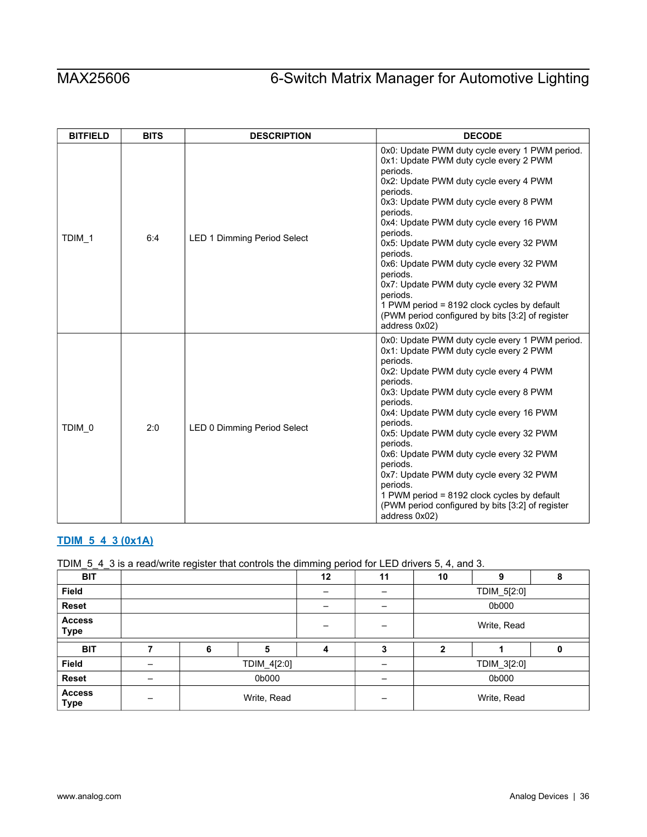| <b>BITFIELD</b> | <b>BITS</b> | <b>DESCRIPTION</b>                 | <b>DECODE</b>                                                                                                                                                                                                                                                                                                                                                                                                                                                                                                                                                    |
|-----------------|-------------|------------------------------------|------------------------------------------------------------------------------------------------------------------------------------------------------------------------------------------------------------------------------------------------------------------------------------------------------------------------------------------------------------------------------------------------------------------------------------------------------------------------------------------------------------------------------------------------------------------|
| TDIM 1          | 6:4         | <b>LED 1 Dimming Period Select</b> | 0x0: Update PWM duty cycle every 1 PWM period.<br>0x1: Update PWM duty cycle every 2 PWM<br>periods.<br>0x2: Update PWM duty cycle every 4 PWM<br>periods.<br>0x3: Update PWM duty cycle every 8 PWM<br>periods.<br>0x4: Update PWM duty cycle every 16 PWM<br>periods.<br>0x5: Update PWM duty cycle every 32 PWM<br>periods.<br>0x6: Update PWM duty cycle every 32 PWM<br>periods.<br>0x7: Update PWM duty cycle every 32 PWM<br>periods.<br>1 PWM period = 8192 clock cycles by default<br>(PWM period configured by bits [3:2] of register<br>address 0x02) |
| TDIM 0          | 2:0         | LED 0 Dimming Period Select        | 0x0: Update PWM duty cycle every 1 PWM period.<br>0x1: Update PWM duty cycle every 2 PWM<br>periods.<br>0x2: Update PWM duty cycle every 4 PWM<br>periods.<br>0x3: Update PWM duty cycle every 8 PWM<br>periods.<br>0x4: Update PWM duty cycle every 16 PWM<br>periods.<br>0x5: Update PWM duty cycle every 32 PWM<br>periods.<br>0x6: Update PWM duty cycle every 32 PWM<br>periods.<br>0x7: Update PWM duty cycle every 32 PWM<br>periods.<br>1 PWM period = 8192 clock cycles by default<br>(PWM period configured by bits [3:2] of register<br>address 0x02) |

# <span id="page-35-0"></span>**[TDIM\\_5\\_4\\_3 \(0x1A\)](#page-18-1)**

# TDIM\_5\_4\_3 is a read/write register that controls the dimming period for LED drivers 5, 4, and 3.

| <b>BIT</b>                   |  |   |             | 12 | 11 | 10          | 9           | 8 |  |
|------------------------------|--|---|-------------|----|----|-------------|-------------|---|--|
| <b>Field</b>                 |  |   |             |    |    | TDIM_5[2:0] |             |   |  |
| <b>Reset</b>                 |  |   |             |    | -  | 0b000       |             |   |  |
| <b>Access</b><br><b>Type</b> |  |   |             |    |    | Write, Read |             |   |  |
| <b>BIT</b>                   |  | 6 | 5           | 4  | 3  | 2           |             |   |  |
|                              |  |   |             |    |    |             |             |   |  |
| <b>Field</b>                 |  |   | TDIM_4[2:0] |    |    |             | TDIM_3[2:0] |   |  |
| Reset                        |  |   | 0b000       |    | -  |             | 0b000       |   |  |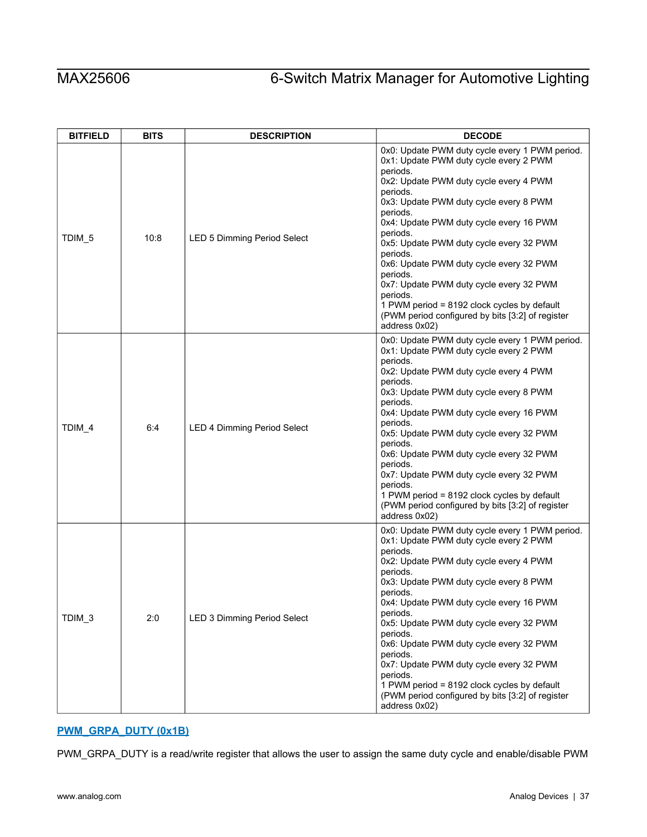| <b>BITFIELD</b>   | <b>BITS</b> | <b>DESCRIPTION</b>                 | <b>DECODE</b>                                                                                                                                                                                                                                                                                                                                                                                                                                                                                                                                                    |  |  |  |
|-------------------|-------------|------------------------------------|------------------------------------------------------------------------------------------------------------------------------------------------------------------------------------------------------------------------------------------------------------------------------------------------------------------------------------------------------------------------------------------------------------------------------------------------------------------------------------------------------------------------------------------------------------------|--|--|--|
| TDIM <sub>5</sub> | 10:8        | <b>LED 5 Dimming Period Select</b> | 0x0: Update PWM duty cycle every 1 PWM period.<br>0x1: Update PWM duty cycle every 2 PWM<br>periods.<br>0x2: Update PWM duty cycle every 4 PWM<br>periods.<br>0x3: Update PWM duty cycle every 8 PWM<br>periods.<br>0x4: Update PWM duty cycle every 16 PWM<br>periods.<br>0x5: Update PWM duty cycle every 32 PWM<br>periods.<br>0x6: Update PWM duty cycle every 32 PWM<br>periods.<br>0x7: Update PWM duty cycle every 32 PWM<br>periods.<br>1 PWM period = 8192 clock cycles by default<br>(PWM period configured by bits [3:2] of register<br>address 0x02) |  |  |  |
| TDIM_4            | 6:4         | <b>LED 4 Dimming Period Select</b> | 0x0: Update PWM duty cycle every 1 PWM period.<br>0x1: Update PWM duty cycle every 2 PWM<br>periods.<br>0x2: Update PWM duty cycle every 4 PWM<br>periods.<br>0x3: Update PWM duty cycle every 8 PWM<br>periods.<br>0x4: Update PWM duty cycle every 16 PWM<br>periods.<br>0x5: Update PWM duty cycle every 32 PWM<br>periods.<br>0x6: Update PWM duty cycle every 32 PWM<br>periods.<br>0x7: Update PWM duty cycle every 32 PWM<br>periods.<br>1 PWM period = 8192 clock cycles by default<br>(PWM period configured by bits [3:2] of register<br>address 0x02) |  |  |  |
| TDIM <sub>3</sub> | 2:0         | LED 3 Dimming Period Select        | 0x0: Update PWM duty cycle every 1 PWM period.<br>0x1: Update PWM duty cycle every 2 PWM<br>periods.<br>0x2: Update PWM duty cycle every 4 PWM<br>periods.<br>0x3: Update PWM duty cycle every 8 PWM<br>periods.<br>0x4: Update PWM duty cycle every 16 PWM<br>periods.<br>0x5: Update PWM duty cycle every 32 PWM<br>periods.<br>0x6: Update PWM duty cycle every 32 PWM<br>periods.<br>0x7: Update PWM duty cycle every 32 PWM<br>periods.<br>1 PWM period = 8192 clock cycles by default<br>(PWM period configured by bits [3:2] of register<br>address 0x02) |  |  |  |

# <span id="page-36-0"></span>**[PWM\\_GRPA\\_DUTY \(0x1B\)](#page-18-1)**

PWM\_GRPA\_DUTY is a read/write register that allows the user to assign the same duty cycle and enable/disable PWM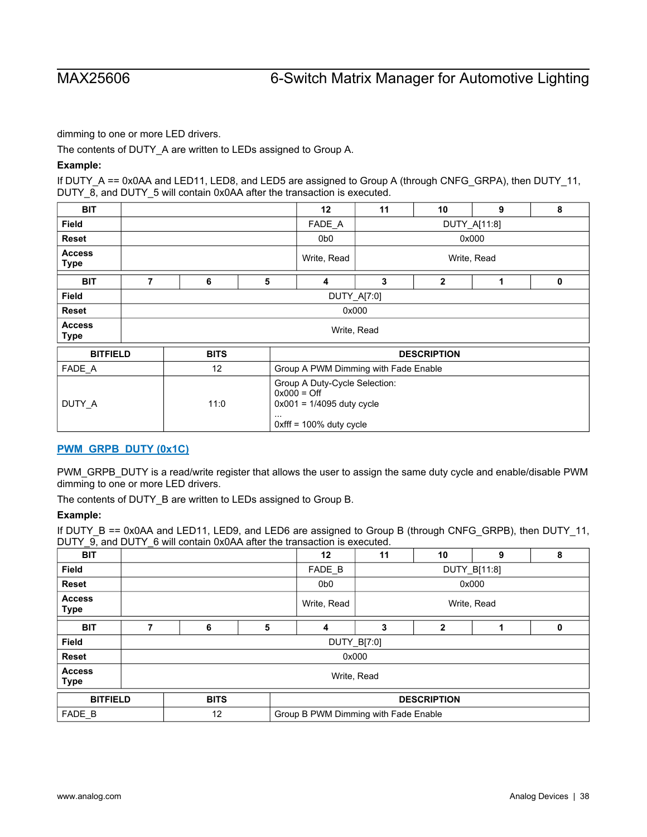dimming to one or more LED drivers.

The contents of DUTY A are written to LEDs assigned to Group A.

### **Example:**

If DUTY\_A == 0x0AA and LED11, LED8, and LED5 are assigned to Group A (through CNFG\_GRPA), then DUTY\_11, DUTY\_8, and DUTY\_5 will contain 0x0AA after the transaction is executed.

| <b>BIT</b>                   |                                                                                                                                                             |             |   | $12 \overline{ }$ | 11           | 10                 | 9     | 8 |  |  |
|------------------------------|-------------------------------------------------------------------------------------------------------------------------------------------------------------|-------------|---|-------------------|--------------|--------------------|-------|---|--|--|
| <b>Field</b>                 |                                                                                                                                                             |             |   | FADE A            | DUTY_A[11:8] |                    |       |   |  |  |
| <b>Reset</b>                 |                                                                                                                                                             |             |   | 0b <sub>0</sub>   |              |                    | 0x000 |   |  |  |
| <b>Access</b><br><b>Type</b> |                                                                                                                                                             |             |   | Write, Read       | Write, Read  |                    |       |   |  |  |
| <b>BIT</b>                   | 7                                                                                                                                                           | 6           | 5 | 4                 | 3            | $\overline{2}$     | 1     | 0 |  |  |
| <b>Field</b>                 |                                                                                                                                                             | DUTY_A[7:0] |   |                   |              |                    |       |   |  |  |
| Reset                        |                                                                                                                                                             | 0x000       |   |                   |              |                    |       |   |  |  |
| <b>Access</b><br><b>Type</b> |                                                                                                                                                             |             |   |                   | Write, Read  |                    |       |   |  |  |
| <b>BITFIELD</b>              |                                                                                                                                                             | <b>BITS</b> |   |                   |              | <b>DESCRIPTION</b> |       |   |  |  |
| FADE_A                       |                                                                                                                                                             | 12          |   |                   |              |                    |       |   |  |  |
| DUTY_A                       | Group A PWM Dimming with Fade Enable<br>Group A Duty-Cycle Selection:<br>$0x000 =$ Off<br>$0x001 = 1/4095$ duty cycle<br>11:0<br>$0x$ fff = 100% duty cycle |             |   |                   |              |                    |       |   |  |  |

## <span id="page-37-0"></span>**[PWM\\_GRPB\\_DUTY \(0x1C\)](#page-18-1)**

PWM\_GRPB\_DUTY is a read/write register that allows the user to assign the same duty cycle and enable/disable PWM dimming to one or more LED drivers.

The contents of DUTY\_B are written to LEDs assigned to Group B.

### **Example:**

If DUTY\_B == 0x0AA and LED11, LED9, and LED6 are assigned to Group B (through CNFG\_GRPB), then DUTY\_11, DUTY\_9, and DUTY\_6 will contain 0x0AA after the transaction is executed.

| <b>BIT</b>                   |             |   | 12                                   | 11                     | 10                 | 9 | 8 |  |
|------------------------------|-------------|---|--------------------------------------|------------------------|--------------------|---|---|--|
| <b>Field</b>                 |             |   | FADE B                               | DUTY_B[11:8]           |                    |   |   |  |
| <b>Reset</b>                 |             |   | 0b0                                  | 0x000                  |                    |   |   |  |
| <b>Access</b><br><b>Type</b> |             |   | Write, Read                          | Write, Read            |                    |   |   |  |
| <b>BIT</b>                   | 6           | 5 | 4                                    | 3<br>$\mathbf{2}$<br>0 |                    |   |   |  |
| <b>Field</b>                 |             |   |                                      | DUTY_B[7:0]            |                    |   |   |  |
| <b>Reset</b>                 |             |   |                                      | 0x000                  |                    |   |   |  |
| <b>Access</b><br><b>Type</b> |             |   |                                      | Write, Read            |                    |   |   |  |
| <b>BITFIELD</b>              | <b>BITS</b> |   |                                      |                        | <b>DESCRIPTION</b> |   |   |  |
| FADE B                       | 12          |   | Group B PWM Dimming with Fade Enable |                        |                    |   |   |  |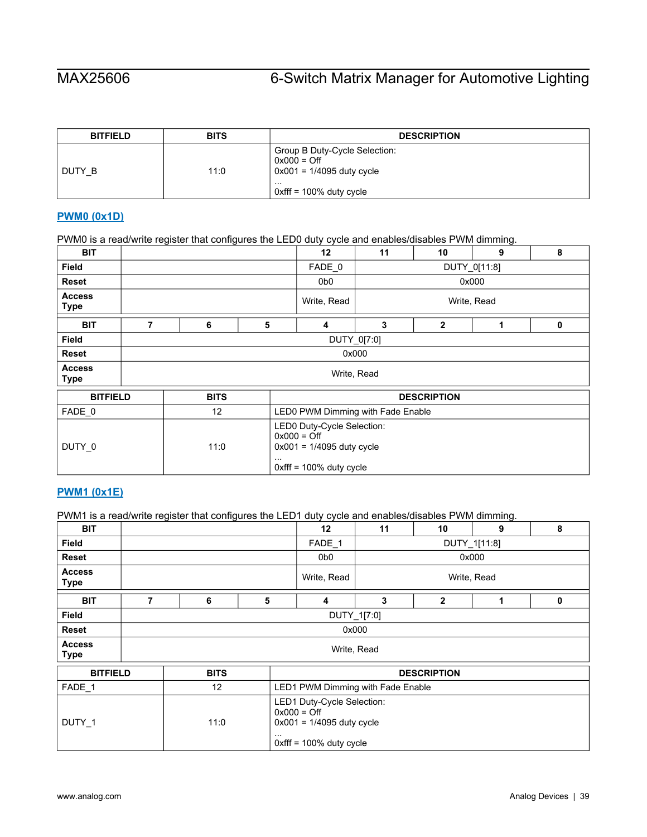| <b>BITFIELD</b> | <b>BITS</b> | <b>DESCRIPTION</b>                                                            |
|-----------------|-------------|-------------------------------------------------------------------------------|
| DUTY B          | 11:0        | Group B Duty-Cycle Selection:<br>$0x000 =$ Off<br>$0x001 = 1/4095$ duty cycle |
|                 |             | .<br>$\alpha$ oxfff = 100% duty cycle                                         |

# <span id="page-38-0"></span>**[PWM0 \(0x1D\)](#page-18-1)**

PWM0 is a read/write register that configures the LED0 duty cycle and enables/disables PWM dimming.

| <b>BIT</b>                   |   |             |          |                                                                                                          | 11           | 10                 | 9 | 8 |  |
|------------------------------|---|-------------|----------|----------------------------------------------------------------------------------------------------------|--------------|--------------------|---|---|--|
| <b>Field</b>                 |   |             |          | FADE 0                                                                                                   | DUTY_0[11:8] |                    |   |   |  |
| <b>Reset</b>                 |   |             |          | 0b <sub>0</sub>                                                                                          | 0x000        |                    |   |   |  |
| <b>Access</b><br><b>Type</b> |   |             |          | Write, Read                                                                                              | Write, Read  |                    |   |   |  |
| <b>BIT</b>                   | 7 | 6           | 5        | 4                                                                                                        | 3            | $\overline{2}$     | 1 | 0 |  |
| <b>Field</b>                 |   | DUTY_0[7:0] |          |                                                                                                          |              |                    |   |   |  |
| <b>Reset</b>                 |   | 0x000       |          |                                                                                                          |              |                    |   |   |  |
| <b>Access</b><br><b>Type</b> |   | Write, Read |          |                                                                                                          |              |                    |   |   |  |
| <b>BITFIELD</b>              |   | <b>BITS</b> |          |                                                                                                          |              | <b>DESCRIPTION</b> |   |   |  |
| FADE 0                       |   | 12          |          | LED0 PWM Dimming with Fade Enable                                                                        |              |                    |   |   |  |
| DUTY_0                       |   | 11:0        | $\cdots$ | LED0 Duty-Cycle Selection:<br>$0x000 =$ Off<br>$0x001 = 1/4095$ duty cycle<br>$0$ xfff = 100% duty cycle |              |                    |   |   |  |

### <span id="page-38-1"></span>**[PWM1 \(0x1E\)](#page-18-1)**

PWM1 is a read/write register that configures the LED1 duty cycle and enables/disables PWM dimming.

| <b>BIT</b>                   |   |                                                                                                                  |   |                                   | 11           | 10                 | 9 | 8 |  |
|------------------------------|---|------------------------------------------------------------------------------------------------------------------|---|-----------------------------------|--------------|--------------------|---|---|--|
| Field                        |   |                                                                                                                  |   | FADE_1                            | DUTY_1[11:8] |                    |   |   |  |
| Reset                        |   |                                                                                                                  |   | 0b <sub>0</sub>                   | 0x000        |                    |   |   |  |
| <b>Access</b><br><b>Type</b> |   |                                                                                                                  |   | Write, Read                       | Write, Read  |                    |   |   |  |
| <b>BIT</b>                   | 7 | 6                                                                                                                | 5 | 4                                 | 3            | $\overline{2}$     | 1 | 0 |  |
| <b>Field</b>                 |   | DUTY_1[7:0]                                                                                                      |   |                                   |              |                    |   |   |  |
| Reset                        |   | 0x000                                                                                                            |   |                                   |              |                    |   |   |  |
| <b>Access</b><br><b>Type</b> |   | Write, Read                                                                                                      |   |                                   |              |                    |   |   |  |
| <b>BITFIELD</b>              |   | <b>BITS</b>                                                                                                      |   |                                   |              | <b>DESCRIPTION</b> |   |   |  |
| FADE_1                       |   | 12                                                                                                               |   | LED1 PWM Dimming with Fade Enable |              |                    |   |   |  |
| DUTY_1                       |   | LED1 Duty-Cycle Selection:<br>$0x000 =$ Off<br>11:0<br>$0x001 = 1/4095$ duty cycle<br>$0x$ fff = 100% duty cycle |   |                                   |              |                    |   |   |  |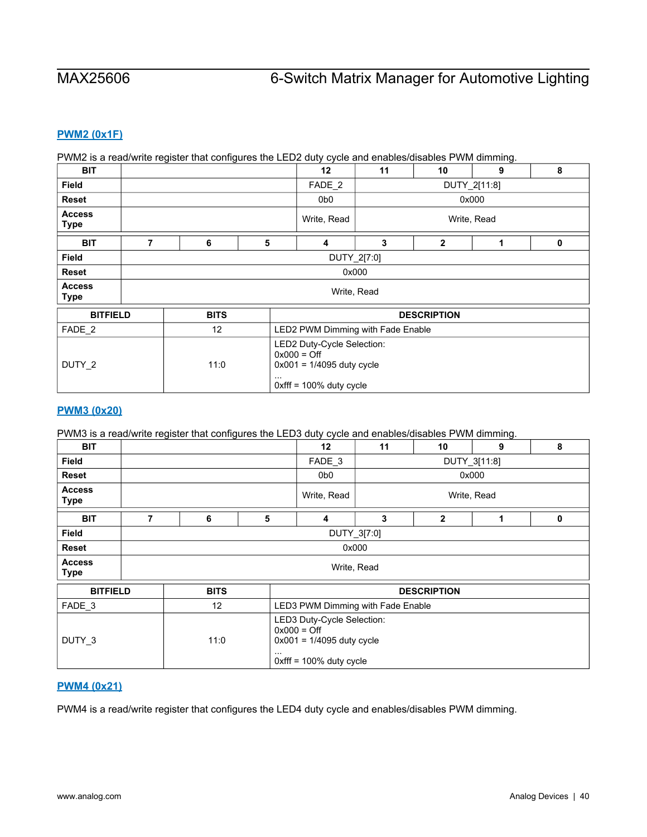## <span id="page-39-0"></span>**[PWM2 \(0x1F\)](#page-18-1)**

### PWM2 is a read/write register that configures the LED2 duty cycle and enables/disables PWM dimming.

| <b>BIT</b>                   |   |             |   | 12                                | 11                                                                                      | 10                 | 9 | 8 |  |  |
|------------------------------|---|-------------|---|-----------------------------------|-----------------------------------------------------------------------------------------|--------------------|---|---|--|--|
| <b>Field</b>                 |   |             |   | FADE <sub>2</sub>                 | DUTY_2[11:8]                                                                            |                    |   |   |  |  |
| <b>Reset</b>                 |   |             |   | 0b0                               |                                                                                         | 0x000              |   |   |  |  |
| <b>Access</b><br><b>Type</b> |   |             |   | Write, Read                       | Write, Read                                                                             |                    |   |   |  |  |
| <b>BIT</b>                   | 7 | 6           | 5 | $\overline{\mathbf{4}}$           | 3                                                                                       | $\overline{2}$     | 1 | 0 |  |  |
| <b>Field</b>                 |   | DUTY_2[7:0] |   |                                   |                                                                                         |                    |   |   |  |  |
| <b>Reset</b>                 |   | 0x000       |   |                                   |                                                                                         |                    |   |   |  |  |
| <b>Access</b><br><b>Type</b> |   |             |   |                                   | Write, Read                                                                             |                    |   |   |  |  |
| <b>BITFIELD</b>              |   | <b>BITS</b> |   |                                   |                                                                                         | <b>DESCRIPTION</b> |   |   |  |  |
| FADE <sub>2</sub>            |   | 12          |   | LED2 PWM Dimming with Fade Enable |                                                                                         |                    |   |   |  |  |
| DUTY <sub>2</sub>            |   | 11:0        |   | $0x000 =$ Off<br>$\cdots$         | LED2 Duty-Cycle Selection:<br>$0x001 = 1/4095$ duty cycle<br>$0x$ fff = 100% duty cycle |                    |   |   |  |  |

### <span id="page-39-1"></span>**[PWM3 \(0x20\)](#page-18-1)**

### PWM3 is a read/write register that configures the LED3 duty cycle and enables/disables PWM dimming.

| <b>BIT</b>                   |                                       |             |          | $12 \overline{ }$                                                                                        | 11           | 10                 | 9 | 8 |  |  |
|------------------------------|---------------------------------------|-------------|----------|----------------------------------------------------------------------------------------------------------|--------------|--------------------|---|---|--|--|
| <b>Field</b>                 |                                       |             |          | FADE <sub>3</sub>                                                                                        | DUTY_3[11:8] |                    |   |   |  |  |
| <b>Reset</b>                 |                                       |             |          | 0 <sub>b</sub>                                                                                           | 0x000        |                    |   |   |  |  |
| <b>Access</b><br><b>Type</b> |                                       |             |          | Write, Read                                                                                              | Write, Read  |                    |   |   |  |  |
| <b>BIT</b>                   | 6<br>3<br>$\mathbf{2}$<br>5<br>7<br>4 |             |          |                                                                                                          |              | 1                  | 0 |   |  |  |
| <b>Field</b>                 |                                       | DUTY_3[7:0] |          |                                                                                                          |              |                    |   |   |  |  |
| <b>Reset</b>                 |                                       | 0x000       |          |                                                                                                          |              |                    |   |   |  |  |
| <b>Access</b><br><b>Type</b> |                                       |             |          |                                                                                                          | Write, Read  |                    |   |   |  |  |
| <b>BITFIELD</b>              |                                       | <b>BITS</b> |          |                                                                                                          |              | <b>DESCRIPTION</b> |   |   |  |  |
| FADE <sub>3</sub>            |                                       | 12          |          | LED3 PWM Dimming with Fade Enable                                                                        |              |                    |   |   |  |  |
| DUTY 3                       |                                       | 11:0        | $\cdots$ | LED3 Duty-Cycle Selection:<br>$0x000 =$ Off<br>$0x001 = 1/4095$ duty cycle<br>$0x$ fff = 100% duty cycle |              |                    |   |   |  |  |

### <span id="page-39-2"></span>**[PWM4 \(0x21\)](#page-18-1)**

PWM4 is a read/write register that configures the LED4 duty cycle and enables/disables PWM dimming.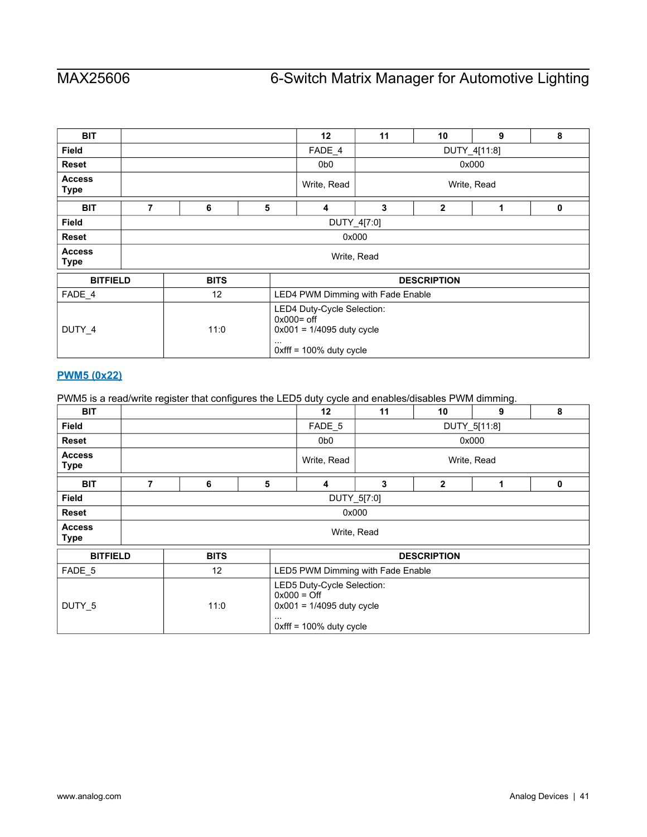| <b>BIT</b>                   |   |             |   | 12 <sup>2</sup>                                                                                                      | 11           | 10                 | 9     | 8 |  |
|------------------------------|---|-------------|---|----------------------------------------------------------------------------------------------------------------------|--------------|--------------------|-------|---|--|
| <b>Field</b>                 |   |             |   | FADE_4                                                                                                               | DUTY_4[11:8] |                    |       |   |  |
| Reset                        |   |             |   | 0b <sub>0</sub>                                                                                                      |              |                    | 0x000 |   |  |
| <b>Access</b><br><b>Type</b> |   |             |   | Write, Read                                                                                                          | Write, Read  |                    |       |   |  |
| <b>BIT</b>                   | 7 | 6           | 5 | 4                                                                                                                    | 3            | $\overline{2}$     | 1     | 0 |  |
| <b>Field</b>                 |   | DUTY_4[7:0] |   |                                                                                                                      |              |                    |       |   |  |
| <b>Reset</b>                 |   | 0x000       |   |                                                                                                                      |              |                    |       |   |  |
| <b>Access</b><br><b>Type</b> |   |             |   | Write, Read                                                                                                          |              |                    |       |   |  |
| <b>BITFIELD</b>              |   | <b>BITS</b> |   |                                                                                                                      |              | <b>DESCRIPTION</b> |       |   |  |
| FADE_4                       |   | 12          |   | LED4 PWM Dimming with Fade Enable                                                                                    |              |                    |       |   |  |
| DUTY_4                       |   | 11:0        |   | LED4 Duty-Cycle Selection:<br>$0x000 =$ off<br>$0x001 = 1/4095$ duty cycle<br>$\cdots$<br>$0$ xfff = 100% duty cycle |              |                    |       |   |  |

## <span id="page-40-0"></span>**[PWM5 \(0x22\)](#page-18-1)**

PWM5 is a read/write register that configures the LED5 duty cycle and enables/disables PWM dimming.

| <b>BIT</b>                   |             |             |   | 12                                                                                                       | 11           | 10             | 9 | 8 |  |
|------------------------------|-------------|-------------|---|----------------------------------------------------------------------------------------------------------|--------------|----------------|---|---|--|
| Field                        |             |             |   | FADE 5                                                                                                   | DUTY_5[11:8] |                |   |   |  |
| <b>Reset</b>                 |             |             |   | 0b0                                                                                                      | 0x000        |                |   |   |  |
| <b>Access</b><br><b>Type</b> |             |             |   | Write, Read                                                                                              | Write, Read  |                |   |   |  |
| <b>BIT</b>                   | 7           | 6           | 5 | 4                                                                                                        | 3            | $\overline{2}$ | 1 | 0 |  |
| Field                        | DUTY_5[7:0] |             |   |                                                                                                          |              |                |   |   |  |
| <b>Reset</b>                 | 0x000       |             |   |                                                                                                          |              |                |   |   |  |
| <b>Access</b><br><b>Type</b> | Write, Read |             |   |                                                                                                          |              |                |   |   |  |
| <b>BITFIELD</b>              |             | <b>BITS</b> |   | <b>DESCRIPTION</b>                                                                                       |              |                |   |   |  |
| FADE_5                       |             | 12          |   | LED5 PWM Dimming with Fade Enable                                                                        |              |                |   |   |  |
| DUTY_5                       |             | 11:0        |   | LED5 Duty-Cycle Selection:<br>$0x000 =$ Off<br>$0x001 = 1/4095$ duty cycle<br>$0x$ fff = 100% duty cycle |              |                |   |   |  |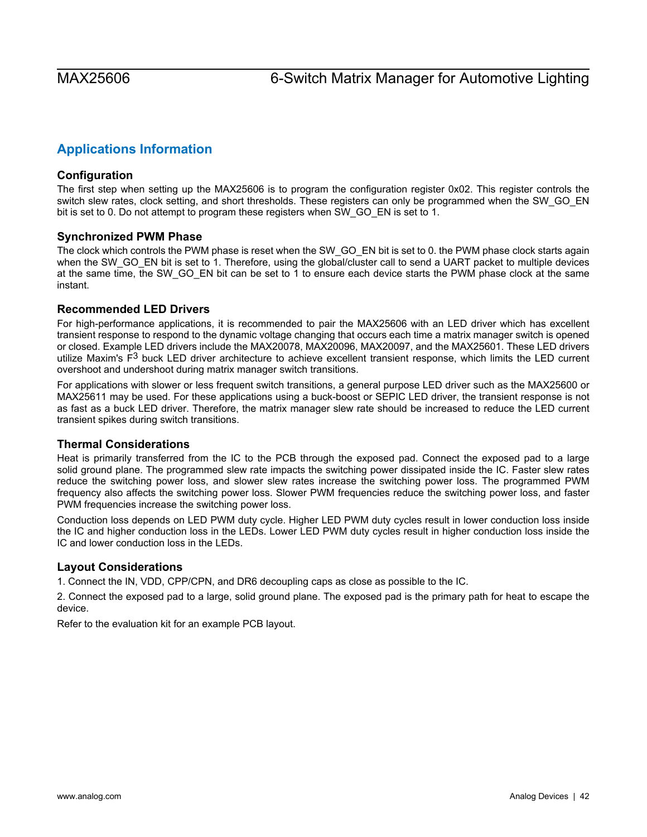# <span id="page-41-0"></span>**Applications Information**

# <span id="page-41-1"></span>**Configuration**

The first step when setting up the MAX25606 is to program the configuration register 0x02. This register controls the switch slew rates, clock setting, and short thresholds. These registers can only be programmed when the SW\_GO\_EN bit is set to 0. Do not attempt to program these registers when SW\_GO\_EN is set to 1.

## <span id="page-41-2"></span>**Synchronized PWM Phase**

The clock which controls the PWM phase is reset when the SW\_GO\_EN bit is set to 0. the PWM phase clock starts again when the SW\_GO\_EN bit is set to 1. Therefore, using the global/cluster call to send a UART packet to multiple devices at the same time, the SW\_GO\_EN bit can be set to 1 to ensure each device starts the PWM phase clock at the same instant.

# <span id="page-41-3"></span>**Recommended LED Drivers**

For high-performance applications, it is recommended to pair the MAX25606 with an LED driver which has excellent transient response to respond to the dynamic voltage changing that occurs each time a matrix manager switch is opened or closed. Example LED drivers include the MAX20078, MAX20096, MAX20097, and the MAX25601. These LED drivers utilize Maxim's  $F<sup>3</sup>$  buck LED driver architecture to achieve excellent transient response, which limits the LED current overshoot and undershoot during matrix manager switch transitions.

For applications with slower or less frequent switch transitions, a general purpose LED driver such as the MAX25600 or MAX25611 may be used. For these applications using a buck-boost or SEPIC LED driver, the transient response is not as fast as a buck LED driver. Therefore, the matrix manager slew rate should be increased to reduce the LED current transient spikes during switch transitions.

## <span id="page-41-4"></span>**Thermal Considerations**

Heat is primarily transferred from the IC to the PCB through the exposed pad. Connect the exposed pad to a large solid ground plane. The programmed slew rate impacts the switching power dissipated inside the IC. Faster slew rates reduce the switching power loss, and slower slew rates increase the switching power loss. The programmed PWM frequency also affects the switching power loss. Slower PWM frequencies reduce the switching power loss, and faster PWM frequencies increase the switching power loss.

Conduction loss depends on LED PWM duty cycle. Higher LED PWM duty cycles result in lower conduction loss inside the IC and higher conduction loss in the LEDs. Lower LED PWM duty cycles result in higher conduction loss inside the IC and lower conduction loss in the LEDs.

## <span id="page-41-5"></span>**Layout Considerations**

1. Connect the IN, VDD, CPP/CPN, and DR6 decoupling caps as close as possible to the IC.

2. Connect the exposed pad to a large, solid ground plane. The exposed pad is the primary path for heat to escape the device.

Refer to the evaluation kit for an example PCB layout.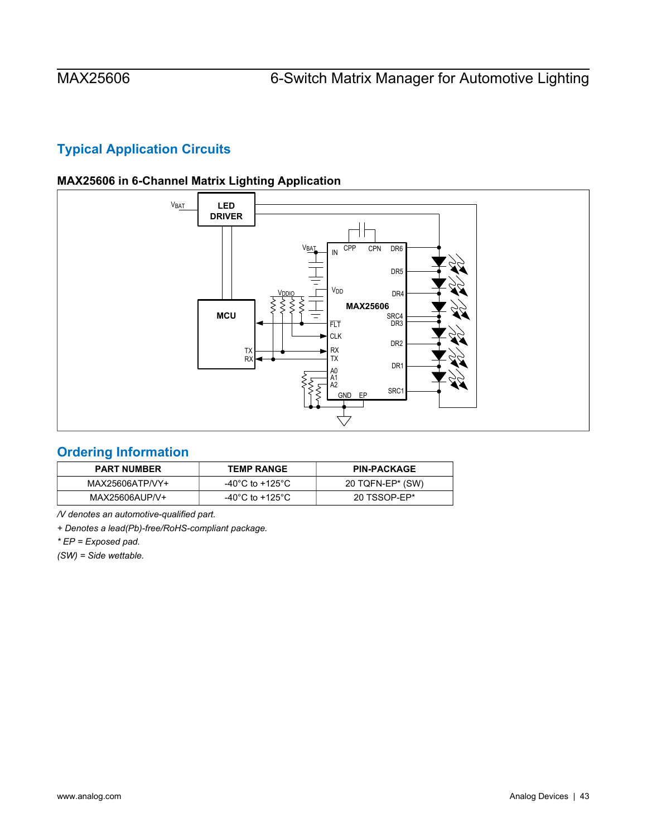# <span id="page-42-1"></span>**Typical Application Circuits**

<span id="page-42-2"></span>



# <span id="page-42-0"></span>**Ordering Information**

| <b>PART NUMBER</b> | <b>TEMP RANGE</b> | <b>PIN-PACKAGE</b> |
|--------------------|-------------------|--------------------|
| MAX25606ATP/VY+    | -40°C to +125°C   | 20 TQFN-EP* (SW)   |
| MAX25606AUP/V+     | -40°C to +125°C   | 20 TSSOP-EP*       |

*/V denotes an automotive-qualified part.* 

*+ Denotes a lead(Pb)-free/RoHS-compliant package.* 

*\* EP = Exposed pad.* 

*(SW) = Side wettable.*